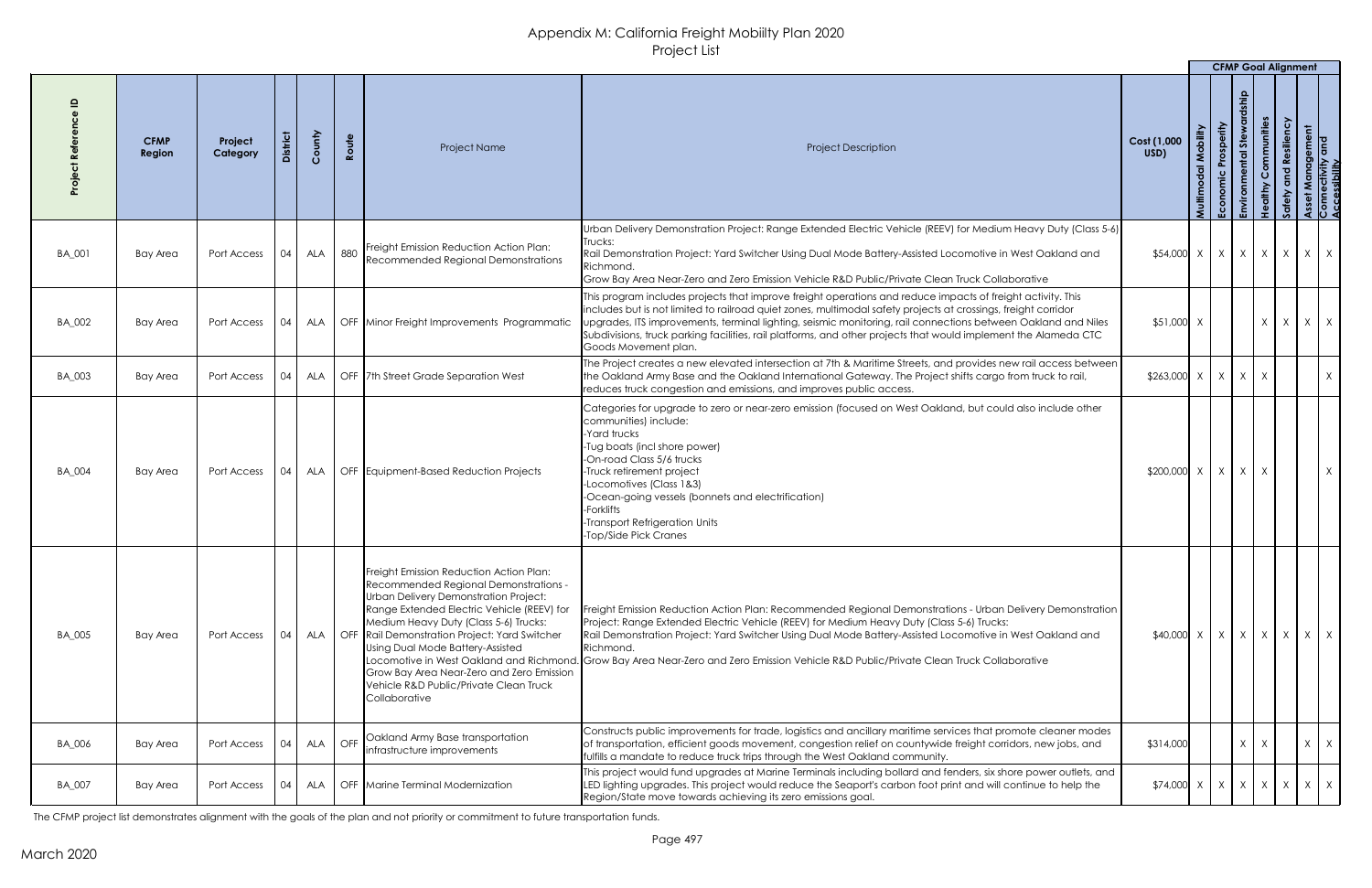|               |                       |                     |         |            |       |                                                                                                                                                                                                                                                                                                                                                                                                                                                                 |                                                                                                                                                                                                                                                                                                                                                                                                                                                                                           |                                               |                                      | <b>CFMP Goal Alignment</b>          |                         |                                       |                                        |                                                       |          |
|---------------|-----------------------|---------------------|---------|------------|-------|-----------------------------------------------------------------------------------------------------------------------------------------------------------------------------------------------------------------------------------------------------------------------------------------------------------------------------------------------------------------------------------------------------------------------------------------------------------------|-------------------------------------------------------------------------------------------------------------------------------------------------------------------------------------------------------------------------------------------------------------------------------------------------------------------------------------------------------------------------------------------------------------------------------------------------------------------------------------------|-----------------------------------------------|--------------------------------------|-------------------------------------|-------------------------|---------------------------------------|----------------------------------------|-------------------------------------------------------|----------|
|               | <b>CFMP</b><br>Region | Project<br>Category | istrict | County     | Route | Project Name                                                                                                                                                                                                                                                                                                                                                                                                                                                    | <b>Project Description</b>                                                                                                                                                                                                                                                                                                                                                                                                                                                                | Cost (1,000<br>USD)                           | Mobility<br>$\overline{a}$<br>Multir | Prosperity<br>$rac{c}{E}$<br>Econor | あ<br>ntal<br><b>AST</b> | Communities<br>althy<br>$\frac{9}{5}$ | esiliency<br>$\mathbf{e}$<br><b>Jo</b> | Asset Management<br>Connectivity and<br>Accessibility |          |
| BA_001        | <b>Bay Area</b>       | Port Access         | 04      | <b>ALA</b> |       | 880 Freight Emission Reduction Action Plan:<br>Recommended Regional Demonstrations                                                                                                                                                                                                                                                                                                                                                                              | Urban Delivery Demonstration Project: Range Extended Electric Vehicle (REEV) for Medium Heavy Duty (Class 5-6)<br>Trucks:<br>Rail Demonstration Project: Yard Switcher Using Dual Mode Battery-Assisted Locomotive in West Oakland and<br>Richmond.<br>Grow Bay Area Near-Zero and Zero Emission Vehicle R&D Public/Private Clean Truck Collaborative                                                                                                                                     | $$54,000 \times   \times   \times   \times  $ |                                      |                                     |                         |                                       | $\mathsf{X}$                           | $X \mid X$                                            |          |
| BA_002        | Bay Area              | Port Access         | 04      |            |       | ALA   OFF   Minor Freight Improvements Programmatic                                                                                                                                                                                                                                                                                                                                                                                                             | This program includes projects that improve freight operations and reduce impacts of freight activity. This<br>includes but is not limited to railroad quiet zones, multimodal safety projects at crossings, freight corridor<br>upgrades, ITS improvements, terminal lighting, seismic monitoring, rail connections between Oakland and Niles<br>Subdivisions, truck parking facilities, rail platforms, and other projects that would implement the Alameda CTC<br>Goods Movement plan. | \$51,000 X                                    |                                      |                                     |                         | X                                     | X                                      | $X \mid X$                                            |          |
| <b>BA_003</b> | <b>Bay Area</b>       | Port Access         | 04      | ALA        |       | OFF   7th Street Grade Separation West                                                                                                                                                                                                                                                                                                                                                                                                                          | The Project creates a new elevated intersection at 7th & Maritime Streets, and provides new rail access between<br>the Oakland Army Base and the Oakland International Gateway. The Project shifts cargo from truck to rail,<br>reduces truck congestion and emissions, and improves public access.                                                                                                                                                                                       | $$263,000 \times   \times   \times   \times$  |                                      |                                     |                         |                                       |                                        |                                                       | $X \mid$ |
| <b>BA_004</b> | Bay Area              | Port Access         | 04      |            |       | ALA   OFF   Equipment-Based Reduction Projects                                                                                                                                                                                                                                                                                                                                                                                                                  | Categories for upgrade to zero or near-zero emission (focused on West Oakland, but could also include other<br>communities) include:<br>Yard trucks<br>-Tug boats (incl shore power)<br>-On-road Class 5/6 trucks<br>-Truck retirement project<br>-Locomotives (Class 1&3)<br>-Ocean-going vessels (bonnets and electrification)<br>-Forklifts<br>-Transport Refrigeration Units<br>-Top/Side Pick Cranes                                                                                 | $$200,000$ X                                  |                                      | $X$ $X$ $X$                         |                         |                                       |                                        |                                                       | $X \mid$ |
| <b>BA_005</b> | Bay Area              | Port Access         | 04      |            |       | Freight Emission Reduction Action Plan:<br>Recommended Regional Demonstrations -<br>Urban Delivery Demonstration Project:<br>Range Extended Electric Vehicle (REEV) for<br>Medium Heavy Duty (Class 5-6) Trucks:<br>ALA   OFF Rail Demonstration Project: Yard Switcher<br>Using Dual Mode Battery-Assisted<br>Locomotive in West Oakland and Richmond.<br>Grow Bay Area Near-Zero and Zero Emission<br>Vehicle R&D Public/Private Clean Truck<br>Collaborative | Freight Emission Reduction Action Plan: Recommended Regional Demonstrations - Urban Delivery Demonstration<br>Project: Range Extended Electric Vehicle (REEV) for Medium Heavy Duty (Class 5-6) Trucks:<br>Rail Demonstration Project: Yard Switcher Using Dual Mode Battery-Assisted Locomotive in West Oakland and<br>Richmond.<br>Grow Bay Area Near-Zero and Zero Emission Vehicle R&D Public/Private Clean Truck Collaborative.                                                      | $$40,000 \times x \times x \times x \times x$ |                                      |                                     |                         |                                       |                                        |                                                       |          |
| <b>BA_006</b> | <b>Bay Area</b>       | Port Access         | 04      |            |       | ALA   OFF Cakland Army Base transportation<br>infrastructure improvements                                                                                                                                                                                                                                                                                                                                                                                       | Constructs public improvements for trade, logistics and ancillary maritime services that promote cleaner modes<br>of transportation, efficient goods movement, congestion relief on countywide freight corridors, new jobs, and<br>fulfills a mandate to reduce truck trips through the West Oakland community.                                                                                                                                                                           | \$314,000                                     |                                      |                                     | $X \mid X$              |                                       |                                        | $X \mid X$                                            |          |
| <b>BA_007</b> | Bay Area              | Port Access         | 04      |            |       | ALA   OFF   Marine Terminal Modernization                                                                                                                                                                                                                                                                                                                                                                                                                       | This project would fund upgrades at Marine Terminals including bollard and fenders, six shore power outlets, and<br>LED lighting upgrades. This project would reduce the Seaport's carbon foot print and will continue to help the<br>Region/State move towards achieving its zero emissions goal.                                                                                                                                                                                        | $$74,000 \times   X   X   X$                  |                                      |                                     |                         |                                       |                                        | $X \mid X \mid X$                                     |          |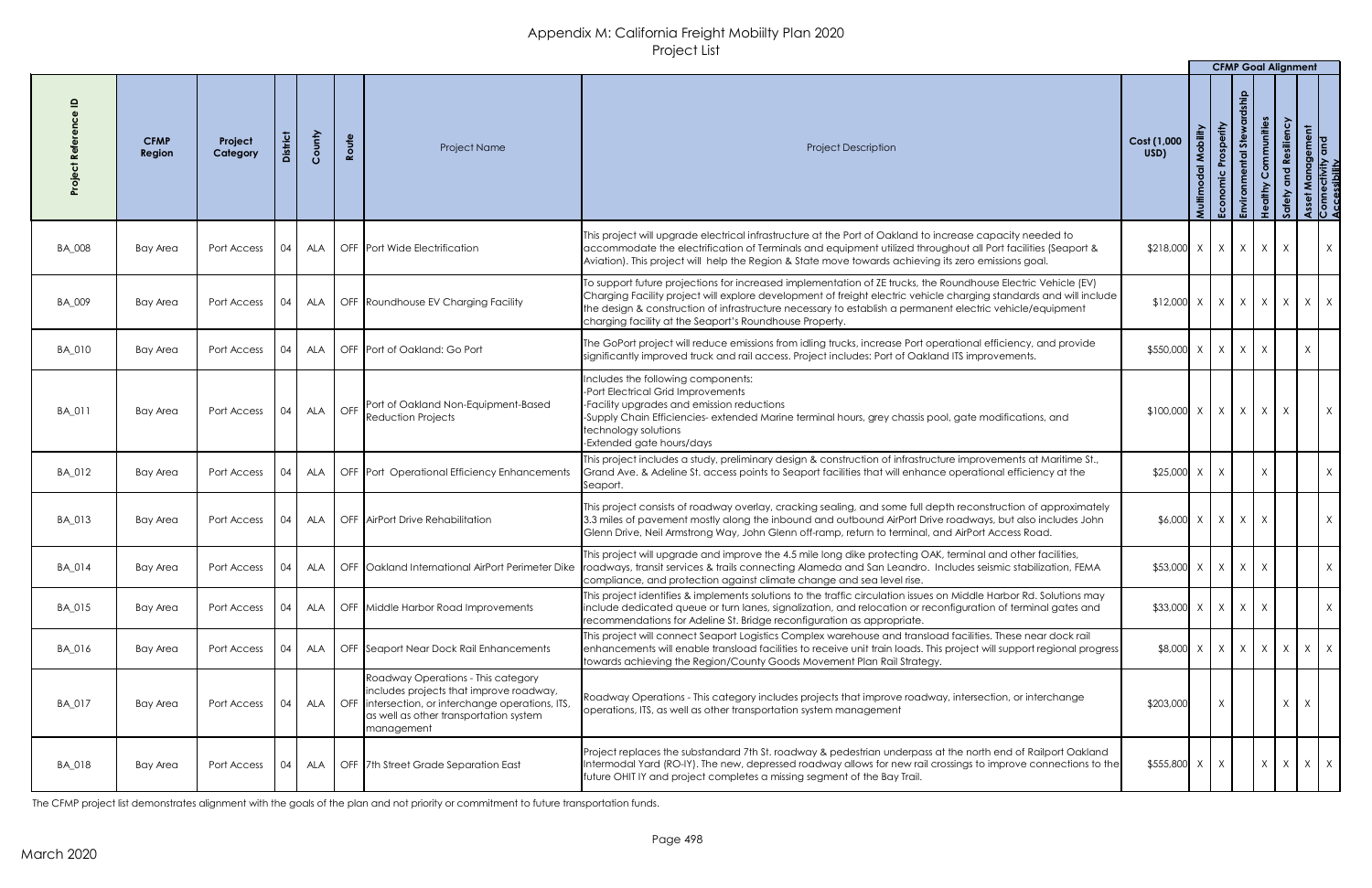|               |                       |                     |                 |        |                              |                                                                                                                                                                                                    |                                                                                                                                                                                                                                                                                                                                                                                                                     |                                                                  |                                       | <b>CFMP Goal Alignment</b> |                   |                          |                                                       |
|---------------|-----------------------|---------------------|-----------------|--------|------------------------------|----------------------------------------------------------------------------------------------------------------------------------------------------------------------------------------------------|---------------------------------------------------------------------------------------------------------------------------------------------------------------------------------------------------------------------------------------------------------------------------------------------------------------------------------------------------------------------------------------------------------------------|------------------------------------------------------------------|---------------------------------------|----------------------------|-------------------|--------------------------|-------------------------------------------------------|
|               | <b>CFMP</b><br>Region | Project<br>Category | <b>District</b> | County | Route                        | Project Name                                                                                                                                                                                       | <b>Project Description</b>                                                                                                                                                                                                                                                                                                                                                                                          | Cost (1,000<br>USD)                                              | Mobility<br>$\overline{a}$<br>Multimo | 5te<br>ntal                |                   | Resiliency<br>and<br>ety | Asset Management<br>Connectivity and<br>Accessibility |
| <b>BA_008</b> | Bay Area              | Port Access         | 04              |        |                              | ALA   OFF   Port Wide Electrification                                                                                                                                                              | This project will upgrade electrical infrastructure at the Port of Oakland to increase capacity needed to<br>accommodate the electrification of Terminals and equipment utilized throughout all Port facilities (Seaport &<br>Aviation). This project will help the Region & State move towards achieving its zero emissions goal.                                                                                  | $$218,000$ $\times$ $\times$ $\times$ $\times$ $\times$ $\times$ |                                       |                            |                   |                          | X                                                     |
| BA_009        | <b>Bay Area</b>       | Port Access         | 04              |        |                              | ALA   OFF Roundhouse EV Charging Facility                                                                                                                                                          | To support future projections for increased implementation of ZE trucks, the Roundhouse Electric Vehicle (EV)<br>$ $ Charging Facility project will explore development of freight electric vehicle charging standards and will include $ $<br>the design & construction of infrastructure necessary to establish a permanent electric vehicle/equipment<br>charging facility at the Seaport's Roundhouse Property. | $\vert x \vert$ x   x   x   x   x                                |                                       |                            |                   |                          | X<br>X                                                |
| BA_010        | <b>Bay Area</b>       | Port Access         | 04              | ALA    |                              | OFF Port of Oakland: Go Port                                                                                                                                                                       | The GoPort project will reduce emissions from idling trucks, increase Port operational efficiency, and provide<br>significantly improved truck and rail access. Project includes: Port of Oakland ITS improvements.                                                                                                                                                                                                 | $$550,000 \times   X   X$                                        |                                       |                            | $\mathsf{X}$      |                          |                                                       |
| BA_011        | <b>Bay Area</b>       | Port Access         | 04              | ALA    | $\overline{\phantom{a}}$ OFF | Port of Oakland Non-Equipment-Based<br>Reduction Projects                                                                                                                                          | Includes the following components:<br>-Port Electrical Grid Improvements<br>-Facility upgrades and emission reductions<br>-Supply Chain Efficiencies- extended Marine terminal hours, grey chassis pool, gate modifications, and<br>technology solutions<br>-Extended gate hours/days                                                                                                                               | $$100,000$ $\times$ $\times$ $\times$ $\times$ $\times$          |                                       |                            | $\vert$ X $\vert$ | $\mathsf{X}$             | X                                                     |
| BA_012        | <b>Bay Area</b>       | Port Access         | 04              |        |                              | ALA   OFF   Port Operational Efficiency Enhancements                                                                                                                                               | This project includes a study, preliminary design & construction of infrastructure improvements at Maritime St.,<br>Grand Ave. & Adeline St. access points to Seaport facilities that will enhance operational efficiency at the<br>Seaport.                                                                                                                                                                        | $$25,000$ X X                                                    |                                       |                            | X                 |                          | X                                                     |
| BA_013        | <b>Bay Area</b>       | Port Access         | 04              |        |                              | ALA   OFF   AirPort Drive Rehabilitation                                                                                                                                                           | This project consists of roadway overlay, cracking sealing, and some full depth reconstruction of approximately<br>3.3 miles of pavement mostly along the inbound and outbound AirPort Drive roadways, but also includes John<br>Glenn Drive, Neil Armstrong Way, John Glenn off-ramp, return to terminal, and AirPort Access Road.                                                                                 | $$6,000$ X                                                       | X                                     | X                          | X                 |                          | X                                                     |
| BA_014        | <b>Bay Area</b>       | Port Access         | 04              |        |                              | ALA   OFF   Oakland International AirPort Perimeter Dike                                                                                                                                           | This project will upgrade and improve the 4.5 mile long dike protecting OAK, terminal and other facilities,<br>roadways, transit services & trails connecting Alameda and San Leandro. Includes seismic stabilization, FEMA<br>compliance, and protection against climate change and sea level rise.                                                                                                                | $$53,000 \times   \times   \times  $                             |                                       |                            | X                 |                          | X                                                     |
| BA_015        | <b>Bay Area</b>       | Port Access         | 04              |        |                              | ALA   OFF Middle Harbor Road Improvements                                                                                                                                                          | This project identifies & implements solutions to the traffic circulation issues on Middle Harbor Rd. Solutions may<br>include dedicated queue or turn lanes, signalization, and relocation or reconfiguration of terminal gates and<br>recommendations for Adeline St. Bridge reconfiguration as appropriate.                                                                                                      | $$33,000$ X X X                                                  |                                       | X                          | $\mathsf{X}$      |                          | X                                                     |
| BA_016        | Bay Area              | Port Access         | 04              |        |                              | ALA   OFF Seaport Near Dock Rail Enhancements                                                                                                                                                      | This project will connect Seaport Logistics Complex warehouse and transload facilities. These near dock rail<br>enhancements will enable transload facilities to receive unit train loads. This project will support regional progress<br>towards achieving the Region/County Goods Movement Plan Rail Strategy.                                                                                                    | $\{8,000 \mid X \mid X \mid X \mid X \mid X \}$                  |                                       |                            |                   |                          | $X \mid X$                                            |
| BA_017        | <b>Bay Area</b>       | Port Access         | 04              |        |                              | Roadway Operations - This category<br>includes projects that improve roadway,<br>ALA   OFF   intersection, or interchange operations, ITS,<br>as well as other transportation system<br>management | Roadway Operations - This category includes projects that improve roadway, intersection, or interchange<br>operations, ITS, as well as other transportation system management                                                                                                                                                                                                                                       | \$203,000                                                        |                                       |                            |                   | X                        |                                                       |
| BA_018        | <b>Bay Area</b>       | Port Access         | 04              | ALA    |                              | OFF 7th Street Grade Separation East                                                                                                                                                               | Project replaces the substandard 7th St. roadway & pedestrian underpass at the north end of Railport Oakland<br>Intermodal Yard (RO-IY). The new, depressed roadway allows for new rail crossings to improve connections to the<br>future OHIT IY and project completes a missing segment of the Bay Trail.                                                                                                         | $$555,800$ X                                                     | $\chi$                                |                            | $X -$             | X                        | $\mathsf{X}$<br>X                                     |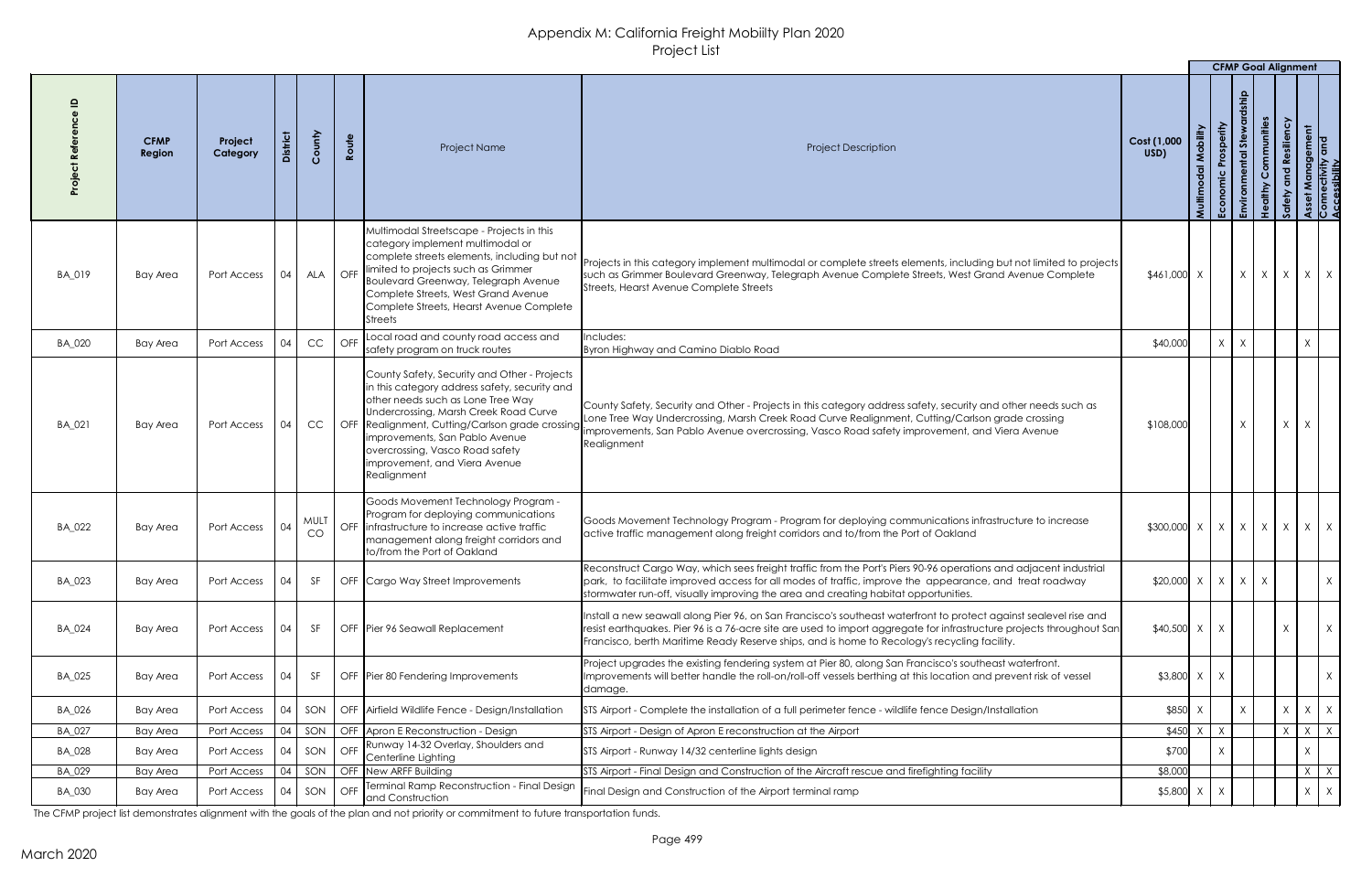|               |                       |                     |                 |                   |       |                                                                                                                                                                                                                                                                                                                                                      | $\cdot$ $\cdot$ $\sim$ $\cdot$ $\sim$ $\cdot$ $\sim$ $\cdot$                                                                                                                                                                                                                                                                               |                         |              |                |                             | <b>CFMP Goal Alignment</b> |                                         |
|---------------|-----------------------|---------------------|-----------------|-------------------|-------|------------------------------------------------------------------------------------------------------------------------------------------------------------------------------------------------------------------------------------------------------------------------------------------------------------------------------------------------------|--------------------------------------------------------------------------------------------------------------------------------------------------------------------------------------------------------------------------------------------------------------------------------------------------------------------------------------------|-------------------------|--------------|----------------|-----------------------------|----------------------------|-----------------------------------------|
|               | <b>CFMP</b><br>Region | Project<br>Category | strict          | County            | Route | Project Name                                                                                                                                                                                                                                                                                                                                         | <b>Project Description</b>                                                                                                                                                                                                                                                                                                                 | Cost (1,000<br>USD)     | Multi<br>ူ   | 5te<br>Envir   | ommunities<br>$\frac{9}{1}$ |                            | Management<br>ectivity and<br>ssihility |
| BA_019        | <b>Bay Area</b>       | Port Access         | 04              |                   |       | Multimodal Streetscape - Projects in this<br>category implement multimodal or<br>complete streets elements, including but not<br>ALA $\Big $ OFF $\Big $ limited to projects such as Grimmer<br>Boulevard Greenway, Telegraph Avenue<br>Complete Streets, West Grand Avenue<br>Complete Streets, Hearst Avenue Complete<br>Streets                   | Projects in this category implement multimodal or complete streets elements, including but not limited to projects<br>such as Grimmer Boulevard Greenway, Telegraph Avenue Complete Streets, West Grand Avenue Complete<br>Streets, Hearst Avenue Complete Streets                                                                         | $$461,000$ X            |              |                | $X \mid X \mid X$           |                            | $X \mid X$                              |
| BA_020        | <b>Bay Area</b>       | Port Access         | 04              | CC                |       | OFF Local road and county road access and<br>safety program on truck routes                                                                                                                                                                                                                                                                          | Includes:<br>Byron Highway and Camino Diablo Road                                                                                                                                                                                                                                                                                          | \$40,000                |              | X<br>$\lambda$ |                             |                            |                                         |
| BA_021        | <b>Bay Area</b>       | Port Access         | $\vert$ 04      |                   |       | County Safety, Security and Other - Projects<br>in this category address safety, security and<br>other needs such as Lone Tree Way<br>Undercrossing, Marsh Creek Road Curve<br>OFF Realignment, Cutting/Carlson grade crossing<br>limprovements, San Pablo Avenue<br>overcrossing, Vasco Road safety<br>Improvement, and Viera Avenue<br>Realignment | County Safety, Security and Other - Projects in this category address safety, security and other needs such as<br>one Tree Way Undercrossing, Marsh Creek Road Curve Realignment, Cutting/Carlson grade crossing<br>improvements, San Pablo Avenue overcrossing, Vasco Road safety improvement, and Viera Avenue<br>Realignment            | \$108,000               |              |                |                             |                            |                                         |
| BA_022        | Bay Area              | Port Access         | 04              | <b>MULT</b><br>CO |       | Goods Movement Technology Program -<br>Program for deploying communications<br>OFF linfrastructure to increase active traffic<br>management along freight corridors and<br>to/from the Port of Oakland                                                                                                                                               | Goods Movement Technology Program - Program for deploying communications infrastructure to increase<br>active traffic management along freight corridors and to/from the Port of Oakland                                                                                                                                                   | $$300,000 \times   X  $ |              |                | $X \mid X \mid$             | $\mathsf{X}$               | $X \mid X$                              |
| BA_023        | Bay Area              | Port Access         |                 | <b>SF</b>         |       | OFF Cargo Way Street Improvements                                                                                                                                                                                                                                                                                                                    | Reconstruct Cargo Way, which sees freight traffic from the Port's Piers 90-96 operations and adjacent industrial<br>$ $ park, to facilitate improved access for all modes of traffic, improve the $\,$ appearance, and $\,$ treat roadway<br>stormwater run-off, visually improving the area and creating habitat opportunities.           | $$20,000 \times   X  $  |              |                | $X \mid X$                  |                            | X                                       |
| <b>BA_024</b> | Bay Area              | Port Access         |                 | <b>SF</b>         |       | OFF Pier 96 Seawall Replacement                                                                                                                                                                                                                                                                                                                      | Install a new seawall along Pier 96, on San Francisco's southeast waterfront to protect against sealevel rise and<br>resist earthquakes. Pier 96 is a 76-acre site are used to import aggregate for infrastructure projects throughout San<br>Francisco, berth Maritime Ready Reserve ships, and is home to Recology's recycling facility. | $$40,500$ X             |              |                |                             |                            | $\mathsf{X}$                            |
| BA_025        | Bay Area              | Port Access         | 04              | SF                |       | OFF   Pier 80 Fendering Improvements                                                                                                                                                                                                                                                                                                                 | Project upgrades the existing fendering system at Pier 80, along San Francisco's southeast waterfront.<br>Improvements will better handle the roll-on/roll-off vessels berthing at this location and prevent risk of vessel<br>damage.                                                                                                     |                         | $$3,800$ X X |                |                             |                            | X                                       |
| BA_026        | Bay Area              | Port Access         | 04              | SON               |       | <b>OFF</b> Airfield Wildlife Fence - Design/Installation                                                                                                                                                                                                                                                                                             | STS Airport - Complete the installation of a full perimeter fence - wildlife fence Design/Installation                                                                                                                                                                                                                                     | \$850                   |              |                |                             | $\mathsf{X}$               | $X \mid X$                              |
| BA_027        | <b>Bay Area</b>       | Port Access         | 04              | SON               |       | OFF Apron E Reconstruction - Design                                                                                                                                                                                                                                                                                                                  | STS Airport - Design of Apron E reconstruction at the Airport                                                                                                                                                                                                                                                                              | \$450                   |              |                |                             |                            | $\chi$<br>Y.                            |
| BA_028        | Bay Area              | Port Access         | 04              | SON               | OFF   | Runway 14-32 Overlay, Shoulders and<br>Centerline Lighting                                                                                                                                                                                                                                                                                           | STS Airport - Runway 14/32 centerline lights design                                                                                                                                                                                                                                                                                        | \$700                   |              |                |                             |                            |                                         |
| BA_029        | <b>Bay Area</b>       | Port Access         | $\overline{04}$ | SON               |       | OFF New ARFF Building                                                                                                                                                                                                                                                                                                                                | STS Airport - Final Design and Construction of the Aircraft rescue and firefighting facility                                                                                                                                                                                                                                               | \$8,000                 |              |                |                             |                            |                                         |
| BA_030        | Bay Area              |                     |                 |                   |       | Terminal Ramp Reconstruction - Final Design<br>Port Access   04   SON   OFF   and Construction                                                                                                                                                                                                                                                       | Final Design and Construction of the Airport terminal ramp                                                                                                                                                                                                                                                                                 |                         | $$5,800$ X X |                |                             |                            | $X \mid X \mid$                         |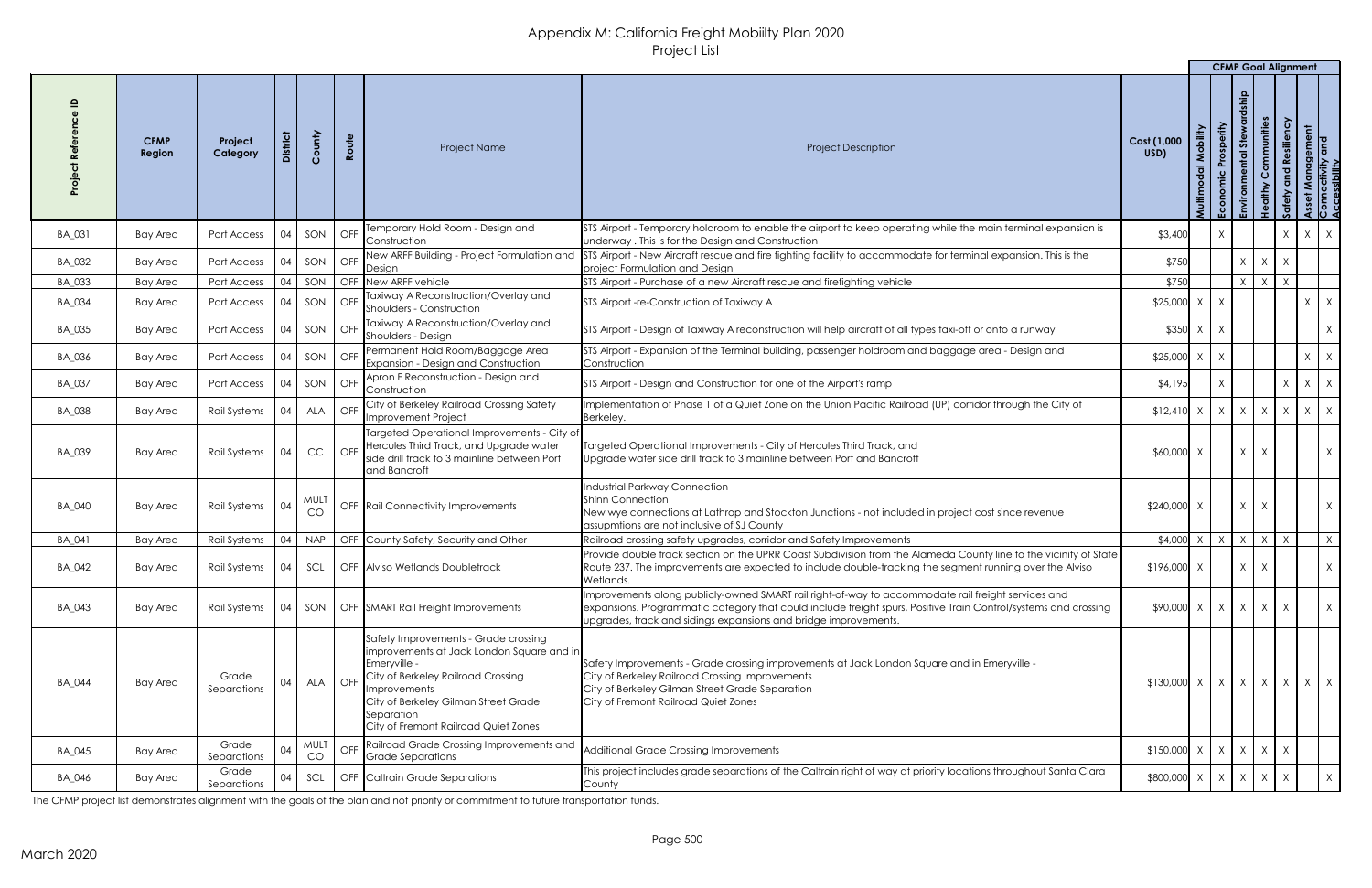|               |                              |                      |                  |                   |                              |                                                                                                                                                                                                                                                                   |                                                                                                                                                                                                                                                                                          |                                                |                                      | <b>CFMP Goal Alignment</b>                    |                            |              |          |                                             |
|---------------|------------------------------|----------------------|------------------|-------------------|------------------------------|-------------------------------------------------------------------------------------------------------------------------------------------------------------------------------------------------------------------------------------------------------------------|------------------------------------------------------------------------------------------------------------------------------------------------------------------------------------------------------------------------------------------------------------------------------------------|------------------------------------------------|--------------------------------------|-----------------------------------------------|----------------------------|--------------|----------|---------------------------------------------|
|               | <b>CFMP</b><br><b>Region</b> | Project<br>Category  | <b>District</b>  | County            | Route                        | <b>Project Name</b>                                                                                                                                                                                                                                               | <b>Project Description</b>                                                                                                                                                                                                                                                               | Cost (1,000<br>USD)                            | Mobility<br>$\overline{5}$<br>Multir | Prosperity<br>$st$ e<br>ntal<br>Economic<br>Æ | Communities<br>althy<br>Ξ. | d Resiliency |          | t Management<br>nectivity and<br>sssibility |
| BA_031        | <b>Bay Area</b>              | Port Access          | 04               | SON               | $\overline{\phantom{a}}$ OFF | Temporary Hold Room - Design and<br>Construction                                                                                                                                                                                                                  | STS Airport - Temporary holdroom to enable the airport to keep operating while the main terminal expansion is<br>underway. This is for the Design and Construction                                                                                                                       | \$3,400                                        |                                      |                                               |                            | $\lambda$    |          | $X \mid X$                                  |
| BA_032        | Bay Area                     | Port Access          | 04               | SON OFF           |                              | New ARFF Building - Project Formulation and<br>Design                                                                                                                                                                                                             | STS Airport - New Aircraft rescue and fire fighting facility to accommodate for terminal expansion. This is the<br>project Formulation and Design                                                                                                                                        | \$750                                          |                                      |                                               | $X \mid X$                 | $\lambda$    |          |                                             |
| BA_033        | <b>Bay Area</b>              | Port Access          | 04               | SON               |                              | OFF New ARFF vehicle                                                                                                                                                                                                                                              | STS Airport - Purchase of a new Aircraft rescue and firefighting vehicle                                                                                                                                                                                                                 | \$750                                          |                                      |                                               | $X \mid X$                 | $\mathsf{X}$ |          |                                             |
| BA_034        | Bay Area                     | Port Access          | 04               | SON               | $\overline{O}$ FF            | Taxiway A Reconstruction/Overlay and<br>Shoulders - Construction                                                                                                                                                                                                  | STS Airport -re-Construction of Taxiway A                                                                                                                                                                                                                                                | $$25,000$ X                                    |                                      |                                               |                            |              |          | $X \mid X$                                  |
| BA_035        | Bay Area                     | Port Access          | 04               | SON               | $\overline{O}$ FF            | Taxiway A Reconstruction/Overlay and<br>Shoulders - Design                                                                                                                                                                                                        | STS Airport - Design of Taxiway A reconstruction will help aircraft of all types taxi-off or onto a runway                                                                                                                                                                               | $$350$ X                                       |                                      | X                                             |                            |              |          | $X \mid$                                    |
| BA_036        | Bay Area                     | Port Access          | 04               | SON               | $\overline{)}$ OFF           | Permanent Hold Room/Baggage Area<br>Expansion - Design and Construction                                                                                                                                                                                           | STS Airport - Expansion of the Terminal building, passenger holdroom and baggage area - Design and<br>Construction                                                                                                                                                                       | $$25,000$ X                                    |                                      |                                               |                            |              |          | $X \mid X$                                  |
| BA_037        | Bay Area                     | Port Access          | 04               |                   |                              | I SON   OFF Apron F Reconstruction - Design and<br><b>Construction</b>                                                                                                                                                                                            | STS Airport - Design and Construction for one of the Airport's ramp                                                                                                                                                                                                                      | \$4,195                                        |                                      |                                               |                            | $\chi$       |          | $X \mid X$                                  |
| BA_038        | Bay Area                     | Rail Systems         | $\sqrt{04}$      | ALA               |                              | OFF City of Berkeley Railroad Crossing Safety<br>Improvement Project                                                                                                                                                                                              | Implementation of Phase 1 of a Quiet Zone on the Union Pacific Railroad (UP) corridor through the City of<br>Berkeley.                                                                                                                                                                   | $$12,410 \times$                               |                                      | $X$ $X$ $X$                                   |                            | X            | $X \mid$ | $1 \times$                                  |
| BA_039        | Bay Area                     | Rail Systems         | $\bigcup$ 04     | CC                |                              | Targeted Operational Improvements - City of<br>OFF Hercules Third Track, and Upgrade water<br>side drill track to 3 mainline between Port<br>and Bancroft                                                                                                         | Targeted Operational Improvements - City of Hercules Third Track, and<br>Upgrade water side drill track to 3 mainline between Port and Bancroft                                                                                                                                          | $$60,000$ X                                    |                                      |                                               | $X \mid X$                 |              |          | X                                           |
| BA_040        | Bay Area                     | Rail Systems         | $\big  04$       | <b>MULT</b><br>CO |                              | OFF Rail Connectivity Improvements                                                                                                                                                                                                                                | <b>Industrial Parkway Connection</b><br><b>Shinn Connection</b><br>New wye connections at Lathrop and Stockton Junctions - not included in project cost since revenue<br>assupmtions are not inclusive of SJ County                                                                      | $$240,000$ X                                   |                                      |                                               | $X \mid X$                 |              |          | $X \mid$                                    |
| <b>BA 041</b> | <b>Bay Area</b>              | <b>Rail Systems</b>  | 04               | <b>NAP</b>        |                              | OFF County Safety, Security and Other                                                                                                                                                                                                                             | Railroad crossing safety upgrades, corridor and Safety Improvements                                                                                                                                                                                                                      | $$4,000$ X                                     |                                      | X<br>$\mathsf{X}$                             | X                          |              |          | X                                           |
| BA_042        | Bay Area                     | Rail Systems         | $\overline{)04}$ | SCL               |                              | <b>OFF Alviso Wetlands Doubletrack</b>                                                                                                                                                                                                                            | Provide double track section on the UPRR Coast Subdivision from the Alameda County line to the vicinity of State<br>Route 237. The improvements are expected to include double-tracking the segment running over the Alviso<br>Wetlands.                                                 | $$196,000$ X                                   |                                      |                                               | $\mathsf{X}$<br>$\times$   |              |          | X                                           |
| BA_043        | Bay Area                     | Rail Systems         | $\bigcup$ 04     |                   |                              | SON   OFF SMART Rail Freight Improvements                                                                                                                                                                                                                         | Improvements along publicly-owned SMART rail right-of-way to accommodate rail freight services and<br>expansions. Programmatic category that could include freight spurs, Positive Train Control/systems and crossing<br>upgrades, track and sidings expansions and bridge improvements. | $$90,000$ X                                    |                                      | $X \mid X \mid X$                             |                            | $\chi$       |          | X                                           |
| <b>BA_044</b> | <b>Bay Area</b>              | Grade<br>Separations | 04               | ALA               |                              | Safety Improvements - Grade crossing<br>limprovements at Jack London Square and in<br>Emeryville -<br>OFF City of Berkeley Railroad Crossing<br><i>Improvements</i><br>City of Berkeley Gilman Street Grade<br>Separation<br>City of Fremont Railroad Quiet Zones | Safety Improvements - Grade crossing improvements at Jack London Square and in Emeryville -<br>City of Berkeley Railroad Crossing Improvements<br>City of Berkeley Gilman Street Grade Separation<br>City of Fremont Railroad Quiet Zones                                                |                                                |                                      |                                               |                            |              |          |                                             |
| BA_045        | <b>Bay Area</b>              | Grade<br>Separations | -04              | <b>MULT</b><br>CO |                              | OFF Railroad Grade Crossing Improvements and<br>Grade Separations                                                                                                                                                                                                 | Additional Grade Crossing Improvements                                                                                                                                                                                                                                                   | $$150,000$ X                                   |                                      | $X \mid X \mid X$                             |                            | $\mathsf{X}$ |          |                                             |
| BA_046        | <b>Bay Area</b>              | Grade<br>Separations | -04              | SCL               |                              | OFF Caltrain Grade Separations                                                                                                                                                                                                                                    | This project includes grade separations of the Caltrain right of way at priority locations throughout Santa Clara<br>County                                                                                                                                                              | $$800,000 \times   \times   \times   \times  $ |                                      |                                               |                            | $\chi$       |          | X                                           |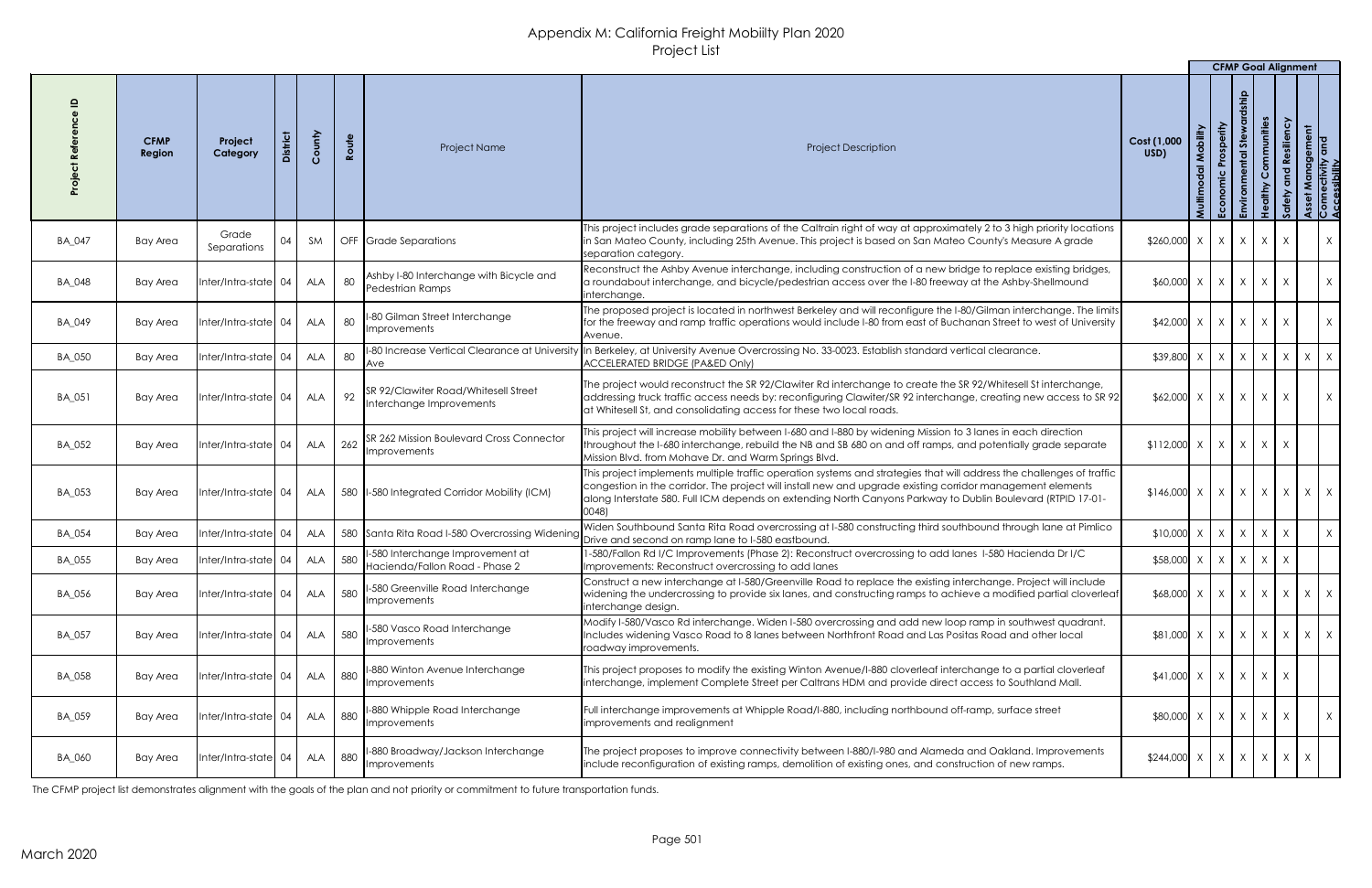|               |                       |                                        |            |     |                                                                         |                                                                                                                                                                                                                                                                                                                                                             |                                                                  |                        | <b>CFMP Goal Alignment</b> |                      |                                               |   |                                             |
|---------------|-----------------------|----------------------------------------|------------|-----|-------------------------------------------------------------------------|-------------------------------------------------------------------------------------------------------------------------------------------------------------------------------------------------------------------------------------------------------------------------------------------------------------------------------------------------------------|------------------------------------------------------------------|------------------------|----------------------------|----------------------|-----------------------------------------------|---|---------------------------------------------|
|               | <b>CFMP</b><br>Region | <b>District</b><br>Project<br>Category | County     |     | Route<br>Project Name                                                   | <b>Project Description</b>                                                                                                                                                                                                                                                                                                                                  | Mobility<br>Cost (1,000<br>USD)<br>$\overline{\sigma}$<br>Multim | Prosperity<br>Economic | qinsl<br>Stewal<br>ntal    | Communities<br>dithy | silien<br><u>ဇ</u><br>$\overline{\mathbf{Q}}$ |   | t Management<br>nectivity and<br>essibility |
| <b>BA_047</b> | <b>Bay Area</b>       | Grade<br>04<br>Separations             | SM         |     | OFF Grade Separations                                                   | This project includes grade separations of the Caltrain right of way at approximately 2 to 3 high priority locations<br>in San Mateo County, including 25th Avenue. This project is based on San Mateo County's Measure A grade<br>separation category.                                                                                                     | $$260,000$ X                                                     | X                      |                            | $x \mid x \mid$      | $\mathsf{X}$                                  |   | X                                           |
| BA_048        | Bay Area              | $Inter/Intro-state$ 04                 | <b>ALA</b> | 80  | Ashby I-80 Interchange with Bicycle and<br>Pedestrian Ramps             | Reconstruct the Ashby Avenue interchange, including construction of a new bridge to replace existing bridges,<br>a roundabout interchange, and bicycle/pedestrian access over the I-80 freeway at the Ashby-Shellmound<br>linterchange.                                                                                                                     | $$60,000$ X                                                      | $\mathsf{X}$           |                            | $X \mid X$           | $\mathsf{X}$                                  |   | X                                           |
| <b>BA_049</b> | Bay Area              | $Inter/Intro-state$ 04                 | <b>ALA</b> | 80  | -80 Gilman Street Interchange<br>Improvements                           | The proposed project is located in northwest Berkeley and will reconfigure the I-80/Gilman interchange. The limits<br>for the freeway and ramp traffic operations would include I-80 from east of Buchanan Street to west of University<br>Avenue.                                                                                                          | $$42,000$ X                                                      | X                      |                            | $X \mid X$           | X                                             |   | X                                           |
| <b>BA_050</b> | <b>Bay Area</b>       | Inter/Intra-state 04                   | <b>ALA</b> | 80  | <b>Ave</b>                                                              | -80 Increase Vertical Clearance at University  In Berkeley, at University Avenue Overcrossing No. 33-0023. Establish standard vertical clearance.<br><b>ACCELERATED BRIDGE (PA&amp;ED Only)</b>                                                                                                                                                             | \$39,800                                                         | X                      |                            |                      | $x \mid x \mid x \mid x \mid x$               |   |                                             |
| <b>BA_051</b> | Bay Area              | Inter/Intra-state 04                   | <b>ALA</b> | 92  | <b>SR 92/Clawiter Road/Whitesell Street</b><br>Interchange Improvements | The project would reconstruct the SR 92/Clawiter Rd interchange to create the SR 92/Whitesell St interchange,<br>addressing truck traffic access needs by: reconfiguring Clawiter/SR 92 interchange, creating new access to SR 92<br>at Whitesell St, and consolidating access for these two local roads.                                                   | $$62,000$ X                                                      | X                      | X                          | X                    | $\mathsf{X}$                                  |   | $\mathsf{X}$                                |
| BA_052        | <b>Bay Area</b>       | Inter/Intra-state 04                   | <b>ALA</b> | 262 | SR 262 Mission Boulevard Cross Connector<br>Improvements                | This project will increase mobility between I-680 and I-880 by widening Mission to 3 lanes in each direction<br>throughout the I-680 interchange, rebuild the NB and SB 680 on and off ramps, and potentially grade separate<br>Mission Blvd. from Mohave Dr. and Warm Springs Blvd.                                                                        | $$112,000$ X                                                     | $\mathsf{X}$           |                            | $X \mid X \mid X$    |                                               |   |                                             |
| BA_053        | Bay Area              | Inter/Intra-state   04                 | <b>ALA</b> |     | 580  I-580 Integrated Corridor Mobility (ICM)                           | This project implements multiple traffic operation systems and strategies that will address the challenges of traffic<br>congestion in the corridor. The project will install new and upgrade existing corridor management elements<br>along Interstate 580. Full ICM depends on extending North Canyons Parkway to Dublin Boulevard (RTPID 17-01-<br>0048) | $$146,000$ X                                                     | X                      |                            |                      | $X \mid X \mid X \mid X \mid X$               |   |                                             |
| BA_054        | <b>Bay Area</b>       | Inter/Intra-state 04                   | <b>ALA</b> |     | 580 Santa Rita Road I-580 Overcrossing Widening                         | Widen Southbound Santa Rita Road overcrossing at I-580 constructing third southbound through lane at Pimlico<br>Drive and second on ramp lane to I-580 eastbound.                                                                                                                                                                                           | $$10,000$ X                                                      | X                      |                            | $X \mid X$           | $\mathsf{X}$                                  |   | X                                           |
| <b>BA_055</b> | <b>Bay Area</b>       | Inter/Intra-state 04                   | <b>ALA</b> | 580 | -580 Interchange Improvement at<br>Hacienda/Fallon Road - Phase 2       | -580/Fallon Rd I/C Improvements (Phase 2): Reconstruct overcrossing to add lanes 1-580 Hacienda Dr I/C<br>Improvements: Reconstruct overcrossing to add lanes                                                                                                                                                                                               | \$58,000 X                                                       | $\mathsf{X}$           |                            | $X \mid X \mid X$    |                                               |   |                                             |
| <b>BA_056</b> | Bay Area              | Inter/Intra-state 04                   | <b>ALA</b> | 580 | -580 Greenville Road Interchange<br><b>Improvements</b>                 | Construct a new interchange at I-580/Greenville Road to replace the existing interchange. Project will include<br>widening the undercrossing to provide six lanes, and constructing ramps to achieve a modified partial cloverleaf<br>interchange design.                                                                                                   | $$68,000$ X                                                      | X                      |                            |                      | $X \mid X \mid X$                             |   | $X \mid X$                                  |
| BA_057        | Bay Area              | Inter/Intra-state 04                   | ALA        | 580 | -580 Vasco Road Interchange<br><b>Improvements</b>                      | Modify I-580/Vasco Rd interchange. Widen I-580 overcrossing and add new loop ramp in southwest quadrant.<br>Includes widening Vasco Road to 8 lanes between Northfront Road and Las Positas Road and other local<br>roadway improvements.                                                                                                                   | \$81,000 X                                                       | X                      |                            |                      | $x \mid x \mid x \mid x \mid x$               |   |                                             |
| <b>BA_058</b> | Bay Area              | Inter/Intra-state 04                   | ALA        | 880 | -880 Winton Avenue Interchange<br><i>Improvements</i>                   | This project proposes to modify the existing Winton Avenue/I-880 cloverleaf interchange to a partial cloverleaf<br>Interchange, implement Complete Street per Caltrans HDM and provide direct access to Southland Mall.                                                                                                                                     | $$41,000$ X                                                      | X                      |                            | $X$ $X$ $X$          |                                               |   |                                             |
| BA_059        | Bay Area              | Inter/Intra-state 04                   | ALA        | 880 | -880 Whipple Road Interchange<br>Improvements                           | Full interchange improvements at Whipple Road/I-880, including northbound off-ramp, surface street<br>improvements and realignment                                                                                                                                                                                                                          | \$80,000 X                                                       | X                      |                            | $X \mid X$           | $\mathsf{X}$                                  |   | $\mathsf{X}$                                |
| BA_060        | Bay Area              | Inter/Intra-state   04                 | ALA        | 880 | -880 Broadway/Jackson Interchange<br>Improvements                       | The project proposes to improve connectivity between I-880/I-980 and Alameda and Oakland. Improvements<br>include reconfiguration of existing ramps, demolition of existing ones, and construction of new ramps.                                                                                                                                            | $$244,000$ X                                                     | X                      |                            |                      | $X \mid X \mid X$                             | X |                                             |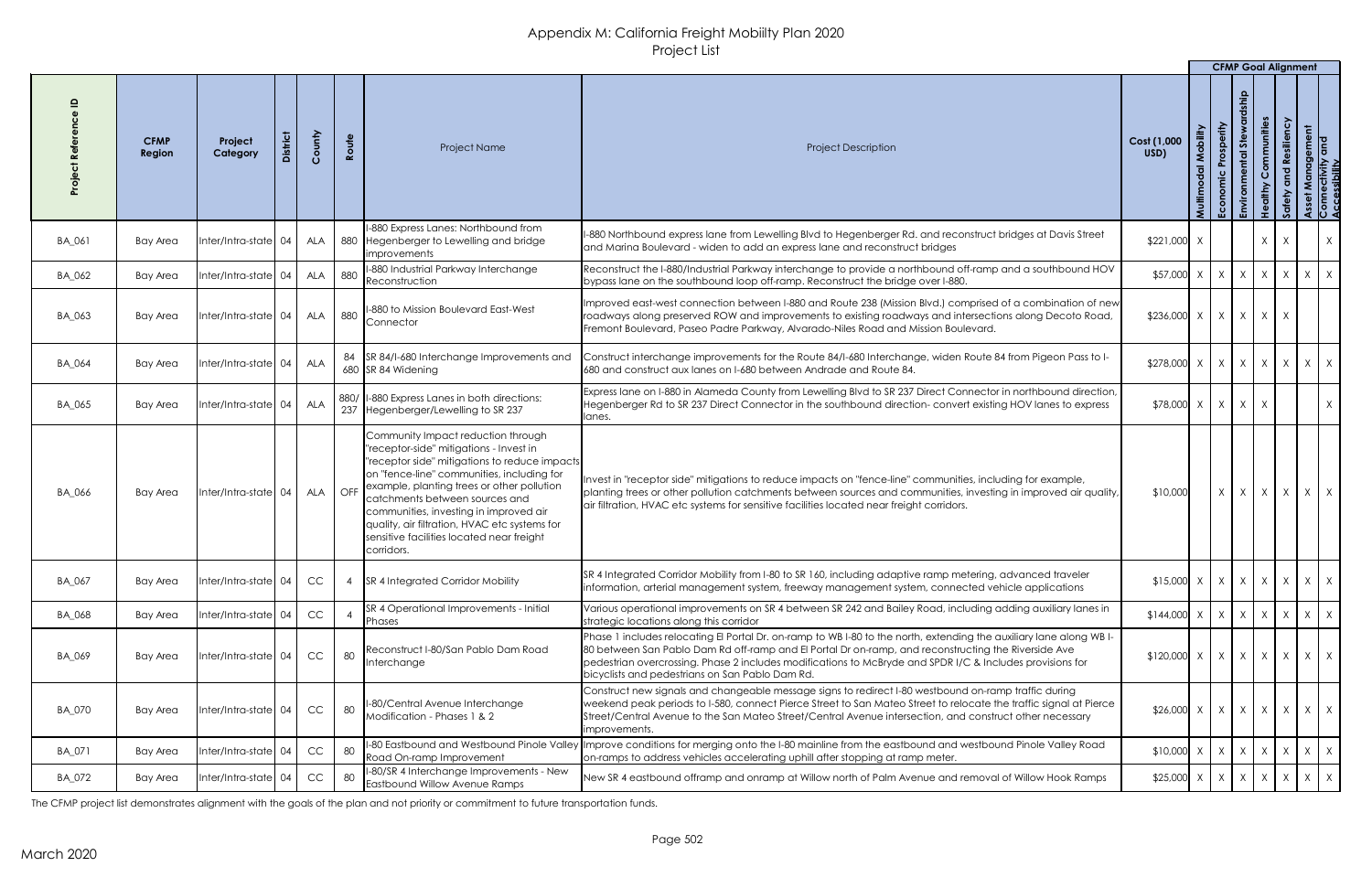|               |                       |                        |            |                               |                                                                                                                                                                                                                                                                                                                                                                                                                      |                                                                                                                                                                                                                                                                                                                                                                                            |                                                     |                    | <b>CFMP Goal Alignment</b> |        |                           |              |                                          |
|---------------|-----------------------|------------------------|------------|-------------------------------|----------------------------------------------------------------------------------------------------------------------------------------------------------------------------------------------------------------------------------------------------------------------------------------------------------------------------------------------------------------------------------------------------------------------|--------------------------------------------------------------------------------------------------------------------------------------------------------------------------------------------------------------------------------------------------------------------------------------------------------------------------------------------------------------------------------------------|-----------------------------------------------------|--------------------|----------------------------|--------|---------------------------|--------------|------------------------------------------|
|               | <b>CFMP</b><br>Region | Project<br>Category    | County     | Route                         | Project Name                                                                                                                                                                                                                                                                                                                                                                                                         | <b>Project Description</b>                                                                                                                                                                                                                                                                                                                                                                 | Cost (1,000<br>USD)                                 | Mobility<br>Multin | Prosperity<br>Economic     | $s$ te | Communities<br>Resiliency |              | Management<br>lectivity and<br>ssibility |
| BA_061        | Bay Area              | $Inter/Intra-state$ 04 | ALA        |                               | 1-880 Express Lanes: Northbound from<br>880 Hegenberger to Lewelling and bridge<br><i>limprovements</i>                                                                                                                                                                                                                                                                                                              | I-880 Northbound express lane from Lewelling Blvd to Hegenberger Rd. and reconstruct bridges at Davis Street<br>and Marina Boulevard - widen to add an express lane and reconstruct bridges                                                                                                                                                                                                | $$221,000$ X                                        |                    |                            |        | X<br>$\mathsf{X}$         |              | X                                        |
| BA_062        | <b>Bay Area</b>       | Inter/Intra-state 04   | <b>ALA</b> | 880                           | 1-880 Industrial Parkway Interchange<br>Reconstruction                                                                                                                                                                                                                                                                                                                                                               | Reconstruct the I-880/Industrial Parkway interchange to provide a northbound off-ramp and a southbound HOV<br>bypass lane on the southbound loop off-ramp. Reconstruct the bridge over I-880.                                                                                                                                                                                              | $$57,000$ X                                         |                    | $X$ $X$ $X$ $X$            |        |                           |              | $X \mid X$                               |
| BA_063        | <b>Bay Area</b>       | Inter/Intra-state $04$ | <b>ALA</b> |                               | 1 880   I-880 to Mission Boulevard East-West<br><b>Connector</b>                                                                                                                                                                                                                                                                                                                                                     | Improved east-west connection between I-880 and Route 238 (Mission Blvd.) comprised of a combination of new<br>roadways along preserved ROW and improvements to existing roadways and intersections along Decoto Road,<br>Fremont Boulevard, Paseo Padre Parkway, Alvarado-Niles Road and Mission Boulevard.                                                                               | $$236,000 \times   X   X   X$                       |                    |                            |        |                           |              |                                          |
| BA_064        | <b>Bay Area</b>       | Inter/Intra-state 04   | ALA        |                               | 84 SR 84/I-680 Interchange Improvements and<br>680 SR 84 Widening                                                                                                                                                                                                                                                                                                                                                    | Construct interchange improvements for the Route 84/I-680 Interchange, widen Route 84 from Pigeon Pass to I-<br>680 and construct aux lanes on 1-680 between Andrade and Route 84.                                                                                                                                                                                                         | $$278,000 \times X \times X \times X \times X$      |                    |                            |        |                           |              |                                          |
| BA_065        | Bay Area              | Inter/Intra-state  04  | <b>ALA</b> |                               | 880/  I-880 Express Lanes in both directions:<br>237 Hegenberger/Lewelling to SR 237                                                                                                                                                                                                                                                                                                                                 | Express lane on I-880 in Alameda County from Lewelling Blvd to SR 237 Direct Connector in northbound direction,<br>Hegenberger Rd to SR 237 Direct Connector in the southbound direction- convert existing HOV lanes to express<br>lanes.                                                                                                                                                  | $$78,000 \times   \times   \times   \times$         |                    |                            |        |                           |              | $X \mid$                                 |
| BA_066        | Bay Area              | Inter/Intra-state 04   | ALA        | $\overline{\overline{O}}$ OFF | Community Impact reduction through<br>"receptor-side" mitigations - Invest in<br> "receptor side" mitigations to reduce impacts <br>on "fence-line" communities, including for<br>example, planting trees or other pollution<br>catchments between sources and<br>communities, investing in improved air<br>quality, air filtration, HVAC etc systems for<br>sensitive facilities located near freight<br>corridors. | Invest in "receptor side" mitigations to reduce impacts on "fence-line" communities, including for example,<br>planting trees or other pollution catchments between sources and communities, investing in improved air quality<br>air filtration, HVAC etc systems for sensitive facilities located near freight corridors.                                                                | \$10,000                                            |                    |                            |        |                           |              | $x \mid x \mid x \mid x \mid x \mid x$   |
| BA_067        | Bay Area              | Inter/Intra-state 04   | CC         |                               | <b>SR 4 Integrated Corridor Mobility</b>                                                                                                                                                                                                                                                                                                                                                                             | SR 4 Integrated Corridor Mobility from I-80 to SR 160, including adaptive ramp metering, advanced traveler<br>information, arterial management system, freeway management system, connected vehicle applications                                                                                                                                                                           | $$15,000 \times \times \times \times \times \times$ |                    |                            |        |                           | $\mathsf{X}$ | $X \mid X$                               |
| BA_068        | <b>Bay Area</b>       | Inter/Intra-state  04  | <b>CC</b>  |                               | SR 4 Operational Improvements - Initial<br><b>Phases</b>                                                                                                                                                                                                                                                                                                                                                             | Various operational improvements on SR 4 between SR 242 and Bailey Road, including adding auxiliary lanes in<br>strategic locations along this corridor                                                                                                                                                                                                                                    | $$144,000$ X                                        |                    | $X \mid X \mid X$          |        | X                         |              | $X \mid X$                               |
| BA_069        | <b>Bay Area</b>       | Inter/Intra-state 04   | CC         | 80                            | Reconstruct I-80/San Pablo Dam Road<br>Interchange                                                                                                                                                                                                                                                                                                                                                                   | Phase 1 includes relocating El Portal Dr. on-ramp to WB I-80 to the north, extending the auxiliary lane along WB I-<br>80 between San Pablo Dam Rd off-ramp and El Portal Dr on-ramp, and reconstructing the Riverside Ave<br>pedestrian overcrossing. Phase 2 includes modifications to McBryde and SPDR I/C & Includes provisions for<br>bicyclists and pedestrians on San Pablo Dam Rd. | $$120,000 \times   X   X   X$                       |                    |                            |        |                           | $\mathsf{X}$ | $X \mid X$                               |
| <b>BA_070</b> | Bay Area              | Inter/Intra-state 04   | CC         | 80                            | I-80/Central Avenue Interchange<br>Modification - Phases 1 & 2                                                                                                                                                                                                                                                                                                                                                       | Construct new signals and changeable message signs to redirect I-80 westbound on-ramp traffic during<br>weekend peak periods to I-580, connect Pierce Street to San Mateo Street to relocate the traffic signal at Pierce<br>Street/Central Avenue to the San Mateo Street/Central Avenue intersection, and construct other necessary<br>improvements.                                     | $$26,000$ X                                         |                    | $X \mid X \mid X$          |        |                           | $\mathsf{X}$ | $X \mid X$                               |
| BA_071        | <b>Bay Area</b>       | $Inter/Intra-state$ 04 | CC         | 80                            | Road On-ramp Improvement                                                                                                                                                                                                                                                                                                                                                                                             | II-80 Eastbound and Westbound Pinole Valley Improve conditions for merging onto the I-80 mainline from the eastbound and westbound Pinole Valley Road<br>on-ramps to address vehicles accelerating uphill after stopping at ramp meter.                                                                                                                                                    | $$10,000$ X                                         |                    | $X \mid X \mid X$          |        | X                         |              | $X \mid X$                               |
| BA_072        | Bay Area              | Inter/Intra-state  04  | CC         |                               | II-80/SR 4 Interchange Improvements - New<br>Eastbound Willow Avenue Ramps                                                                                                                                                                                                                                                                                                                                           | New SR 4 eastbound offramp and onramp at Willow north of Palm Avenue and removal of Willow Hook Ramps                                                                                                                                                                                                                                                                                      | $$25,000 \times   \times   \times   \times  $       |                    |                            |        |                           | $\mathsf{X}$ | $X \mid X$                               |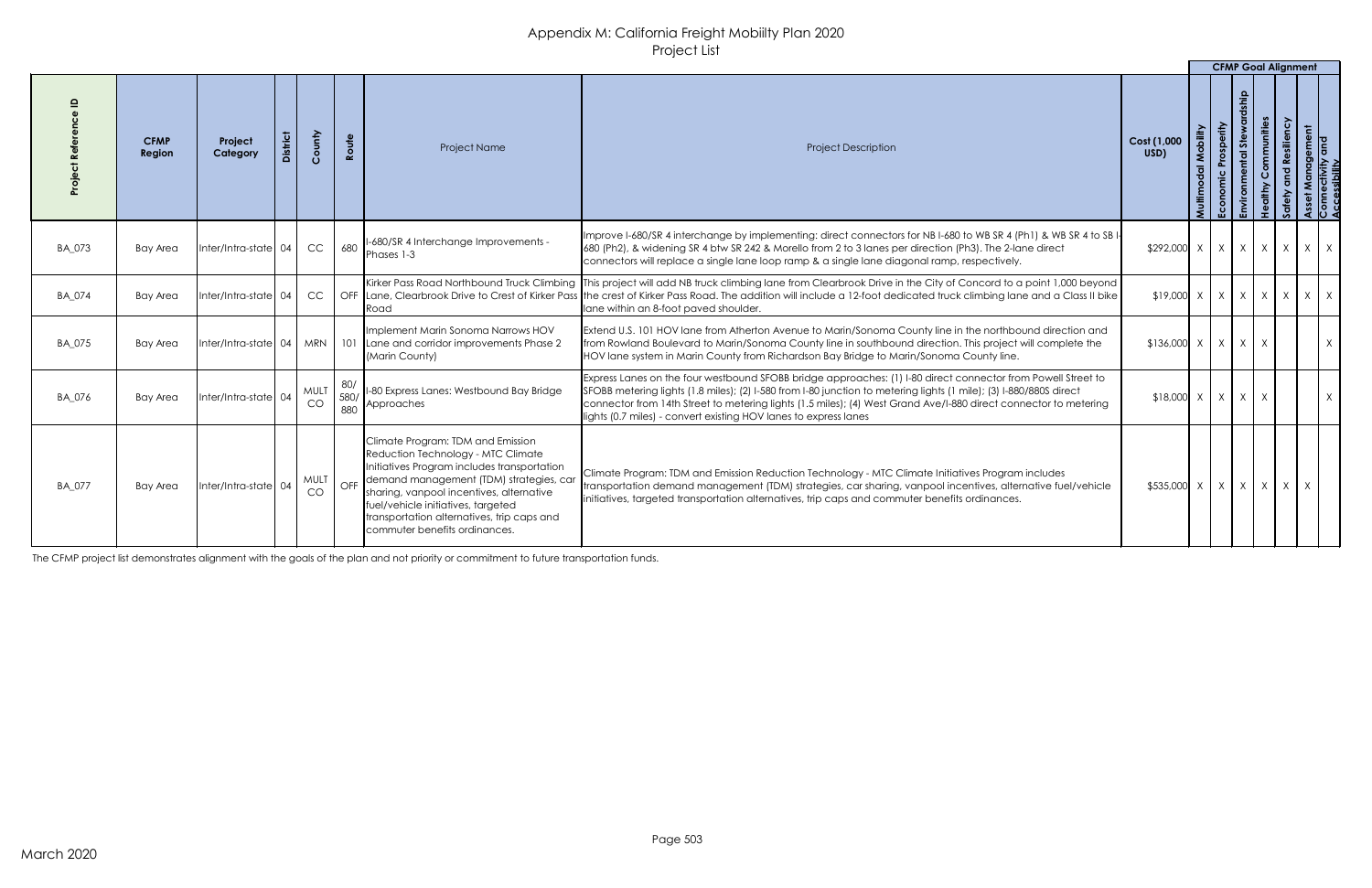|               |                       |                       |                   |             |                                                                                                                                                                                                                                                                                                                                                 |                                                                                                                                                                                                                                                                                                                                                                                                                            |                                                                                                                                                                                                                                                                                                                                                                                                                                       | <b>CFMP Goal Alignment</b> |   |                       |                                             |
|---------------|-----------------------|-----------------------|-------------------|-------------|-------------------------------------------------------------------------------------------------------------------------------------------------------------------------------------------------------------------------------------------------------------------------------------------------------------------------------------------------|----------------------------------------------------------------------------------------------------------------------------------------------------------------------------------------------------------------------------------------------------------------------------------------------------------------------------------------------------------------------------------------------------------------------------|---------------------------------------------------------------------------------------------------------------------------------------------------------------------------------------------------------------------------------------------------------------------------------------------------------------------------------------------------------------------------------------------------------------------------------------|----------------------------|---|-----------------------|---------------------------------------------|
|               | <b>CFMP</b><br>Region | Project<br>Category   | County            | Route       | Project Name                                                                                                                                                                                                                                                                                                                                    | <b>Project Description</b>                                                                                                                                                                                                                                                                                                                                                                                                 | Cost (1,000<br>USD)                                                                                                                                                                                                                                                                                                                                                                                                                   | Prosperity                 | あ | Communities<br>silien | t Management<br>nectivity and<br>sssibility |
| BA_073        | <b>Bay Area</b>       | Inter/Intra-state 04  | CC                | 680         | I-680/SR 4 Interchange Improvements -<br>Phases 1-3                                                                                                                                                                                                                                                                                             | Improve I-680/SR 4 interchange by implementing: direct connectors for NB I-680 to WB SR 4 (Ph1) & WB SR 4 to SB I-<br>680 (Ph2), & widening SR 4 btw SR 242 & Morello from 2 to 3 lanes per direction (Ph3). The 2-lane direct<br>connectors will replace a single lane loop ramp & a single lane diagonal ramp, respectively.                                                                                             | $\left  x \right  292,000 \left  x \right  100 \left  x \right  100 \left  x \right  100 \left  x \right  100 \left  x \right  100 \left  x \right  100 \left  x \right  100 \left  x \right  100 \left  x \right  100 \left  x \right  100 \left  x \right  100 \left  x \right  100 \left  x \right  100 \left  x \right  100 \left  x \right  100 \left  x \right  100 \left  x \right  100 \left  x \right  100 \left  x \right $ |                            |   |                       | $\mathsf{X}$                                |
| BA_074        | <b>Bay Area</b>       | Inter/Intra-state  04 | <b>CC</b>         |             | Kirker Pass Road Northbound Truck Climbing<br>OFF Lane, Clearbrook Drive to Crest of Kirker Pass<br> Road                                                                                                                                                                                                                                       | This project will add NB truck climbing lane from Clearbrook Drive in the City of Concord to a point 1,000 beyond<br>the crest of Kirker Pass Road. The addition will include a 12-foot dedicated truck climbing lane and a Class II bike<br>lane within an 8-foot paved shoulder.                                                                                                                                         | $\{19,000 \mid X \mid X \mid X \mid X \mid X \mid X \}$                                                                                                                                                                                                                                                                                                                                                                               |                            |   |                       | $\mathsf{X}$                                |
| <b>BA_075</b> | <b>Bay Area</b>       |                       |                   |             | Implement Marin Sonoma Narrows HOV<br>Inter/Intra-state   04   MRN   101   Lane and corridor improvements Phase 2<br>(Marin County)                                                                                                                                                                                                             | Extend U.S. 101 HOV lane from Atherton Avenue to Marin/Sonoma County line in the northbound direction and<br>from Rowland Boulevard to Marin/Sonoma County line in southbound direction. This project will complete the<br>HOV lane system in Marin County from Richardson Bay Bridge to Marin/Sonoma County line.                                                                                                         | $$136,000 \times   \times   \times   \times$                                                                                                                                                                                                                                                                                                                                                                                          |                            |   |                       | X                                           |
| BA_076        | Bay Area              | Inter/Intra-state  04 | <b>MULT</b><br>CO | 580/<br>880 | I-80 Express Lanes: Westbound Bay Bridge<br>Approaches                                                                                                                                                                                                                                                                                          | Express Lanes on the four westbound SFOBB bridge approaches: (1) I-80 direct connector from Powell Street to<br>SFOBB metering lights (1.8 miles); (2) I-580 from I-80 junction to metering lights (1 mile); (3) I-880/880S direct<br>connector from 14th Street to metering lights (1.5 miles); (4) West Grand Ave/I-880 direct connector to metering<br>lights (0.7 miles) - convert existing HOV lanes to express lanes | $$18,000$ $\times$ $\times$ $\times$ $\times$                                                                                                                                                                                                                                                                                                                                                                                         |                            |   |                       | $X \mid$                                    |
| BA_077        | Bay Area              | Inter/Intra-state  04 | CO                |             | Climate Program: TDM and Emission<br>Reduction Technology - MTC Climate<br>Initiatives Program includes transportation<br>MULT   OFF   demand management (TDM) strategies, car<br>sharing, vanpool incentives, alternative<br>fuel/vehicle initiatives, targeted<br>transportation alternatives, trip caps and<br>commuter benefits ordinances. | Climate Program: TDM and Emission Reduction Technology - MTC Climate Initiatives Program includes<br>transportation demand management (TDM) strategies, car sharing, vanpool incentives, alternative fuel/vehicle<br>initiatives, targeted transportation alternatives, trip caps and commuter benefits ordinances.                                                                                                        | $$535,000 \times   X   X   X$                                                                                                                                                                                                                                                                                                                                                                                                         |                            |   | $\mathsf{X}$          |                                             |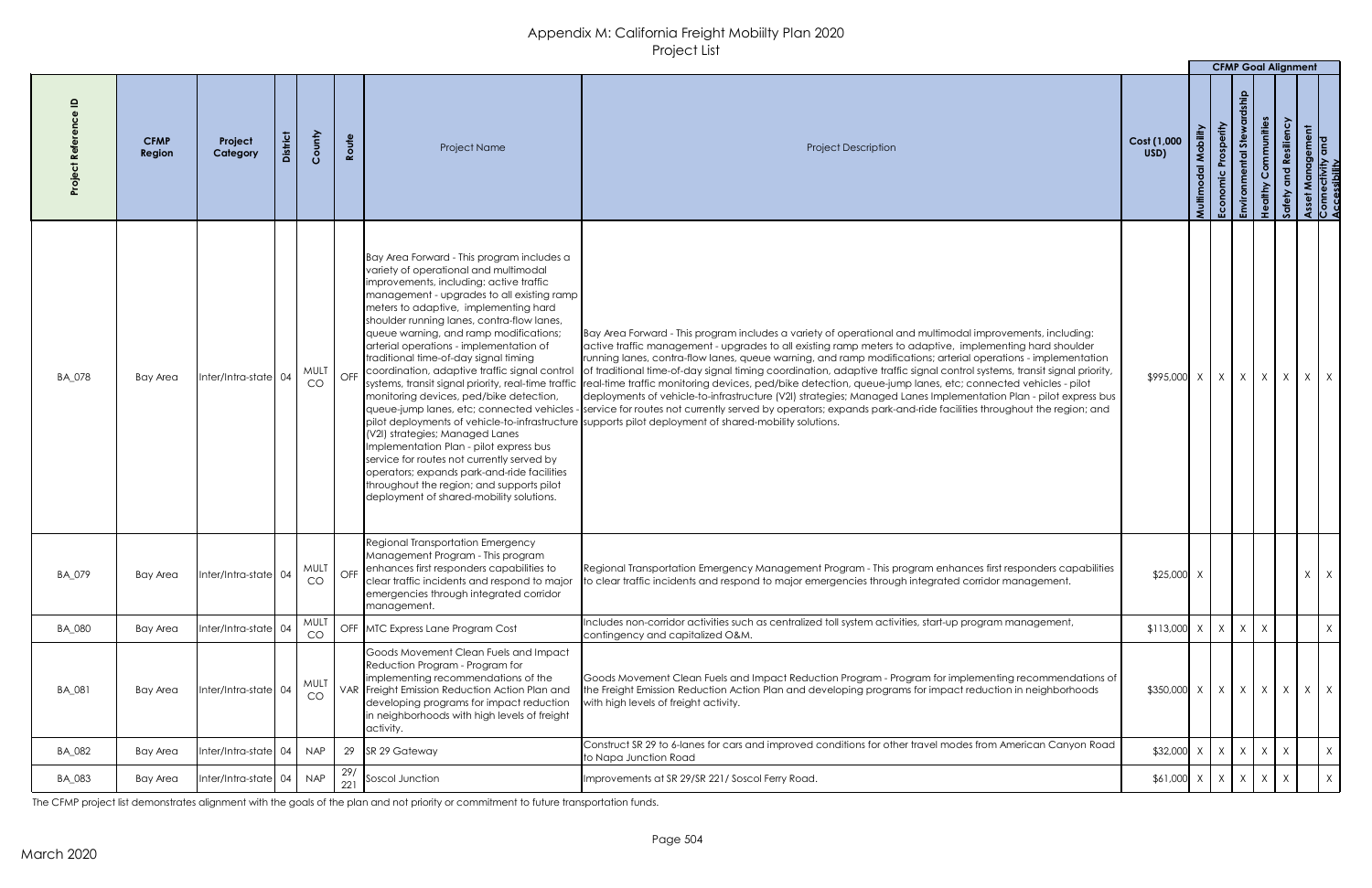|               |                       |                      |                   |                                                                                                                                                                                                                                                                                                                                                                                                                                                                                                                                                                                                                                                                                                                                                                       |                                                                                                                                                                                                                                                                                                                                                                                                                                                                                                                                                                                                                                                                                                                                                                                                                                                                                                                                                                                                                                       |                     |        |                        | <b>CFMP Goal Alignment</b>      |                   |               |
|---------------|-----------------------|----------------------|-------------------|-----------------------------------------------------------------------------------------------------------------------------------------------------------------------------------------------------------------------------------------------------------------------------------------------------------------------------------------------------------------------------------------------------------------------------------------------------------------------------------------------------------------------------------------------------------------------------------------------------------------------------------------------------------------------------------------------------------------------------------------------------------------------|---------------------------------------------------------------------------------------------------------------------------------------------------------------------------------------------------------------------------------------------------------------------------------------------------------------------------------------------------------------------------------------------------------------------------------------------------------------------------------------------------------------------------------------------------------------------------------------------------------------------------------------------------------------------------------------------------------------------------------------------------------------------------------------------------------------------------------------------------------------------------------------------------------------------------------------------------------------------------------------------------------------------------------------|---------------------|--------|------------------------|---------------------------------|-------------------|---------------|
|               | <b>CFMP</b><br>Region | Project<br>Category  | County            | Route<br>Project Name                                                                                                                                                                                                                                                                                                                                                                                                                                                                                                                                                                                                                                                                                                                                                 | <b>Project Description</b>                                                                                                                                                                                                                                                                                                                                                                                                                                                                                                                                                                                                                                                                                                                                                                                                                                                                                                                                                                                                            | Cost (1,000<br>USD) | Multin | Prosperity<br>Economic | ommunities<br>ste               |                   | lement<br>and |
| BA_078        | Bay Area              | Inter/Intra-state 04 | <b>MULT</b><br>CO | Bay Area Forward - This program includes a<br>variety of operational and multimodal<br>improvements, including: active traffic<br>management - upgrades to all existing ramp<br>meters to adaptive, implementing hard<br>shoulder running lanes, contra-flow lanes,<br>queue warning, and ramp modifications;<br>arterial operations - implementation of<br>traditional time-of-day signal timing<br>OFF Coordination, adaptive traffic signal control<br>monitoring devices, ped/bike detection,<br>(V2I) strategies; Managed Lanes<br>Implementation Plan - pilot express bus<br>service for routes not currently served by<br>operators; expands park-and-ride facilities<br>throughout the region; and supports pilot<br>deployment of shared-mobility solutions. | Bay Area Forward - This program includes a variety of operational and multimodal improvements, including:<br>active traffic management - upgrades to all existing ramp meters to adaptive, implementing hard shoulder<br>running lanes, contra-flow lanes, queue warning, and ramp modifications; arterial operations - implementation<br>of traditional time-of-day signal timing coordination, adaptive traffic signal control systems, transit signal priority,<br>systems, transit signal priority, real-time traffic  real-time traffic monitoring devices, ped/bike detection, queue-jump lanes, etc; connected vehicles - pilot<br>deployments of vehicle-to-infrastructure (V2I) strategies; Managed Lanes Implementation Plan - pilot express bus<br>queue-jump lanes, etc; connected vehicles - service for routes not currently served by operators; expands park-and-ride facilities throughout the region; and<br>pilot deployments of vehicle-to-infrastructure supports pilot deployment of shared-mobility solutions. | \$995,000 X         |        | X                      | $x \mid x \mid x \mid x \mid x$ |                   |               |
| BA_079        | <b>Bay Area</b>       | Inter/Intra-state 04 | <b>MULT</b><br>CO | <b>Regional Transportation Emergency</b><br>Management Program - This program<br>OFF enhances first responders capabilities to<br>clear traffic incidents and respond to major<br>emergencies through integrated corridor<br>management.                                                                                                                                                                                                                                                                                                                                                                                                                                                                                                                              | Regional Transportation Emergency Management Program - This program enhances first responders capabilities<br>o clear traffic incidents and respond to major emergencies through integrated corridor management.                                                                                                                                                                                                                                                                                                                                                                                                                                                                                                                                                                                                                                                                                                                                                                                                                      | $$25,000$ X         |        |                        |                                 |                   | $X \mid X$    |
| <b>BA_080</b> | Bay Area              | Inter/Intra-state 04 | <b>MULT</b><br>CO | OFF MTC Express Lane Program Cost                                                                                                                                                                                                                                                                                                                                                                                                                                                                                                                                                                                                                                                                                                                                     | Includes non-corridor activities such as centralized toll system activities, start-up program management,<br>contingency and capitalized O&M.                                                                                                                                                                                                                                                                                                                                                                                                                                                                                                                                                                                                                                                                                                                                                                                                                                                                                         | $$113,000$ X X      |        |                        | X<br>$\times$                   |                   | X             |
| BA_081        | <b>Bay Area</b>       | Inter/Intra-state 04 | MULT<br>CO        | Goods Movement Clean Fuels and Impact<br>Reduction Program - Program for<br>implementing recommendations of the<br>VAR Freight Emission Reduction Action Plan and<br>developing programs for impact reduction<br>in neighborhoods with high levels of freight<br>activity.                                                                                                                                                                                                                                                                                                                                                                                                                                                                                            | Goods Movement Clean Fuels and Impact Reduction Program - Program for implementing recommendations of<br>the Freight Emission Reduction Action Plan and developing programs for impact reduction in neighborhoods<br>with high levels of freight activity.                                                                                                                                                                                                                                                                                                                                                                                                                                                                                                                                                                                                                                                                                                                                                                            | \$350,000 X         |        | X                      | $X \mid X$                      | $\vert$ X $\vert$ | $X \mid X$    |
| BA_082        | Bay Area              | Inter/Intra-state 04 | <b>NAP</b>        | 29 SR 29 Gateway                                                                                                                                                                                                                                                                                                                                                                                                                                                                                                                                                                                                                                                                                                                                                      | Construct SR 29 to 6-lanes for cars and improved conditions for other travel modes from American Canyon Road<br>to Napa Junction Road                                                                                                                                                                                                                                                                                                                                                                                                                                                                                                                                                                                                                                                                                                                                                                                                                                                                                                 | $$32,000$ X         |        | X                      | X<br>X                          | $\mathsf{X}$      | $\mathsf{X}$  |
| <b>BA_083</b> | Bay Area              | Inter/Intra-state 04 | <b>NAP</b>        | Soscol Junction<br>221                                                                                                                                                                                                                                                                                                                                                                                                                                                                                                                                                                                                                                                                                                                                                | Improvements at SR 29/SR 221/ Soscol Ferry Road.                                                                                                                                                                                                                                                                                                                                                                                                                                                                                                                                                                                                                                                                                                                                                                                                                                                                                                                                                                                      | $$61,000$ X X       |        |                        | X<br>$\mathsf{X}$               |                   | X             |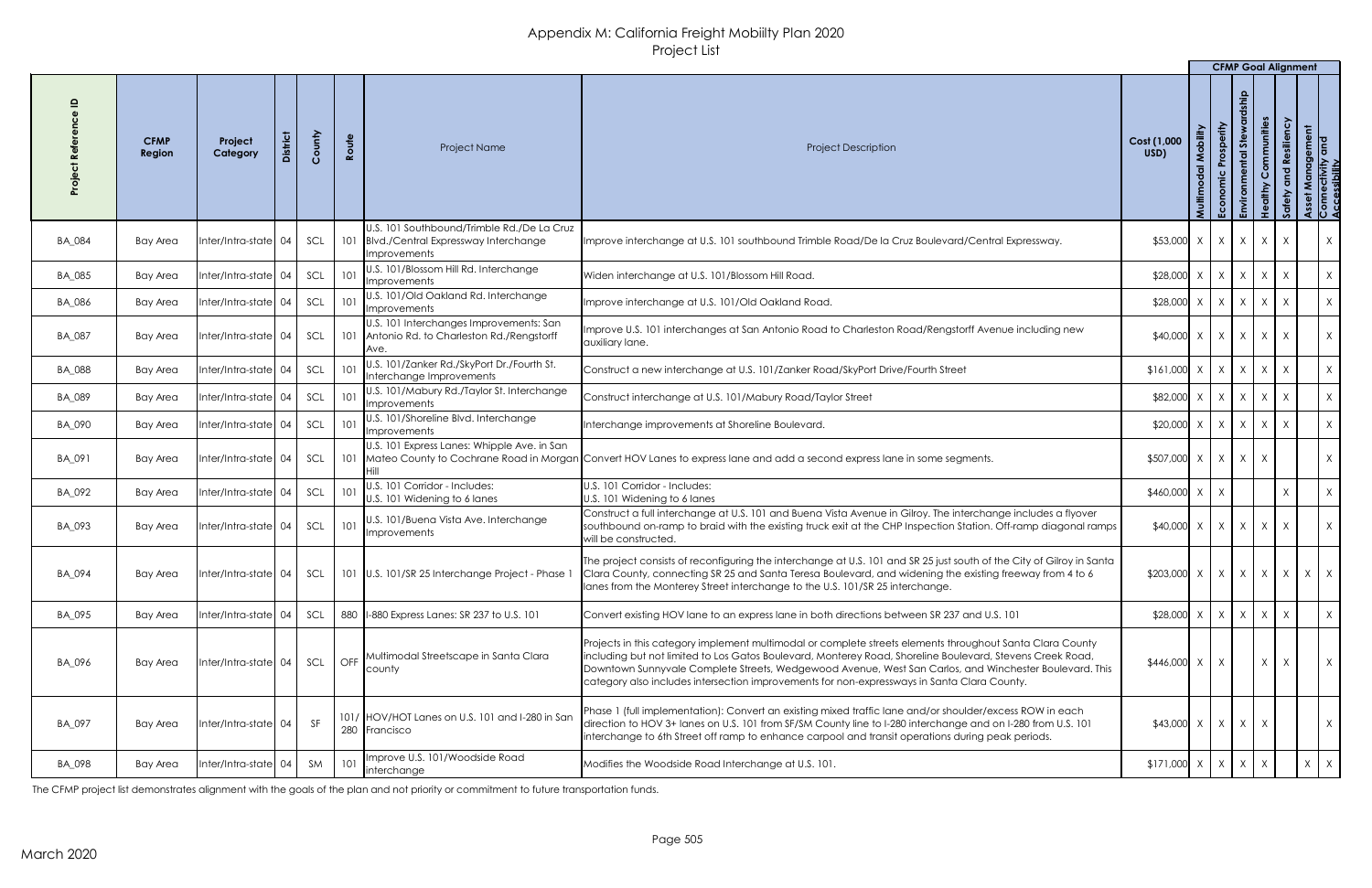|               |                       |                              |                 |        |       |                                                                                                               |                                                                                                                                                                                                                                                                                                                                                                                                                                 |                                                           |                   | <b>CFMP Goal Alignment</b>         |                                            |                              |                                                       |
|---------------|-----------------------|------------------------------|-----------------|--------|-------|---------------------------------------------------------------------------------------------------------------|---------------------------------------------------------------------------------------------------------------------------------------------------------------------------------------------------------------------------------------------------------------------------------------------------------------------------------------------------------------------------------------------------------------------------------|-----------------------------------------------------------|-------------------|------------------------------------|--------------------------------------------|------------------------------|-------------------------------------------------------|
|               | <b>CFMP</b><br>Region | Project<br>Category          | <b>District</b> | County | Route | Project Name                                                                                                  | <b>Project Description</b>                                                                                                                                                                                                                                                                                                                                                                                                      | Cost (1,000<br>USD)                                       | Villipo<br>Multir | Prosperity<br>5te<br>Economic<br>虛 | Communities<br>althy<br>$\frac{\phi}{\pm}$ | Resiliency<br>$\overline{Q}$ | Asset Management<br>Connectivity and<br>Accessibility |
| BA_084        | Bay Area              | Inter/Intra-state 04         |                 | SCL    |       | J.S. 101 Southbound/Trimble Rd./De La Cruz<br>101 Blvd./Central Expressway Interchange<br><b>Improvements</b> | Improve interchange at U.S. 101 southbound Trimble Road/De la Cruz Boulevard/Central Expressway.                                                                                                                                                                                                                                                                                                                                | $$53,000 \times   \times   \times   \times  $             |                   |                                    |                                            | $\chi$                       | $\mathsf{X}$                                          |
| <b>BA_085</b> | <b>Bay Area</b>       | Inter/Intra-state 04         |                 | SCL    | 101   | J.S. 101/Blossom Hill Rd. Interchange<br><b>Improvements</b>                                                  | Widen interchange at U.S. 101/Blossom Hill Road.                                                                                                                                                                                                                                                                                                                                                                                | $$28,000$ X                                               |                   | $X \mid X \mid X$                  |                                            | $\lambda$                    | $X \mid$                                              |
| BA_086        | <b>Bay Area</b>       | Inter/Intra-state 04         |                 | SCL    | 101   | J.S. 101/Old Oakland Rd. Interchange<br>Improvements                                                          | Improve interchange at U.S. 101/Old Oakland Road.                                                                                                                                                                                                                                                                                                                                                                               | $$28,000 \times   \times   \times   \times  $             |                   |                                    |                                            | $\chi$                       | X                                                     |
| BA_087        | Bay Area              | Inter/Intra-state 04         |                 | SCL    |       | U.S. 101 Interchanges Improvements: San<br>101   Antonio Rd. to Charleston Rd./Rengstorff<br>IAve.            | Improve U.S. 101 interchanges at San Antonio Road to Charleston Road/Rengstorff Avenue including new<br>auxiliary lane.                                                                                                                                                                                                                                                                                                         | $$40,000 \times   X   X   X$                              |                   |                                    |                                            | $\mathsf{X}$                 | X                                                     |
| <b>BA_088</b> | <b>Bay Area</b>       | Inter/Intra-state 04         |                 | SCL    | 101   | J.S. 101/Zanker Rd./SkyPort Dr./Fourth St.<br>Interchange Improvements                                        | Construct a new interchange at U.S. 101/Zanker Road/SkyPort Drive/Fourth Street                                                                                                                                                                                                                                                                                                                                                 | $$161,000$ X                                              |                   | $\vert x \vert x \vert x$          |                                            |                              | X                                                     |
| BA_089        | <b>Bay Area</b>       | Inter/Intra-state 04         |                 | SCL    | 101   | J.S. 101/Mabury Rd./Taylor St. Interchange<br><b>Improvements</b>                                             | Construct interchange at U.S. 101/Mabury Road/Taylor Street                                                                                                                                                                                                                                                                                                                                                                     | $$82,000$ X                                               |                   | $X \mid X \mid X$                  |                                            | $\lambda$                    | X                                                     |
| <b>BA_090</b> | <b>Bay Area</b>       | $Inter/Intra-state$ 04   SCL |                 |        |       | J.S. 101/Shoreline Blvd. Interchange<br>Improvements                                                          | Interchange improvements at Shoreline Boulevard.                                                                                                                                                                                                                                                                                                                                                                                | $\vert x \vert \vert x \vert \vert x \vert \vert x \vert$ |                   |                                    |                                            |                              | X.                                                    |
| BA_091        | Bay Area              | Inter/Intra-state 04         |                 | SCL    |       | U.S. 101 Express Lanes: Whipple Ave. in San                                                                   | 101 Mateo County to Cochrane Road in Morgan Convert HOV Lanes to express lane and add a second express lane in some segments.                                                                                                                                                                                                                                                                                                   | $$507,000 \times   \times   \times   \times$              |                   |                                    |                                            |                              | X                                                     |
| BA_092        | <b>Bay Area</b>       | $Inter/Intra-state$ 04       |                 | SCL    |       | U.S. 101 Corridor - Includes:<br>U.S. 101 Widening to 6 lanes                                                 | U.S. 101 Corridor - Includes:<br>U.S. 101 Widening to 6 lanes                                                                                                                                                                                                                                                                                                                                                                   | $$460,000$ X                                              |                   | X                                  |                                            |                              | X                                                     |
| BA_093        | <b>Bay Area</b>       | Inter/Intra-state 04         |                 | SCL    | 101   | U.S. 101/Buena Vista Ave. Interchange<br>Improvements                                                         | Construct a full interchange at U.S. 101 and Buena Vista Avenue in Gilroy. The interchange includes a flyover<br>southbound on-ramp to braid with the existing truck exit at the CHP Inspection Station. Off-ramp diagonal ramps<br>will be constructed.                                                                                                                                                                        | $$40,000 \times   \times   \times   \times  $             |                   |                                    |                                            | $\chi$                       | X                                                     |
| BA_094        | Bay Area              | Inter/Intra-state 04         |                 | SCL    |       | 101   U.S. 101/SR 25 Interchange Project - Phase 1                                                            | The project consists of reconfiguring the interchange at U.S. 101 and SR 25 just south of the City of Gilroy in Santa<br>Clara County, connecting SR 25 and Santa Teresa Boulevard, and widening the existing freeway from 4 to 6<br>lanes from the Monterey Street interchange to the U.S. 101/SR 25 interchange.                                                                                                              | $$203,000 \times   X   X   X   X   X$                     |                   |                                    |                                            |                              | $X \mid X$                                            |
| BA_095        | Bay Area              | Inter/Intra-state 04         |                 | SCL    |       | 880   1-880 Express Lanes: SR 237 to U.S. 101                                                                 | Convert existing HOV lane to an express lane in both directions between SR 237 and U.S. 101                                                                                                                                                                                                                                                                                                                                     | $$28,000$ X                                               |                   | $X \mid X \mid X$                  |                                            | $\lambda$                    | X                                                     |
| BA_096        | Bay Area              | Inter/Intra-state 04         |                 | SCL    | OFF   | Multimodal Streetscape in Santa Clara<br>county                                                               | Projects in this category implement multimodal or complete streets elements throughout Santa Clara County<br>including but not limited to Los Gatos Boulevard, Monterey Road, Shoreline Boulevard, Stevens Creek Road,<br>Downtown Sunnyvale Complete Streets, Wedgewood Avenue, West San Carlos, and Winchester Boulevard. This<br>category also includes intersection improvements for non-expressways in Santa Clara County. | $$446,000$ X                                              |                   | X                                  |                                            | X<br>$\chi$                  | X                                                     |
| BA_097        | Bay Area              | Inter/Intra-state 04         |                 | SF     |       | 101/ HOV/HOT Lanes on U.S. 101 and I-280 in San<br>280 Francisco                                              | Phase 1 (full implementation): Convert an existing mixed traffic lane and/or shoulder/excess ROW in each<br>direction to HOV 3+ lanes on U.S. 101 from SF/SM County line to I-280 interchange and on I-280 from U.S. 101<br>interchange to 6th Street off ramp to enhance carpool and transit operations during peak periods.                                                                                                   | $$43,000$ $\times$ $\times$ $\times$ $\times$ $\times$    |                   |                                    |                                            |                              | $X \mid$                                              |
| BA_098        | Bay Area              | Inter/Intra-state 04         |                 | SM     | 101   | mprove U.S. 101/Woodside Road<br>nterchange                                                                   | Modifies the Woodside Road Interchange at U.S. 101.                                                                                                                                                                                                                                                                                                                                                                             | $$171,000$ X                                              |                   | $\mathsf{X}$<br>$\mathsf{X}$       |                                            |                              | $X \mid X$                                            |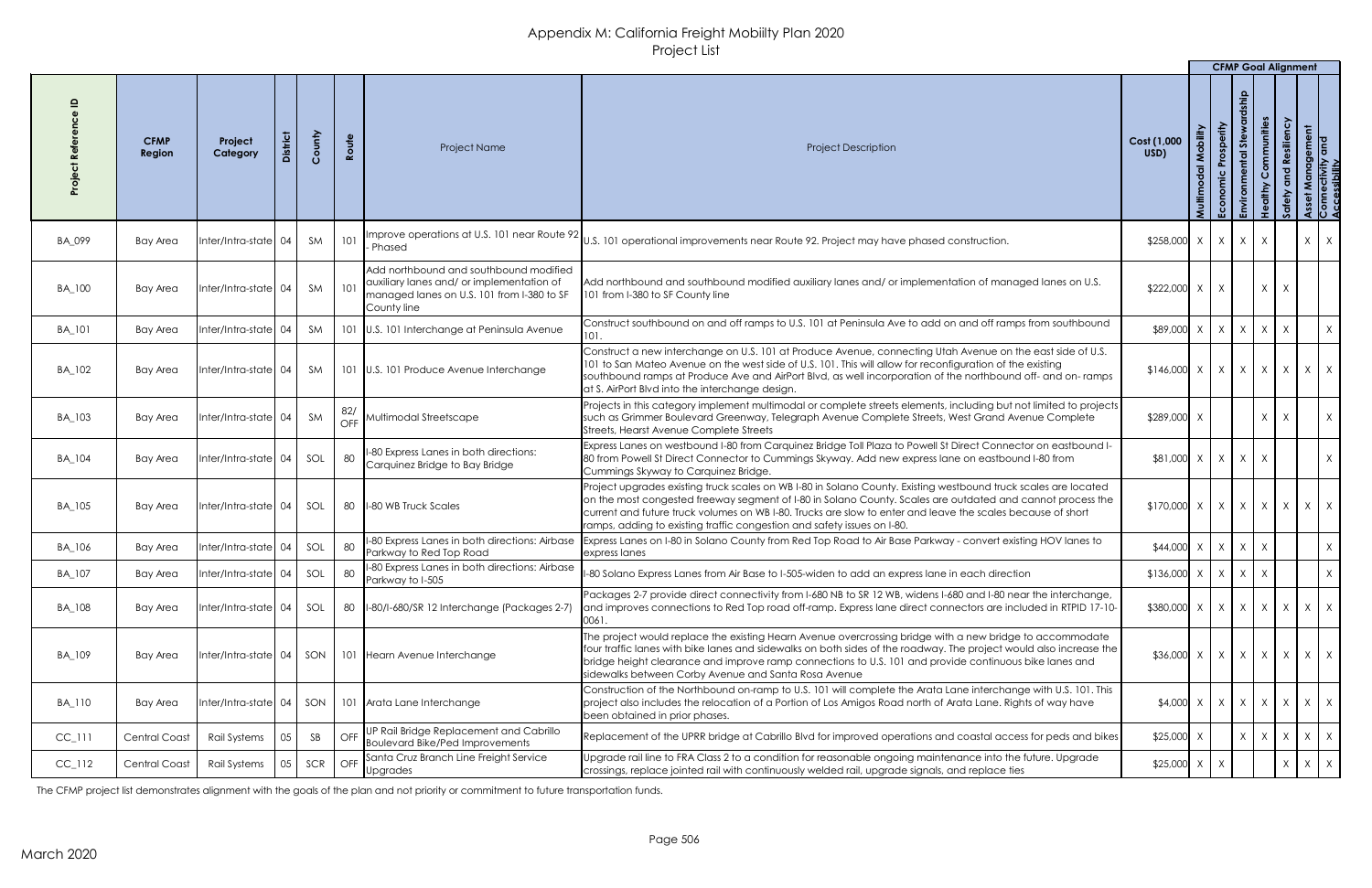|                      |                              |                        |                 |        |              |                                                                                                                                                  |                                                                                                                                                                                                                                                                                                                                                                                                                         |                               |                        | <b>CFMP Goal Alignment</b> |                      |                                                     |                                                       |              |
|----------------------|------------------------------|------------------------|-----------------|--------|--------------|--------------------------------------------------------------------------------------------------------------------------------------------------|-------------------------------------------------------------------------------------------------------------------------------------------------------------------------------------------------------------------------------------------------------------------------------------------------------------------------------------------------------------------------------------------------------------------------|-------------------------------|------------------------|----------------------------|----------------------|-----------------------------------------------------|-------------------------------------------------------|--------------|
|                      | <b>CFMP</b><br><b>Region</b> | Project<br>Category    | <b>District</b> | County | Route        | <b>Project Name</b>                                                                                                                              | <b>Project Description</b>                                                                                                                                                                                                                                                                                                                                                                                              | Cost (1,000<br>USD)<br>Multim | Prosperity<br>Economic | Stewa<br>ntal              | Communities<br>dithy | Resiliency<br>$\overline{\mathbf{C}}$<br><b>Sol</b> | Asset Management<br>Connectivity and<br>Accessibility |              |
| <b>BA_099</b>        | <b>Bay Area</b>              | Inter/Intra-state 04   |                 | SM     | 101          | Phased                                                                                                                                           | Improve operations at U.S. 101 near Route 92 $ _{\sf U.S.}$ 101 operational improvements near Route 92. Project may have phased construction.                                                                                                                                                                                                                                                                           | $$258,000$ X                  | X                      | $X \mid X$                 |                      |                                                     | $X \mid X$                                            |              |
| BA_100               | <b>Bay Area</b>              | Inter/Intra-state 04   |                 | SM     | 101          | Add northbound and southbound modified<br>auxiliary lanes and/ or implementation of<br>managed lanes on U.S. 101 from I-380 to SF<br>County line | Add northbound and southbound modified auxiliary lanes and/ or implementation of managed lanes on U.S.<br>101 from I-380 to SF County line                                                                                                                                                                                                                                                                              | \$222,000 X                   | X                      |                            | X                    |                                                     |                                                       |              |
| <b>BA_101</b>        | Bay Area                     | Inter/Intra-state 04   |                 | SM     |              | 101   U.S. 101 Interchange at Peninsula Avenue                                                                                                   | Construct southbound on and off ramps to U.S. 101 at Peninsula Ave to add on and off ramps from southbound<br>101.                                                                                                                                                                                                                                                                                                      | \$89,000 X                    | X                      | $X$ $X$ $X$                |                      |                                                     |                                                       | X            |
| BA_102               | <b>Bay Area</b>              | Inter/Intra-state 04   |                 | SM     |              | 101 U.S. 101 Produce Avenue Interchange                                                                                                          | Construct a new interchange on U.S. 101 at Produce Avenue, connecting Utah Avenue on the east side of U.S.<br>101 to San Mateo Avenue on the west side of U.S. 101. This will allow for reconfiguration of the existing<br>southbound ramps at Produce Ave and AirPort Blvd, as well incorporation of the northbound off- and on- ramps<br>at S. AirPort Blvd into the interchange design.                              | $$146,000$ X                  | X                      |                            |                      | $x \mid x \mid x \mid x \mid x$                     |                                                       |              |
| BA_103               | Bay Area                     | Inter/Intra-state  04  |                 | SM     | $82/$<br>OFF | Multimodal Streetscape                                                                                                                           | Projects in this category implement multimodal or complete streets elements, including but not limited to projects<br>such as Grimmer Boulevard Greenway, Telegraph Avenue Complete Streets, West Grand Avenue Complete<br>Streets, Hearst Avenue Complete Streets                                                                                                                                                      | $$289,000$ X                  |                        |                            | $\mathsf{X}$         | X                                                   |                                                       | $\mathsf{X}$ |
| BA_104               | <b>Bay Area</b>              | Inter/Intra-state 04   |                 | SOL    | 80           | I-80 Express Lanes in both directions:<br>Carquinez Bridge to Bay Bridge                                                                         | Express Lanes on westbound I-80 from Carquinez Bridge Toll Plaza to Powell St Direct Connector on eastbound I-<br>80 from Powell St Direct Connector to Cummings Skyway. Add new express lane on eastbound I-80 from<br>Cummings Skyway to Carquinez Bridge.                                                                                                                                                            | $  X  $ 000,18\$              | $\vert$ X $\vert$      | $X \mid X$                 |                      |                                                     |                                                       | X            |
| BA_105               | <b>Bay Area</b>              | Inter/Intra-state 04   |                 | SOL    | 80           | 1-80 WB Truck Scales                                                                                                                             | Project upgrades existing truck scales on WB I-80 in Solano County. Existing westbound truck scales are located<br>on the most congested freeway segment of I-80 in Solano County. Scales are outdated and cannot process the<br>current and future truck volumes on WB I-80. Trucks are slow to enter and leave the scales because of short<br>ramps, adding to existing traffic congestion and safety issues on I-80. | $$170,000$ X                  | X                      |                            |                      | $x \mid x \mid x \mid x \mid x$                     |                                                       |              |
| BA_106               | <b>Bay Area</b>              | Inter/Intra-state  04  |                 | SOL    | 80           | I-80 Express Lanes in both directions: Airbase<br>Parkway to Red Top Road                                                                        | Express Lanes on I-80 in Solano County from Red Top Road to Air Base Parkway - convert existing HOV lanes to<br>express lanes                                                                                                                                                                                                                                                                                           | \$44,000                      | X                      |                            | X                    |                                                     |                                                       | X            |
| BA_107               | <b>Bay Area</b>              | Inter/Intra-state 04   |                 | SOL    | 80           | I-80 Express Lanes in both directions: Airbase<br>Parkway to I-505                                                                               | I-80 Solano Express Lanes from Air Base to I-505-widen to add an express lane in each direction                                                                                                                                                                                                                                                                                                                         | $$136,000$ X                  | X                      | $X \mid X$                 |                      |                                                     |                                                       | X            |
| BA_108               | <b>Bay Area</b>              | Inter/Intra-state 04   |                 | SOL    | -80          | II-80/I-680/SR 12 Interchange (Packages 2-7)                                                                                                     | Packages 2-7 provide direct connectivity from I-680 NB to SR 12 WB, widens I-680 and I-80 near the interchange,<br>and improves connections to Red Top road off-ramp. Express lane direct connectors are included in RTPID 17-10-<br>0061.                                                                                                                                                                              | \$380,000 X                   | X                      | $X \mid X \mid X$          |                      |                                                     | $X \mid X$                                            |              |
| BA_109               | <b>Bay Area</b>              | Inter/Intra-state  04  |                 | SON    |              | 101 Hearn Avenue Interchange                                                                                                                     | The project would replace the existing Hearn Avenue overcrossing bridge with a new bridge to accommodate<br>four traffic lanes with bike lanes and sidewalks on both sides of the roadway. The project would also increase the<br>bridge height clearance and improve ramp connections to U.S. 101 and provide continuous bike lanes and<br>sidewalks between Corby Avenue and Santa Rosa Avenue                        | \$36,000 X                    | X                      |                            |                      | $x \mid x \mid x \mid x \mid x$                     |                                                       |              |
| <b>BA_110</b>        | <b>Bay Area</b>              | Inter/Intra-state   04 |                 | SON    |              | 101 Arata Lane Interchange                                                                                                                       | Construction of the Northbound on-ramp to U.S. 101 will complete the Arata Lane interchange with U.S. 101. This<br>project also includes the relocation of a Portion of Los Amigos Road north of Arata Lane. Rights of way have<br>been obtained in prior phases.                                                                                                                                                       | $$4,000$ X                    | X                      |                            |                      | $x \mid x \mid x \mid x \mid x$                     |                                                       |              |
| $CC$ <sub>-111</sub> | <b>Central Coast</b>         | Rail Systems           | 0.5             | SB     | OFF          | UP Rail Bridge Replacement and Cabrillo<br><b>Boulevard Bike/Ped Improvements</b>                                                                | Replacement of the UPRR bridge at Cabrillo Blvd for improved operations and coastal access for peds and bikes                                                                                                                                                                                                                                                                                                           | $$25,000$ X                   |                        |                            |                      | $X$ $X$ $X$ $X$ $X$                                 |                                                       |              |
| $CC$ <sub>-112</sub> | <b>Central Coast</b>         | Rail Systems           |                 | SCR    | OFF          | Santa Cruz Branch Line Freight Service<br><b>Upgrades</b>                                                                                        | Upgrade rail line to FRA Class 2 to a condition for reasonable ongoing maintenance into the future. Upgrade<br>crossings, replace jointed rail with continuously welded rail, upgrade signals, and replace ties                                                                                                                                                                                                         | $$25,000$ X                   |                        |                            |                      | $\chi$                                              | $X \mid X$                                            |              |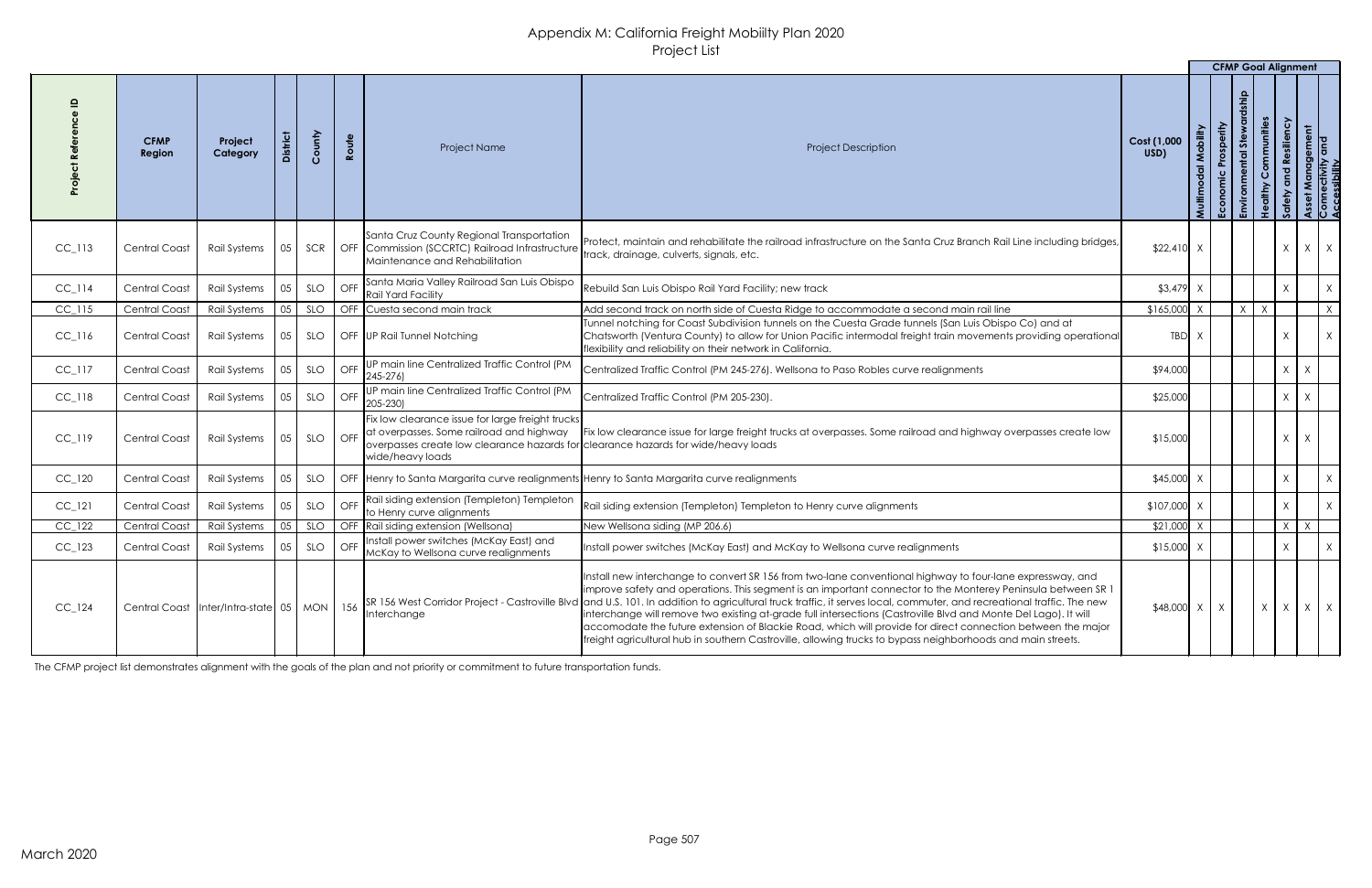|                      |                                                    |                     |                         |            |       |                                                                                                                                                                                                                |                                                                                                                                                                                                                                                                                                                                                                                                                                                                                                                                                                                                                                                                                                                                                     |                     |                                      | <b>CFMP Goal Alignment</b> |                                                                |                                                    |   |                                                       |
|----------------------|----------------------------------------------------|---------------------|-------------------------|------------|-------|----------------------------------------------------------------------------------------------------------------------------------------------------------------------------------------------------------------|-----------------------------------------------------------------------------------------------------------------------------------------------------------------------------------------------------------------------------------------------------------------------------------------------------------------------------------------------------------------------------------------------------------------------------------------------------------------------------------------------------------------------------------------------------------------------------------------------------------------------------------------------------------------------------------------------------------------------------------------------------|---------------------|--------------------------------------|----------------------------|----------------------------------------------------------------|----------------------------------------------------|---|-------------------------------------------------------|
|                      | <b>CFMP</b><br>Region                              | Project<br>Category | <b>District</b>         | County     | Route | Project Name                                                                                                                                                                                                   | <b>Project Description</b>                                                                                                                                                                                                                                                                                                                                                                                                                                                                                                                                                                                                                                                                                                                          | Cost (1,000<br>USD) | Mobility<br>$\overline{a}$<br>Multin | Prosperity<br>Economic     | Communities<br>あ<br><b>Ipfu</b><br>althy<br>$\frac{9}{5}$<br>品 | ssiliency<br>$\mathbf{e}$<br>$\overline{2}$<br>ပ္တ |   | Asset Management<br>Connectivity and<br>Accessibility |
| $CC_113$             | <b>Central Coast</b>                               | Rail Systems        | 05                      | SCR        |       | Santa Cruz County Regional Transportation<br>OFF Commission (SCCRTC) Railroad Infrastructure<br>Maintenance and Rehabilitation                                                                                 | Protect, maintain and rehabilitate the railroad infrastructure on the Santa Cruz Branch Rail Line including bridges,<br>track, drainage, culverts, signals, etc.                                                                                                                                                                                                                                                                                                                                                                                                                                                                                                                                                                                    | $$22,410$ X         |                                      |                            |                                                                | $\mathsf{X}$                                       |   | $X \mid X$                                            |
| $CC$ <sup>114</sup>  | Central Coast                                      | Rail Systems        |                         | SLO        | OFF   | Santa Maria Valley Railroad San Luis Obispo<br><b>Rail Yard Facility</b>                                                                                                                                       | Rebuild San Luis Obispo Rail Yard Facility; new track                                                                                                                                                                                                                                                                                                                                                                                                                                                                                                                                                                                                                                                                                               | \$3,479             |                                      |                            |                                                                |                                                    |   | $\sf X$                                               |
| $CC$ <sub>-115</sub> | <b>Central Coast</b>                               | <b>Rail Systems</b> | 05                      | SLO        |       | OFF Cuesta second main track                                                                                                                                                                                   | Add second track on north side of Cuesta Ridge to accommodate a second main rail line                                                                                                                                                                                                                                                                                                                                                                                                                                                                                                                                                                                                                                                               | \$165,000           |                                      |                            | $\mathsf{X}$<br>X                                              |                                                    |   | $X \mid$                                              |
| $CC$ <sub>-116</sub> | <b>Central Coast</b>                               | Rail Systems        | $\begin{array}{ c }$ 05 | SLO        |       | OFF UP Rail Tunnel Notching                                                                                                                                                                                    | Tunnel notching for Coast Subdivision tunnels on the Cuesta Grade tunnels (San Luis Obispo Co) and at<br>Chatsworth (Ventura County) to allow for Union Pacific intermodal freight train movements providing operational<br>flexibility and reliability on their network in California.                                                                                                                                                                                                                                                                                                                                                                                                                                                             | TBD X               |                                      |                            |                                                                |                                                    |   | X                                                     |
| $CC$ <sub>-117</sub> | <b>Central Coast</b>                               | Rail Systems        | 05                      | SLO        |       | OFF UP main line Centralized Traffic Control (PM<br>$[245 - 276]$                                                                                                                                              | Centralized Traffic Control (PM 245-276). Wellsona to Paso Robles curve realignments                                                                                                                                                                                                                                                                                                                                                                                                                                                                                                                                                                                                                                                                | \$94,000            |                                      |                            |                                                                | $\chi$                                             | X |                                                       |
| $CC$ <sub>-118</sub> | <b>Central Coast</b>                               | Rail Systems        | 05                      | SLO        | OFF   | UP main line Centralized Traffic Control (PM<br>$[205 - 230]$                                                                                                                                                  | Centralized Traffic Control (PM 205-230).                                                                                                                                                                                                                                                                                                                                                                                                                                                                                                                                                                                                                                                                                                           | \$25,000            |                                      |                            |                                                                | $\mathsf{X}$                                       |   |                                                       |
| $CC_1119$            | <b>Central Coast</b>                               | Rail Systems        | 05                      | SLO        |       | Fix low clearance issue for large freight trucks<br>  OFF   at overpasses. Some railroad and highway<br>overpasses create low clearance hazards for clearance hazards for wide/heavy loads<br>wide/heavy loads | Fix low clearance issue for large freight trucks at overpasses. Some railroad and highway overpasses create low                                                                                                                                                                                                                                                                                                                                                                                                                                                                                                                                                                                                                                     | \$15,000            |                                      |                            |                                                                | $\mathsf{X}$                                       |   |                                                       |
| $CC_1$ 120           | <b>Central Coast</b>                               | Rail Systems        | 05                      | SLO        |       |                                                                                                                                                                                                                | OFF  Henry to Santa Margarita curve realignments Henry to Santa Margarita curve realignments                                                                                                                                                                                                                                                                                                                                                                                                                                                                                                                                                                                                                                                        | \$45,000            |                                      |                            |                                                                |                                                    |   | $\mathsf{X}$                                          |
| $CC$ <sup>121</sup>  | <b>Central Coast</b>                               | Rail Systems        |                         | <b>SLO</b> |       | OFF Rail siding extension (Templeton) Templeton<br>to Henry curve alignments                                                                                                                                   | Rail siding extension (Templeton) Templeton to Henry curve alignments                                                                                                                                                                                                                                                                                                                                                                                                                                                                                                                                                                                                                                                                               | \$107,000           |                                      |                            |                                                                |                                                    |   | X                                                     |
| $CC_1$ 122           | <b>Central Coast</b>                               | Rail Systems        | 05                      | <b>SLO</b> |       | OFF Rail siding extension (Wellsona)                                                                                                                                                                           | New Wellsona siding (MP 206.6)                                                                                                                                                                                                                                                                                                                                                                                                                                                                                                                                                                                                                                                                                                                      | \$21,000            |                                      |                            |                                                                | $\lambda$                                          |   |                                                       |
| $CC_1$ 123           | <b>Central Coast</b>                               | Rail Systems        |                         | SLO        |       | OFF   Install power switches (McKay East) and<br>McKay to Wellsona curve realignments                                                                                                                          | Install power switches (McKay East) and McKay to Wellsona curve realignments                                                                                                                                                                                                                                                                                                                                                                                                                                                                                                                                                                                                                                                                        | $$15,000$ X         |                                      |                            |                                                                |                                                    |   | X                                                     |
| $CC_{124}$           | Central Coast   Inter/Intra-state   05   MON   156 |                     |                         |            |       | Interchange                                                                                                                                                                                                    | Install new interchange to convert SR 156 from two-lane conventional highway to four-lane expressway, and<br>Improve safety and operations. This segment is an important connector to the Monterey Peninsula between SR 1<br>SR 156 West Corridor Project - Castroville Blvd and U.S. 101. In addition to agricultural truck traffic, it serves local, commuter, and recreational traffic. The new<br>Interchange will remove two existing at-grade full intersections (Castroville Blvd and Monte Del Lago). It will<br>accomodate the future extension of Blackie Road, which will provide for direct connection between the major<br>freight agricultural hub in southern Castroville, allowing trucks to bypass neighborhoods and main streets. | $$48,000$ X         |                                      |                            | X                                                              | $\chi$                                             |   | $X \mid X$                                            |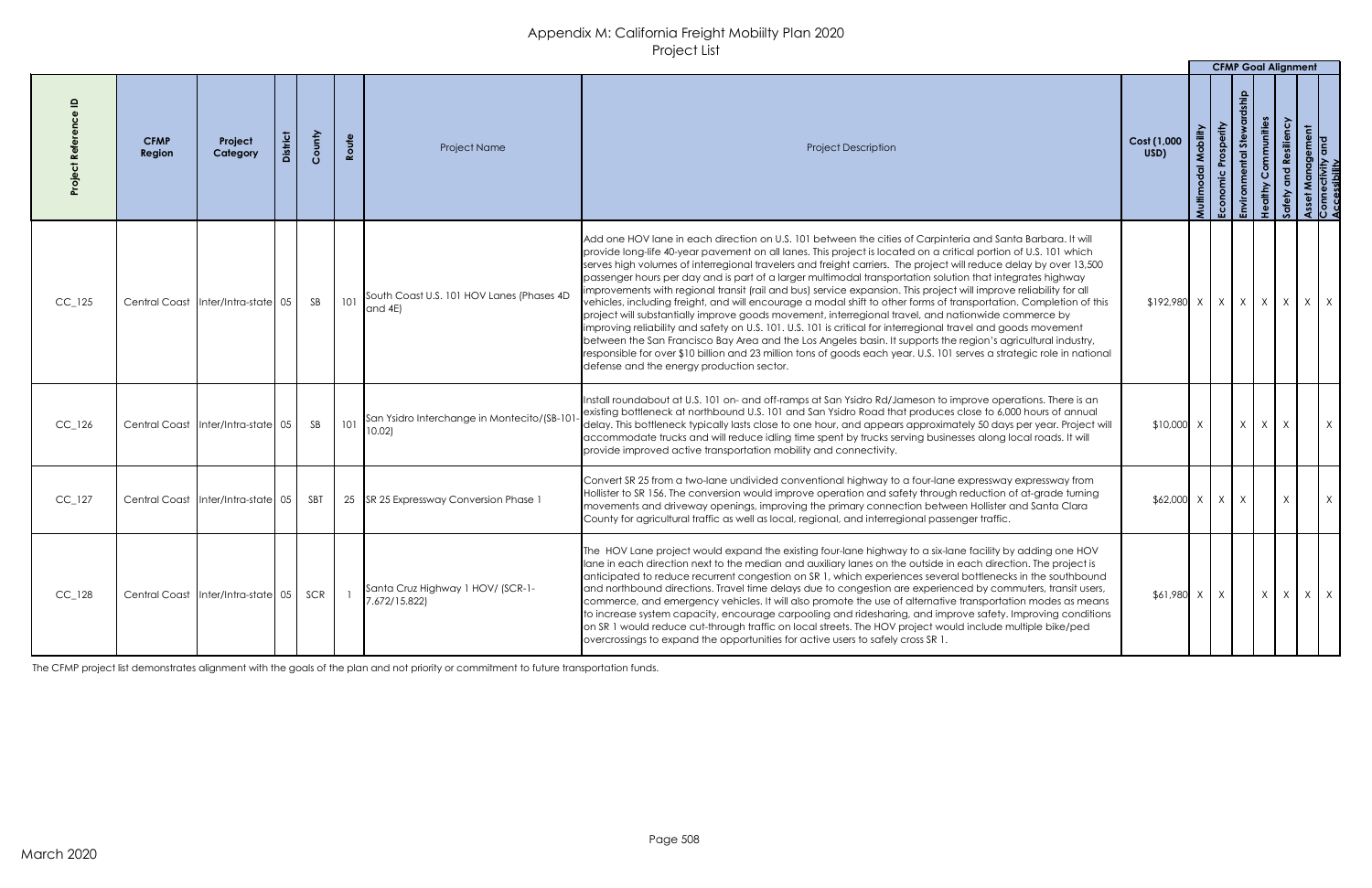|            |                       |                                    |        |       |                                                                                                                               |                                                                                                                                                                                                                                                                                                                                                                                                                                                                                                                                                                                                                                                                                                                                                                                                                                                                                                                                                                                                                                                                                                                                                                                                                                  |                     |              | <b>CFMP Goal Alignment</b> |          |              |               |   |
|------------|-----------------------|------------------------------------|--------|-------|-------------------------------------------------------------------------------------------------------------------------------|----------------------------------------------------------------------------------------------------------------------------------------------------------------------------------------------------------------------------------------------------------------------------------------------------------------------------------------------------------------------------------------------------------------------------------------------------------------------------------------------------------------------------------------------------------------------------------------------------------------------------------------------------------------------------------------------------------------------------------------------------------------------------------------------------------------------------------------------------------------------------------------------------------------------------------------------------------------------------------------------------------------------------------------------------------------------------------------------------------------------------------------------------------------------------------------------------------------------------------|---------------------|--------------|----------------------------|----------|--------------|---------------|---|
|            | <b>CFMP</b><br>Region | Project<br>Category                | County | Route | <b>Project Name</b>                                                                                                           | <b>Project Description</b>                                                                                                                                                                                                                                                                                                                                                                                                                                                                                                                                                                                                                                                                                                                                                                                                                                                                                                                                                                                                                                                                                                                                                                                                       | Cost (1,000<br>USD) |              | あ                          | munities |              | lement<br>and |   |
| $CC_{125}$ |                       | Central Coast Inter/Intra-state 05 | SB     | 101   | South Coast U.S. 101 HOV Lanes (Phases 4D<br>$ $ and $4E $                                                                    | Add one HOV lane in each direction on U.S. 101 between the cities of Carpinteria and Santa Barbara. It will<br>provide long-life 40-year pavement on all lanes. This project is located on a critical portion of U.S. 101 which<br>serves high volumes of interregional travelers and freight carriers. The project will reduce delay by over 13,500<br>passenger hours per day and is part of a larger multimodal transportation solution that integrates highway<br>improvements with regional transit (rail and bus) service expansion. This project will improve reliability for all<br>vehicles, including freight, and will encourage a modal shift to other forms of transportation. Completion of this<br>project will substantially improve goods movement, interregional travel, and nationwide commerce by<br>limproving reliability and safety on U.S. 101. U.S. 101 is critical for interregional travel and goods movement<br>between the San Francisco Bay Area and the Los Angeles basin. It supports the region's agricultural industry,<br>responsible for over \$10 billion and 23 million tons of goods each year. U.S. 101 serves a strategic role in national<br>defense and the energy production sector. |                     |              |                            |          |              |               | X |
| $CC_{126}$ |                       |                                    |        |       | $\Big $ Central Coast $\Big $ Inter/Intra-state 05 $\Big $ SB $\Big $ 101 $\Big $ San Ysidro Interchange in Montecito/(SB-101 | Install roundabout at U.S. 101 on- and off-ramps at San Ysidro Rd/Jameson to improve operations. There is an<br>existing bottleneck at northbound U.S. 101 and San Ysidro Road that produces close to 6,000 hours of annual<br>delay. This bottleneck typically lasts close to one hour, and appears approximately 50 days per year. Project will<br>accommodate trucks and will reduce idling time spent by trucks serving businesses along local roads. It will<br>provide improved active transportation mobility and connectivity.                                                                                                                                                                                                                                                                                                                                                                                                                                                                                                                                                                                                                                                                                           | $$10,000$ X         |              | $X \mid X \mid X$          |          | $\mathbf{V}$ |               |   |
| $CC_{127}$ |                       | Central Coast Inter/Intra-state 05 | SBT    |       | 25 SR 25 Expressway Conversion Phase 1                                                                                        | Convert SR 25 from a two-lane undivided conventional highway to a four-lane expressway expressway from<br>Hollister to SR 156. The conversion would improve operation and safety through reduction of at-grade turning<br>movements and driveway openings, improving the primary connection between Hollister and Santa Clara<br>County for agricultural traffic as well as local, regional, and interregional passenger traffic.                                                                                                                                                                                                                                                                                                                                                                                                                                                                                                                                                                                                                                                                                                                                                                                                | $$62,000 \times X$  |              | X                          |          | $\chi$       |               |   |
| $CC_{128}$ |                       | Central Coast Inter/Intra-state 05 | SCR    |       | Santa Cruz Highway 1 HOV/ (SCR-1-<br>7.672/15.822)                                                                            | The HOV Lane project would expand the existing four-lane highway to a six-lane facility by adding one HOV<br>lane in each direction next to the median and auxiliary lanes on the outside in each direction. The project is<br>anticipated to reduce recurrent congestion on SR 1, which experiences several bottlenecks in the southbound<br>and northbound directions. Travel time delays due to congestion are experienced by commuters, transit users,<br>commerce, and emergency vehicles. It will also promote the use of alternative transportation modes as means<br>to increase system capacity, encourage carpooling and ridesharing, and improve safety. Improving conditions<br>on SR 1 would reduce cut-through traffic on local streets. The HOV project would include multiple bike/ped<br>overcrossings to expand the opportunities for active users to safely cross SR 1.                                                                                                                                                                                                                                                                                                                                       | \$61,980            | $\mathsf{X}$ |                            | X        | $\chi$       | X             |   |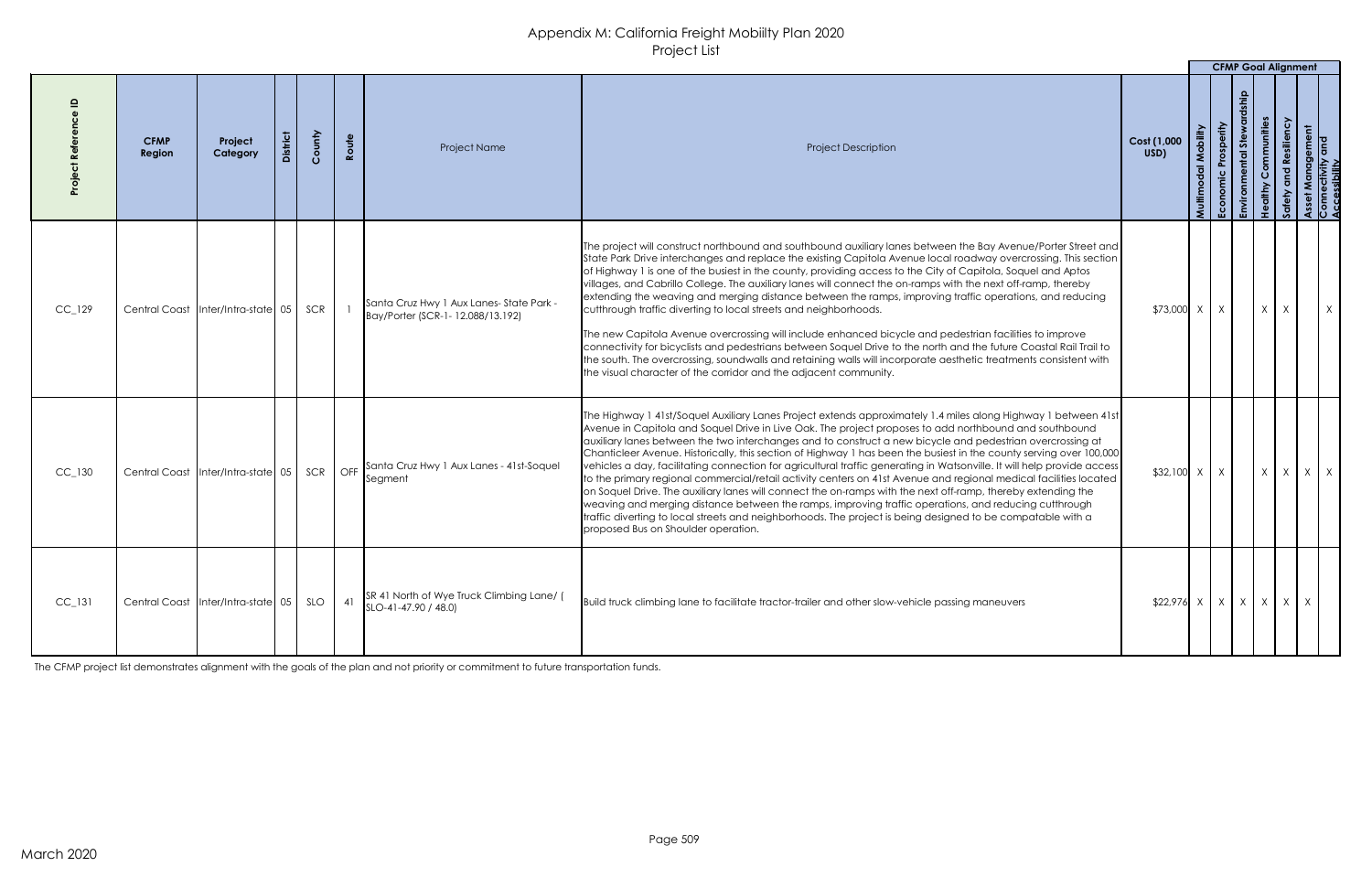|                      |                                        |                                        |                 |        |       |                                                                             |                                                                                                                                                                                                                                                                                                                                                                                                                                                                                                                                                                                                                                                                                                                                                                                                                                                                                                                                                                                                                                                                                                |                     |                     |          |                         |            | <b>CFMP Goal Alignment</b> |
|----------------------|----------------------------------------|----------------------------------------|-----------------|--------|-------|-----------------------------------------------------------------------------|------------------------------------------------------------------------------------------------------------------------------------------------------------------------------------------------------------------------------------------------------------------------------------------------------------------------------------------------------------------------------------------------------------------------------------------------------------------------------------------------------------------------------------------------------------------------------------------------------------------------------------------------------------------------------------------------------------------------------------------------------------------------------------------------------------------------------------------------------------------------------------------------------------------------------------------------------------------------------------------------------------------------------------------------------------------------------------------------|---------------------|---------------------|----------|-------------------------|------------|----------------------------|
|                      | <b>CFMP</b><br>Region                  | Project<br>Category                    | <b>District</b> | County | Route | Project Name                                                                | <b>Project Description</b>                                                                                                                                                                                                                                                                                                                                                                                                                                                                                                                                                                                                                                                                                                                                                                                                                                                                                                                                                                                                                                                                     | Cost (1,000<br>USD) | Mobility<br>Multimo |          | al Stewar<br><b>FEE</b> | siliency   |                            |
| $CC_{129}$           |                                        | Central Coast   Inter/Intra-state   05 |                 | SCR    |       | Santa Cruz Hwy 1 Aux Lanes-State Park -<br>Bay/Porter (SCR-1-12.088/13.192) | The project will construct northbound and southbound auxiliary lanes between the Bay Avenue/Porter Street and  <br>State Park Drive interchanges and replace the existing Capitola Avenue local roadway overcrossing. This section<br>of Highway 1 is one of the busiest in the county, providing access to the City of Capitola, Soquel and Aptos<br>villages, and Cabrillo College. The auxiliary lanes will connect the on-ramps with the next off-ramp, thereby<br>extending the weaving and merging distance between the ramps, improving traffic operations, and reducing<br>cutthrough traffic diverting to local streets and neighborhoods.<br>The new Capitola Avenue overcrossing will include enhanced bicycle and pedestrian facilities to improve<br>connectivity for bicyclists and pedestrians between Soquel Drive to the north and the future Coastal Rail Trail to<br>the south. The overcrossing, soundwalls and retaining walls will incorporate aesthetic treatments consistent with<br>the visual character of the corridor and the adjacent community.                  | \$73,000 X          |                     | $\times$ | $\mathsf{X}$            | $\chi$     |                            |
| $CC_{1}$ 130         | Central Coast   Inter/Intra-state   05 |                                        |                 | SCR    | OFF   | Santa Cruz Hwy 1 Aux Lanes - 41st-Soquel<br>Segment                         | [The Highway 1 41st/Soquel Auxiliary Lanes Project extends approximately 1.4 miles along Highway 1 between 41st<br>Avenue in Capitola and Soquel Drive in Live Oak. The project proposes to add northbound and southbound<br>auxiliary lanes between the two interchanges and to construct a new bicycle and pedestrian overcrossing at<br>Chanticleer Avenue. Historically, this section of Highway 1 has been the busiest in the county serving over 100,000<br>vehicles a day, facilitating connection for agricultural traffic generating in Watsonville. It will help provide access<br>to the primary regional commercial/retail activity centers on 41st Avenue and regional medical facilities located<br>on Soquel Drive. The auxiliary lanes will connect the on-ramps with the next off-ramp, thereby extending the<br>weaving and merging distance between the ramps, improving traffic operations, and reducing cutthrough<br>Itraffic diverting to local streets and neighborhoods. The project is being designed to be compatable with a<br>proposed Bus on Shoulder operation. | $$32,100$ X         |                     |          | $\chi$                  |            | $X \mid X$                 |
| $CC$ <sub>-131</sub> | Central Coast   Inter/Intra-state   05 |                                        |                 | SLO    | 41    | SR 41 North of Wye Truck Climbing Lane/ (<br>SLO-41-47.90 / 48.0)           | Build truck climbing lane to facilitate tractor-trailer and other slow-vehicle passing maneuvers                                                                                                                                                                                                                                                                                                                                                                                                                                                                                                                                                                                                                                                                                                                                                                                                                                                                                                                                                                                               | $$22,976$ X   X   X |                     |          |                         | $X \mid X$ |                            |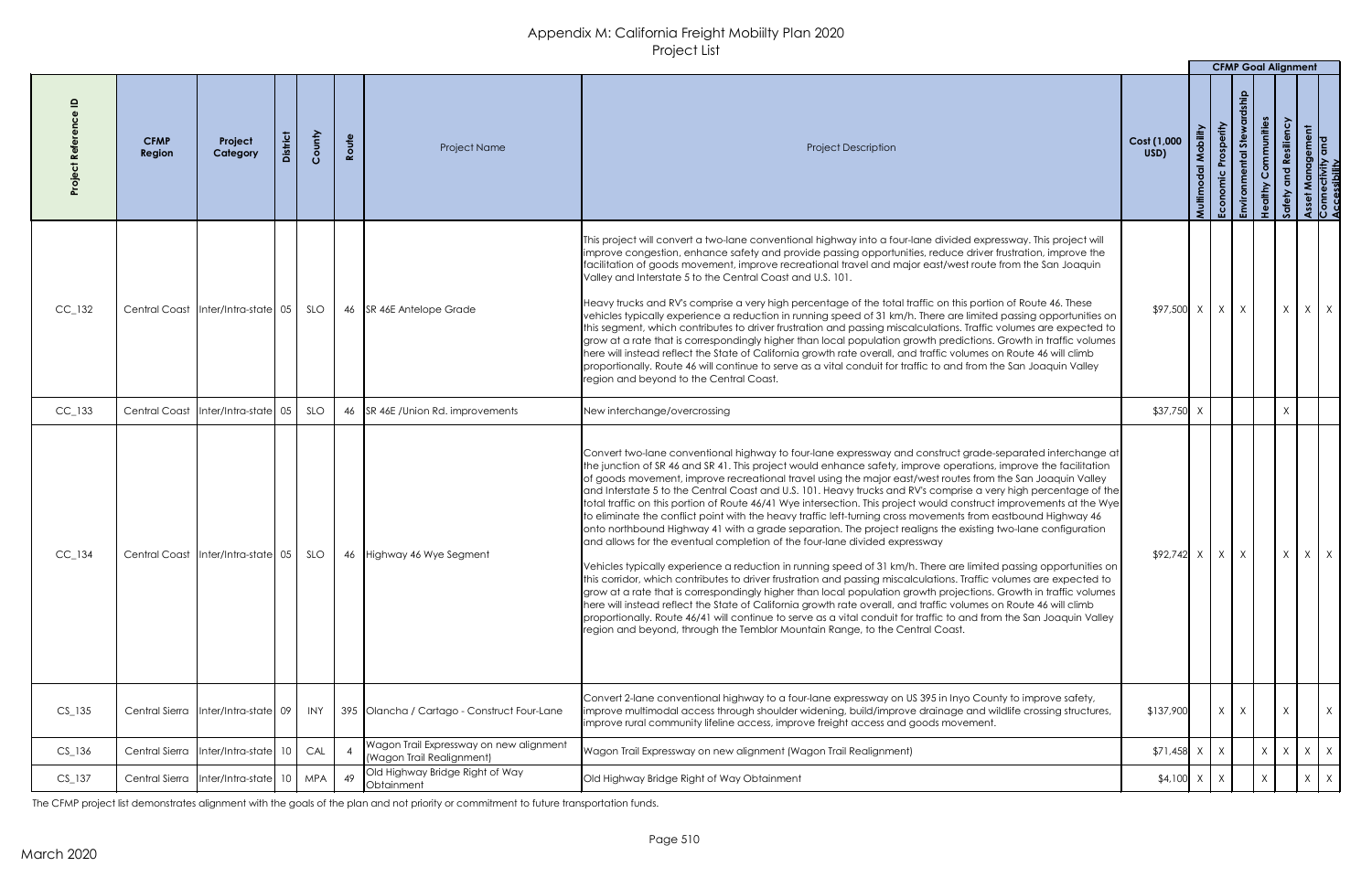|            |                       |                                         |        |       |                                                                      |                                                                                                                                                                                                                                                                                                                                                                                                                                                                                                                                                                                                                                                                                                                                                                                                                                                                                                                                                                                                                                                                                                                                                                                                                                                                                                                                                                                                                                                                                                                                                                                                       |                     |        | <b>CFMP Goal Alignment</b>  |              |              |            |
|------------|-----------------------|-----------------------------------------|--------|-------|----------------------------------------------------------------------|-------------------------------------------------------------------------------------------------------------------------------------------------------------------------------------------------------------------------------------------------------------------------------------------------------------------------------------------------------------------------------------------------------------------------------------------------------------------------------------------------------------------------------------------------------------------------------------------------------------------------------------------------------------------------------------------------------------------------------------------------------------------------------------------------------------------------------------------------------------------------------------------------------------------------------------------------------------------------------------------------------------------------------------------------------------------------------------------------------------------------------------------------------------------------------------------------------------------------------------------------------------------------------------------------------------------------------------------------------------------------------------------------------------------------------------------------------------------------------------------------------------------------------------------------------------------------------------------------------|---------------------|--------|-----------------------------|--------------|--------------|------------|
|            | <b>CFMP</b><br>Region | Project<br>Category                     | County | Route | <b>Project Name</b>                                                  | <b>Project Description</b>                                                                                                                                                                                                                                                                                                                                                                                                                                                                                                                                                                                                                                                                                                                                                                                                                                                                                                                                                                                                                                                                                                                                                                                                                                                                                                                                                                                                                                                                                                                                                                            | Cost (1,000<br>USD) | Multim | Prosperity<br>ゟ<br>Economic | ommunities   |              |            |
| $CC_{132}$ |                       | Central Coast   Inter/Intra-state   05  | SLO    |       | 46 SR 46E Antelope Grade                                             | This project will convert a two-lane conventional highway into a four-lane divided expressway. This project will<br>Improve congestion, enhance safety and provide passing opportunities, reduce driver frustration, improve the<br>facilitation of goods movement, improve recreational travel and major east/west route from the San Joaquin<br>Valley and Interstate 5 to the Central Coast and U.S. 101.<br>Heavy trucks and RV's comprise a very high percentage of the total traffic on this portion of Route 46. These<br>vehicles typically experience a reduction in running speed of 31 km/h. There are limited passing opportunities on<br>this segment, which contributes to driver frustration and passing miscalculations. Traffic volumes are expected to<br>grow at a rate that is correspondingly higher than local population growth predictions. Growth in traffic volumes<br>here will instead reflect the State of California growth rate overall, and traffic volumes on Route 46 will climb<br>proportionally. Route 46 will continue to serve as a vital conduit for traffic to and from the San Joaquin Valley<br>region and beyond to the Central Coast.                                                                                                                                                                                                                                                                                                                                                                                                                    | $$97,500$ X         |        | X                           |              | $\mathsf{X}$ | $X \mid X$ |
| $CC_{133}$ |                       | Central Coast Inter/Intra-state 05      | SLO    |       | 46 SR 46E / Union Rd. improvements                                   | New interchange/overcrossing                                                                                                                                                                                                                                                                                                                                                                                                                                                                                                                                                                                                                                                                                                                                                                                                                                                                                                                                                                                                                                                                                                                                                                                                                                                                                                                                                                                                                                                                                                                                                                          | \$37,750            |        |                             |              |              |            |
| $CC_{134}$ |                       | Central Coast   Inter/Intra-state   05  | SLO    |       | 46 Highway 46 Wye Segment                                            | Convert two-lane conventional highway to four-lane expressway and construct grade-separated interchange at<br>the junction of SR 46 and SR 41. This project would enhance safety, improve operations, improve the facilitation<br>of goods movement, improve recreational travel using the major east/west routes from the San Joaquin Valley<br>and Interstate 5 to the Central Coast and U.S. 101. Heavy trucks and RV's comprise a very high percentage of the<br>total traffic on this portion of Route 46/41 Wye intersection. This project would construct improvements at the Wye<br>to eliminate the conflict point with the heavy traffic left-turning cross movements from eastbound Highway 46<br>onto northbound Highway 41 with a grade separation. The project realigns the existing two-lane configuration<br>and allows for the eventual completion of the four-lane divided expressway<br>Vehicles typically experience a reduction in running speed of 31 km/h. There are limited passing opportunities on<br>this corridor, which contributes to driver frustration and passing miscalculations. Traffic volumes are expected to<br>grow at a rate that is correspondingly higher than local population growth projections. Growth in traffic volumes<br>here will instead reflect the State of California growth rate overall, and traffic volumes on Route 46 will climb<br>proportionally. Route 46/41 will continue to serve as a vital conduit for traffic to and from the San Joaquin Valley<br>region and beyond, through the Temblor Mountain Range, to the Central Coast. | $$92,742$ X         |        | X                           |              | X            | $X \mid X$ |
| $CS_135$   |                       | Central Sierra   Inter/Intra-state   09 | INY    |       | 395 Olancha / Cartago - Construct Four-Lane                          | Convert 2-lane conventional highway to a four-lane expressway on US 395 in Inyo County to improve safety,<br>improve multimodal access through shoulder widening, build/improve drainage and wildlife crossing structures,<br>improve rural community lifeline access, improve freight access and goods movement.                                                                                                                                                                                                                                                                                                                                                                                                                                                                                                                                                                                                                                                                                                                                                                                                                                                                                                                                                                                                                                                                                                                                                                                                                                                                                     | \$137,900           |        | X<br>$X -$                  |              | $\chi$       | X          |
| $CS_136$   |                       | Central Sierra   Inter/Intra-state   10 | CAL    |       | Wagon Trail Expressway on new alignment<br>(Wagon Trail Realignment) | Wagon Trail Expressway on new alignment (Wagon Trail Realignment)                                                                                                                                                                                                                                                                                                                                                                                                                                                                                                                                                                                                                                                                                                                                                                                                                                                                                                                                                                                                                                                                                                                                                                                                                                                                                                                                                                                                                                                                                                                                     | $$71,458$ X         |        |                             | $\mathsf{X}$ | $\mathsf{X}$ | $X \mid X$ |
| $CS_137$   | Central Sierra        | Inter/Intra-state   10   MPA            |        | 49    | Old Highway Bridge Right of Way<br>Obtainment                        | Old Highway Bridge Right of Way Obtainment                                                                                                                                                                                                                                                                                                                                                                                                                                                                                                                                                                                                                                                                                                                                                                                                                                                                                                                                                                                                                                                                                                                                                                                                                                                                                                                                                                                                                                                                                                                                                            | $$4,100$ X          |        |                             | X            |              | $X \mid X$ |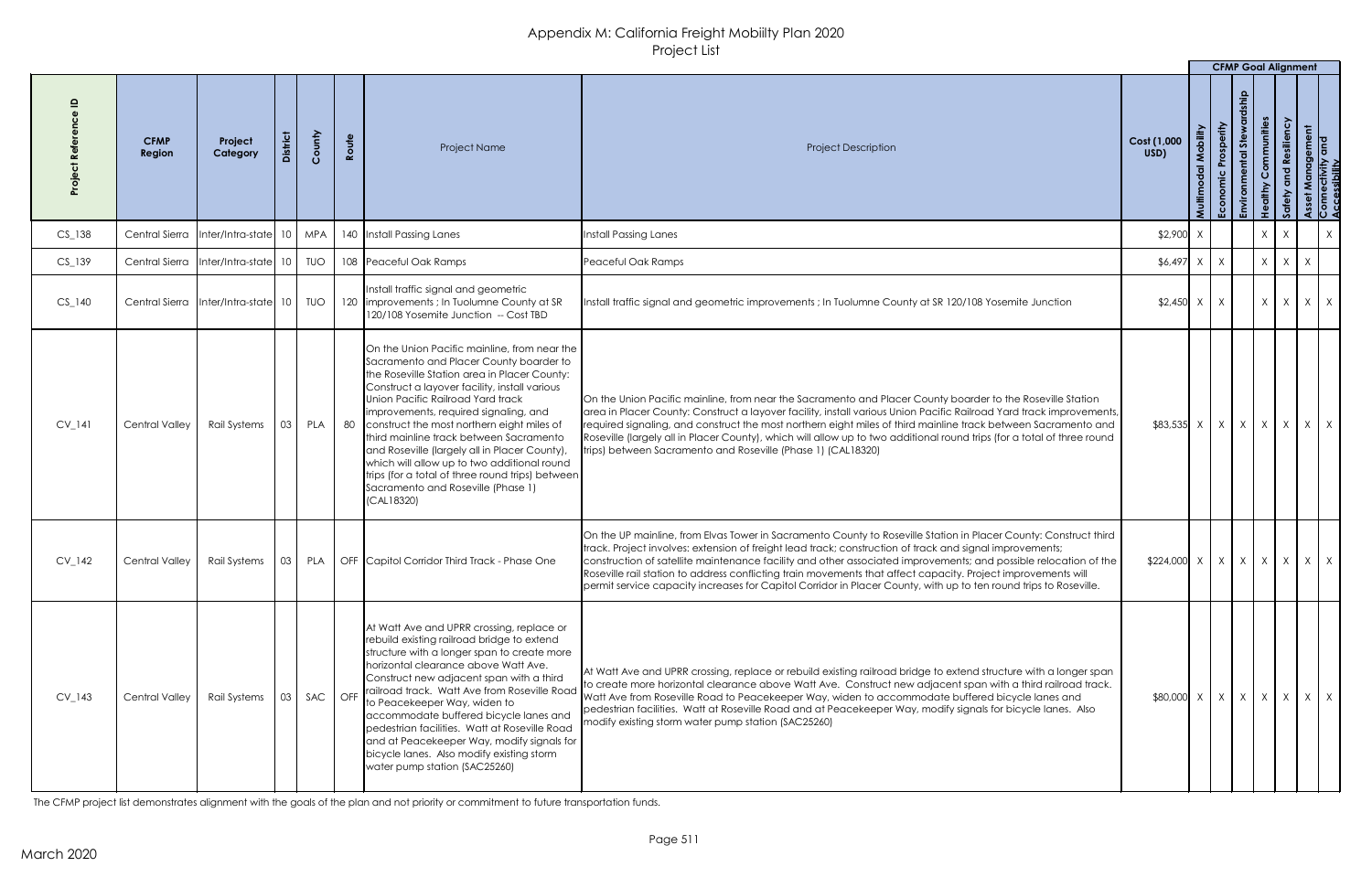|          |                       |                                                                             |           |        |       |                                                                                                                                                                                                                                                                                                                                                                                                                                                                                                                                                                                |                                                                                                                                                                                                                                                                                                                                                                                                                                                                                                                                                                                        |                                                                | <b>CFMP Goal Alignment</b> |            |                   |   |            |
|----------|-----------------------|-----------------------------------------------------------------------------|-----------|--------|-------|--------------------------------------------------------------------------------------------------------------------------------------------------------------------------------------------------------------------------------------------------------------------------------------------------------------------------------------------------------------------------------------------------------------------------------------------------------------------------------------------------------------------------------------------------------------------------------|----------------------------------------------------------------------------------------------------------------------------------------------------------------------------------------------------------------------------------------------------------------------------------------------------------------------------------------------------------------------------------------------------------------------------------------------------------------------------------------------------------------------------------------------------------------------------------------|----------------------------------------------------------------|----------------------------|------------|-------------------|---|------------|
|          | <b>CFMP</b><br>Region | Project<br>Category                                                         |           | County | Route | Project Name                                                                                                                                                                                                                                                                                                                                                                                                                                                                                                                                                                   | <b>Project Description</b>                                                                                                                                                                                                                                                                                                                                                                                                                                                                                                                                                             | Cost (1,000<br>USD)                                            |                            | <b>Ste</b> | <b>immunities</b> |   |            |
| $CS_138$ | Central Sierra        |                                                                             |           |        |       | Inter/Intra-state   10   MPA   140   Install Passing Lanes                                                                                                                                                                                                                                                                                                                                                                                                                                                                                                                     | Install Passing Lanes                                                                                                                                                                                                                                                                                                                                                                                                                                                                                                                                                                  | $$2,900$ X                                                     |                            | X          |                   |   | X          |
| $CS_139$ | Central Sierra        | Inter/Intra-state 10   TUO                                                  |           |        |       | 108 Peaceful Oak Ramps                                                                                                                                                                                                                                                                                                                                                                                                                                                                                                                                                         | Peaceful Oak Ramps                                                                                                                                                                                                                                                                                                                                                                                                                                                                                                                                                                     | $$6,497$ X                                                     | X                          |            | X<br>$X \mid$     | X |            |
| $CS_140$ | Central Sierra        | $\left  \right $ Inter/Intra-state $\left  \right $ 10 $\left  \right $ TUO |           |        |       | Install traffic signal and geometric<br>120 limprovements; In Tuolumne County at SR<br>120/108 Yosemite Junction -- Cost TBD                                                                                                                                                                                                                                                                                                                                                                                                                                                   | Install traffic signal and geometric improvements ; In Tuolumne County at SR 120/108 Yosemite Junction                                                                                                                                                                                                                                                                                                                                                                                                                                                                                 | $$2,450$ X                                                     | X                          |            | $\times$<br>X     |   | $X \mid X$ |
| $CV_141$ | Central Valley        | Rail Systems   03   PLA                                                     |           |        |       | On the Union Pacific mainline, from near the<br>Sacramento and Placer County boarder to<br>the Roseville Station area in Placer County:<br>Construct a layover facility, install various<br>Union Pacific Railroad Yard track<br>improvements, required signaling, and<br>80 Construct the most northern eight miles of<br>third mainline track between Sacramento<br>and Roseville (largely all in Placer County),<br>which will allow up to two additional round<br>trips (for a total of three round trips) between<br>Sacramento and Roseville (Phase 1)<br>$ $ (CAL18320) | On the Union Pacific mainline, from near the Sacramento and Placer County boarder to the Roseville Station<br>area in Placer County: Construct a layover facility, install various Union Pacific Railroad Yard track improvements,<br>required signaling, and construct the most northern eight miles of third mainline track between Sacramento and<br>Roseville (largely all in Placer County), which will allow up to two additional round trips (for a total of three round<br>trips) between Sacramento and Roseville (Phase 1) (CAL18320)                                        | $\{83,535 \mid X \mid X \mid X \mid X \mid X \mid X \mid X \}$ |                            |            |                   |   |            |
| $CV_142$ | <b>Central Valley</b> | Rail Systems                                                                | $\mid$ 03 | PLA    |       | OFF Capitol Corridor Third Track - Phase One                                                                                                                                                                                                                                                                                                                                                                                                                                                                                                                                   | On the UP mainline, from Elvas Tower in Sacramento County to Roseville Station in Placer County: Construct third<br>track. Project involves: extension of freight lead track; construction of track and signal improvements;<br>construction of satellite maintenance facility and other associated improvements; and possible relocation of the<br>Roseville rail station to address conflicting train movements that affect capacity. Project improvements will<br>permit service capacity increases for Capitol Corridor in Placer County, with up to ten round trips to Roseville. |                                                                |                            |            |                   |   |            |
| $CV_143$ | <b>Central Valley</b> | Rail Systems                                                                | 03        |        |       | At Watt Ave and UPRR crossing, replace or<br>rebuild existing railroad bridge to extend<br>structure with a longer span to create more<br>horizontal clearance above Watt Ave.<br>Construct new adjacent span with a third<br>SAC   OFF   railroad track. Watt Ave from Roseville Road<br>to Peacekeeper Way, widen to<br>accommodate buffered bicycle lanes and<br>pedestrian facilities. Watt at Roseville Road<br>and at Peacekeeper Way, modify signals for<br>bicycle lanes. Also modify existing storm<br>water pump station (SAC25260)                                  | At Watt Ave and UPRR crossing, replace or rebuild existing railroad bridge to extend structure with a longer span<br>to create more horizontal clearance above Watt Ave. Construct new adjacent span with a third railroad track.<br>Watt Ave from Roseville Road to Peacekeeper Way, widen to accommodate buffered bicycle lanes and<br>pedestrian facilities. Watt at Roseville Road and at Peacekeeper Way, modify signals for bicycle lanes. Also<br>modify existing storm water pump station (SAC25260)                                                                           | $$80,000$ X                                                    | $X \mid X \mid X$          |            | X                 |   | $X \mid X$ |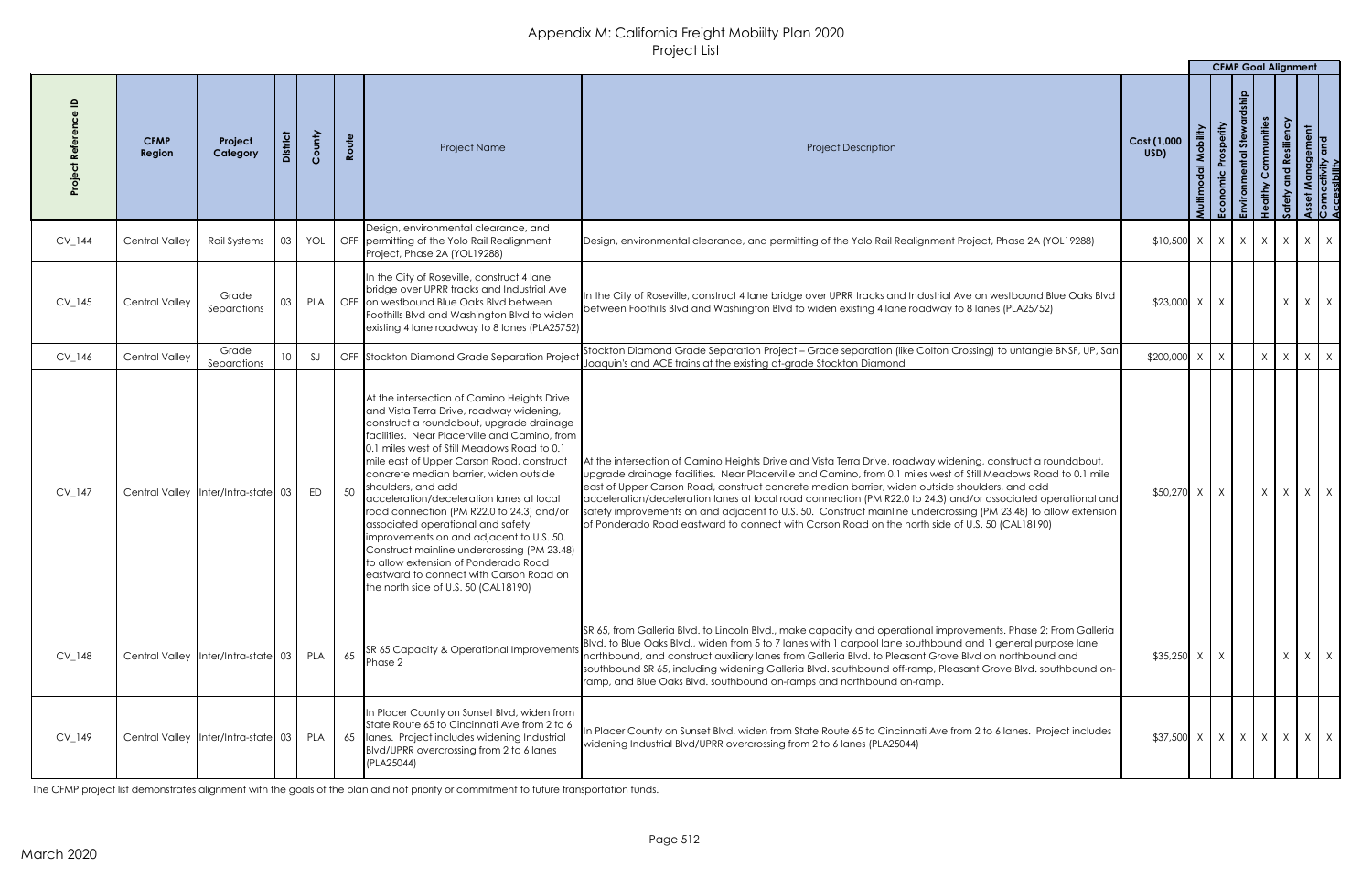|          |                              |                                         |    |        |       |                                                                                                                                                                                                                                                                                                                                                                                                                                                                                                                                                                                                                                                                                                       |                                                                                                                                                                                                                                                                                                                                                                                                                                                                                                                                                                                                                                                                        |                                                                                                                                                                                         |          | <b>CFMP Goal Alignment</b>          |             |                      |                   |                                     |  |
|----------|------------------------------|-----------------------------------------|----|--------|-------|-------------------------------------------------------------------------------------------------------------------------------------------------------------------------------------------------------------------------------------------------------------------------------------------------------------------------------------------------------------------------------------------------------------------------------------------------------------------------------------------------------------------------------------------------------------------------------------------------------------------------------------------------------------------------------------------------------|------------------------------------------------------------------------------------------------------------------------------------------------------------------------------------------------------------------------------------------------------------------------------------------------------------------------------------------------------------------------------------------------------------------------------------------------------------------------------------------------------------------------------------------------------------------------------------------------------------------------------------------------------------------------|-----------------------------------------------------------------------------------------------------------------------------------------------------------------------------------------|----------|-------------------------------------|-------------|----------------------|-------------------|-------------------------------------|--|
|          | <b>CFMP</b><br><b>Region</b> | Project<br>Category                     |    | County | Route | Project Name                                                                                                                                                                                                                                                                                                                                                                                                                                                                                                                                                                                                                                                                                          | <b>Project Description</b>                                                                                                                                                                                                                                                                                                                                                                                                                                                                                                                                                                                                                                             | Cost (1,000<br>USD)                                                                                                                                                                     | Mobility | Prosperity<br>$rac{c}{E}$<br>Econor | <b>Stew</b> | Communities<br>althy | Resiliency        | anagement<br>:tivity and<br>lbility |  |
| $CV_144$ | <b>Central Valley</b>        | Rail Systems                            | 03 | YOL    |       | Design, environmental clearance, and<br><b>OFF</b> permitting of the Yolo Rail Realignment<br>Project, Phase 2A (YOL19288)                                                                                                                                                                                                                                                                                                                                                                                                                                                                                                                                                                            | Design, environmental clearance, and permitting of the Yolo Rail Realignment Project, Phase 2A (YOL19288)                                                                                                                                                                                                                                                                                                                                                                                                                                                                                                                                                              | $$10,500$ $\times$ $\times$ $\times$ $\times$ $\times$ $\times$                                                                                                                         |          |                                     |             |                      | X                 | $X \mid X$                          |  |
| $CV_145$ | <b>Central Valley</b>        | Grade<br>Separations                    | 03 | PLA    |       | In the City of Roseville, construct 4 lane<br>bridge over UPRR tracks and Industrial Ave<br>OFF on westbound Blue Oaks Blvd between<br>Foothills Blvd and Washington Blvd to widen<br>existing 4 lane roadway to 8 lanes (PLA25752)                                                                                                                                                                                                                                                                                                                                                                                                                                                                   | In the City of Roseville, construct 4 lane bridge over UPRR tracks and Industrial Ave on westbound Blue Oaks Blvd<br>between Foothills Blvd and Washington Blvd to widen existing 4 lane roadway to 8 lanes (PLA25752)                                                                                                                                                                                                                                                                                                                                                                                                                                                 | $$23,000$ X                                                                                                                                                                             |          |                                     |             |                      | $\mathsf{X}$      | $X \mid X$                          |  |
| $CV_146$ | <b>Central Valley</b>        | Grade<br>Separations                    |    | SJ     |       | OFF Stockton Diamond Grade Separation Project                                                                                                                                                                                                                                                                                                                                                                                                                                                                                                                                                                                                                                                         | Stockton Diamond Grade Separation Project - Grade separation (like Colton Crossing) to untangle BNSF, UP, San<br>Joaquin's and ACE trains at the existing at-grade Stockton Diamond                                                                                                                                                                                                                                                                                                                                                                                                                                                                                    | \$200,000                                                                                                                                                                               |          |                                     |             | X                    | $\mathsf{X}$      | $X \mid X$                          |  |
| CV_147   |                              | Central Valley   Inter/Intra-state 03   |    | ED     | 50    | At the intersection of Camino Heights Drive<br>and Vista Terra Drive, roadway widening,<br>construct a roundabout, upgrade drainage<br>Ifacilities. Near Placerville and Camino, from<br>0.1 miles west of Still Meadows Road to 0.1<br>mile east of Upper Carson Road, construct<br>concrete median barrier, widen outside<br>shoulders, and add<br>acceleration/deceleration lanes at local<br>road connection (PM R22.0 to 24.3) and/or<br>associated operational and safety<br>improvements on and adjacent to U.S. 50.<br>Construct mainline undercrossing (PM 23.48)<br>to allow extension of Ponderado Road<br>eastward to connect with Carson Road on<br>the north side of U.S. 50 (CAL18190) | At the intersection of Camino Heights Drive and Vista Terra Drive, roadway widening, construct a roundabout,<br>upgrade drainage facilities. Near Placerville and Camino, from 0.1 miles west of Still Meadows Road to 0.1 mile<br>east of Upper Carson Road, construct concrete median barrier, widen outside shoulders, and add<br>acceleration/deceleration lanes at local road connection (PM R22.0 to 24.3) and/or associated operational and<br>safety improvements on and adjacent to U.S. 50. Construct mainline undercrossing (PM 23.48) to allow extension<br>of Ponderado Road eastward to connect with Carson Road on the north side of U.S. 50 (CAL18190) | $$50,270$ X                                                                                                                                                                             |          |                                     |             | X                    | $X \mid X \mid X$ |                                     |  |
| $CV_148$ |                              | Central Valley   Inter/Intra-state   03 |    | PLA    | 65    | <b>SR 65 Capacity &amp; Operational Improvements</b><br>Phase 2                                                                                                                                                                                                                                                                                                                                                                                                                                                                                                                                                                                                                                       | SR 65, from Galleria Blvd. to Lincoln Blvd., make capacity and operational improvements. Phase 2: From Galleria<br>Blvd. to Blue Oaks Blvd., widen from 5 to 7 lanes with 1 carpool lane southbound and 1 general purpose lane<br>northbound, and construct auxiliary lanes from Galleria Blvd. to Pleasant Grove Blvd on northbound and<br>southbound SR 65, including widening Galleria Blvd. southbound off-ramp, Pleasant Grove Blvd. southbound on-<br>ramp, and Blue Oaks Blvd. southbound on-ramps and northbound on-ramp.                                                                                                                                      | $$35,250$ X                                                                                                                                                                             |          |                                     |             |                      | $\chi$            | $X \mid X$                          |  |
| $CV_149$ |                              | Central Valley   Inter/Intra-state   03 |    | PLA    |       | In Placer County on Sunset Blvd, widen from<br>State Route 65 to Cincinnati Ave from 2 to 6<br>65   Ianes. Project includes widening Industrial<br>BIvd/UPRR overcrossing from 2 to 6 lanes<br>(PLA25044)                                                                                                                                                                                                                                                                                                                                                                                                                                                                                             | In Placer County on Sunset Blvd, widen from State Route 65 to Cincinnati Ave from 2 to 6 lanes. Project includes<br>widening Industrial Blvd/UPRR overcrossing from 2 to 6 lanes (PLA25044)                                                                                                                                                                                                                                                                                                                                                                                                                                                                            | $\left  \frac{1}{2} \right $ x $\left  \frac{1}{2} \right $ x $\left  \frac{1}{2} \right $ x $\left  \frac{1}{2} \right $ x $\left  \frac{1}{2} \right $ x $\left  \frac{1}{2} \right $ |          |                                     |             |                      |                   |                                     |  |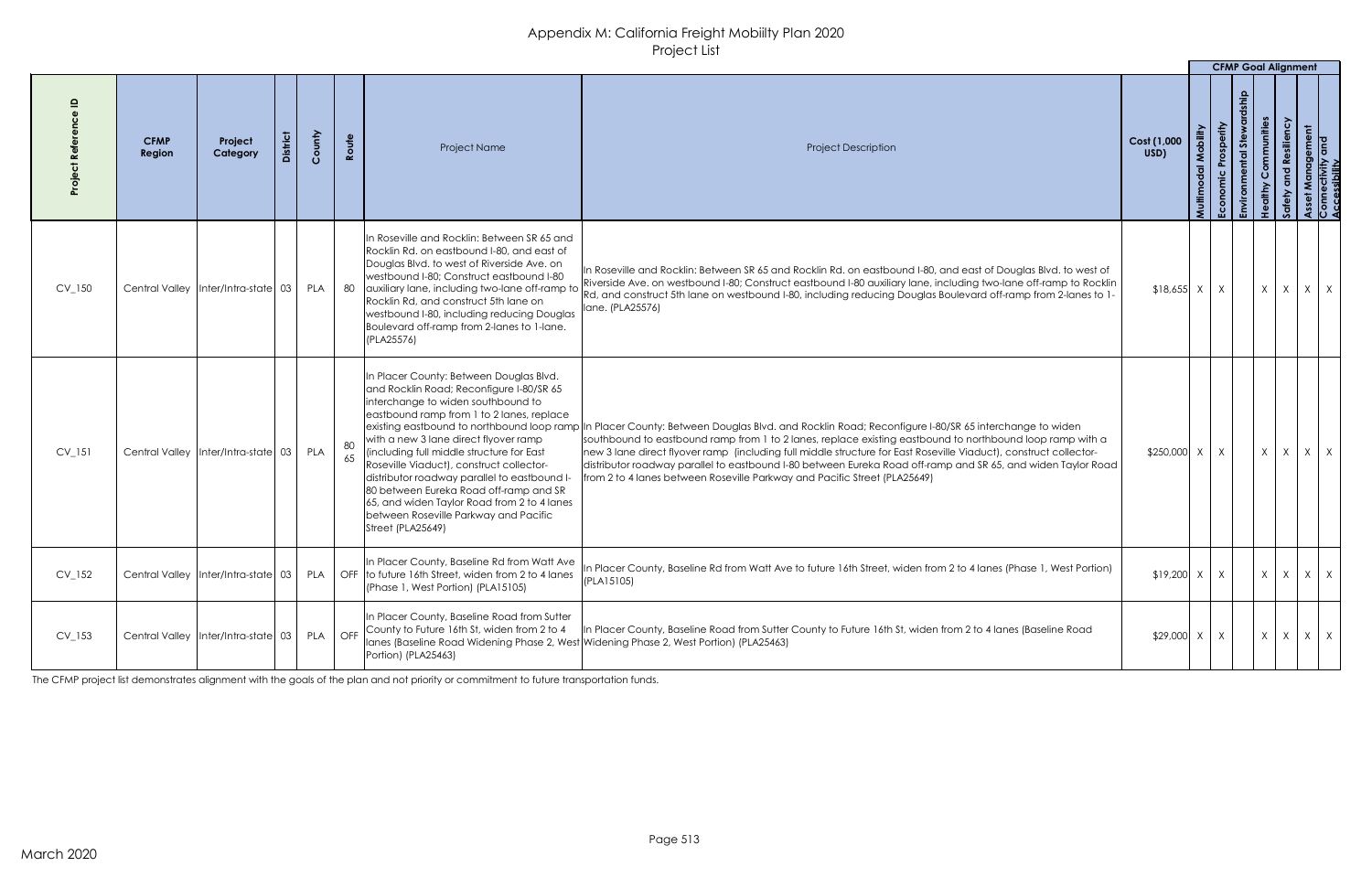|            |                       |                                         |                 |         |       |                                                                                                                                                                                                                                                                                                                                                                                                                                                                                                                 |                                                                                                                                                                                                                                                                                                                                                                                                                                                                                                                                                                                  |                     |                | <b>CFMP Goal Alignment</b> |           |              |                        |                                    |
|------------|-----------------------|-----------------------------------------|-----------------|---------|-------|-----------------------------------------------------------------------------------------------------------------------------------------------------------------------------------------------------------------------------------------------------------------------------------------------------------------------------------------------------------------------------------------------------------------------------------------------------------------------------------------------------------------|----------------------------------------------------------------------------------------------------------------------------------------------------------------------------------------------------------------------------------------------------------------------------------------------------------------------------------------------------------------------------------------------------------------------------------------------------------------------------------------------------------------------------------------------------------------------------------|---------------------|----------------|----------------------------|-----------|--------------|------------------------|------------------------------------|
|            | <b>CFMP</b><br>Region | Project<br>Category                     | <b>District</b> | County  | Route | <b>Project Name</b>                                                                                                                                                                                                                                                                                                                                                                                                                                                                                             | <b>Project Description</b>                                                                                                                                                                                                                                                                                                                                                                                                                                                                                                                                                       | Cost (1,000<br>USD) | $\overline{z}$ | Prosperity<br><b>ISI</b>   | mmunities |              | inagement<br>ivity and |                                    |
| $CV_150$   |                       | Central Valley   Inter/Intra-state 03   |                 | PLA     | 80    | In Roseville and Rocklin: Between SR 65 and<br>Rocklin Rd. on eastbound I-80, and east of<br>Douglas Blvd. to west of Riverside Ave. on<br>westbound I-80; Construct eastbound I-80<br>auxiliary lane, including two-lane off-ramp to<br>Rocklin Rd, and construct 5th lane on<br>westbound I-80, including reducing Douglas<br>Boulevard off-ramp from 2-lanes to 1-lane.<br>(PLA25576)                                                                                                                        | In Roseville and Rocklin: Between SR 65 and Rocklin Rd. on eastbound I-80, and east of Douglas Blvd. to west of<br>Riverside Ave. on westbound I-80; Construct eastbound I-80 auxiliary lane, including two-lane off-ramp to Rocklin<br>Rd, and construct 5th lane on westbound I-80, including reducing Douglas Boulevard off-ramp from 2-lanes to 1-<br>lane. (PLA25576)                                                                                                                                                                                                       | $$18,655$ X         |                | $\mathsf{X}$               | X         | $\mathsf{X}$ | X <sub>1</sub>         | $\mathsf{X}$                       |
| $CV_151$   |                       | Central Valley   Inter/Intra-state   03 |                 | PLA     | 65    | In Placer County: Between Douglas Blvd.<br>and Rocklin Road; Reconfigure I-80/SR 65<br>interchange to widen southbound to<br>eastbound ramp from 1 to 2 lanes, replace<br>with a new 3 lane direct flyover ramp<br>(including full middle structure for East<br>Roseville Viaduct), construct collector-<br>distributor roadway parallel to eastbound I-<br>80 between Eureka Road off-ramp and SR<br>65, and widen Taylor Road from 2 to 4 lanes<br>between Roseville Parkway and Pacific<br>Street (PLA25649) | existing eastbound to northbound loop ramp In Placer County: Between Douglas Blvd. and Rocklin Road; Reconfigure I-80/SR 65 interchange to widen<br>southbound to eastbound ramp from 1 to 2 lanes, replace existing eastbound to northbound loop ramp with a<br>Inew 3 lane direct flyover ramp (including full middle structure for East Roseville Viaduct), construct collector-<br>distributor roadway parallel to eastbound I-80 between Eureka Road off-ramp and SR 65, and widen Taylor Road<br>from 2 to 4 lanes between Roseville Parkway and Pacific Street (PLA25649) | $$250,000$ X        |                | X                          | X         | $\lambda$    |                        | $X \mid X$                         |
| $CV_152$   |                       | Central Valley   Inter/Intra-state   03 |                 | PLA     |       | In Placer County, Baseline Rd from Watt Ave<br>OFF to future 16th Street, widen from 2 to 4 lanes<br>(Phase 1, West Portion) (PLA15105)                                                                                                                                                                                                                                                                                                                                                                         | In Placer County, Baseline Rd from Watt Ave to future 16th Street, widen from 2 to 4 lanes (Phase 1, West Portion)<br>(PLA15105)                                                                                                                                                                                                                                                                                                                                                                                                                                                 | $$19,200$ X         |                | $\mathsf{X}$               | X         | $\mathsf{X}$ | $X \mid$               | $X$ <sup><math>\prime</math></sup> |
| $CV_1$ 153 |                       | Central Valley   Inter/Intra-state   03 |                 | PLA OFF |       | In Placer County, Baseline Road from Sutter<br>County to Future 16th St, widen from 2 to 4<br>Ianes (Baseline Road Widening Phase 2, West Widening Phase 2, West Portion) (PLA25463)<br>Portion) (PLA25463)                                                                                                                                                                                                                                                                                                     | In Placer County, Baseline Road from Sutter County to Future 16th St, widen from 2 to 4 lanes (Baseline Road                                                                                                                                                                                                                                                                                                                                                                                                                                                                     | $$29,000 \times$    |                | X                          | X         | $\chi$       |                        | $X \mid X$                         |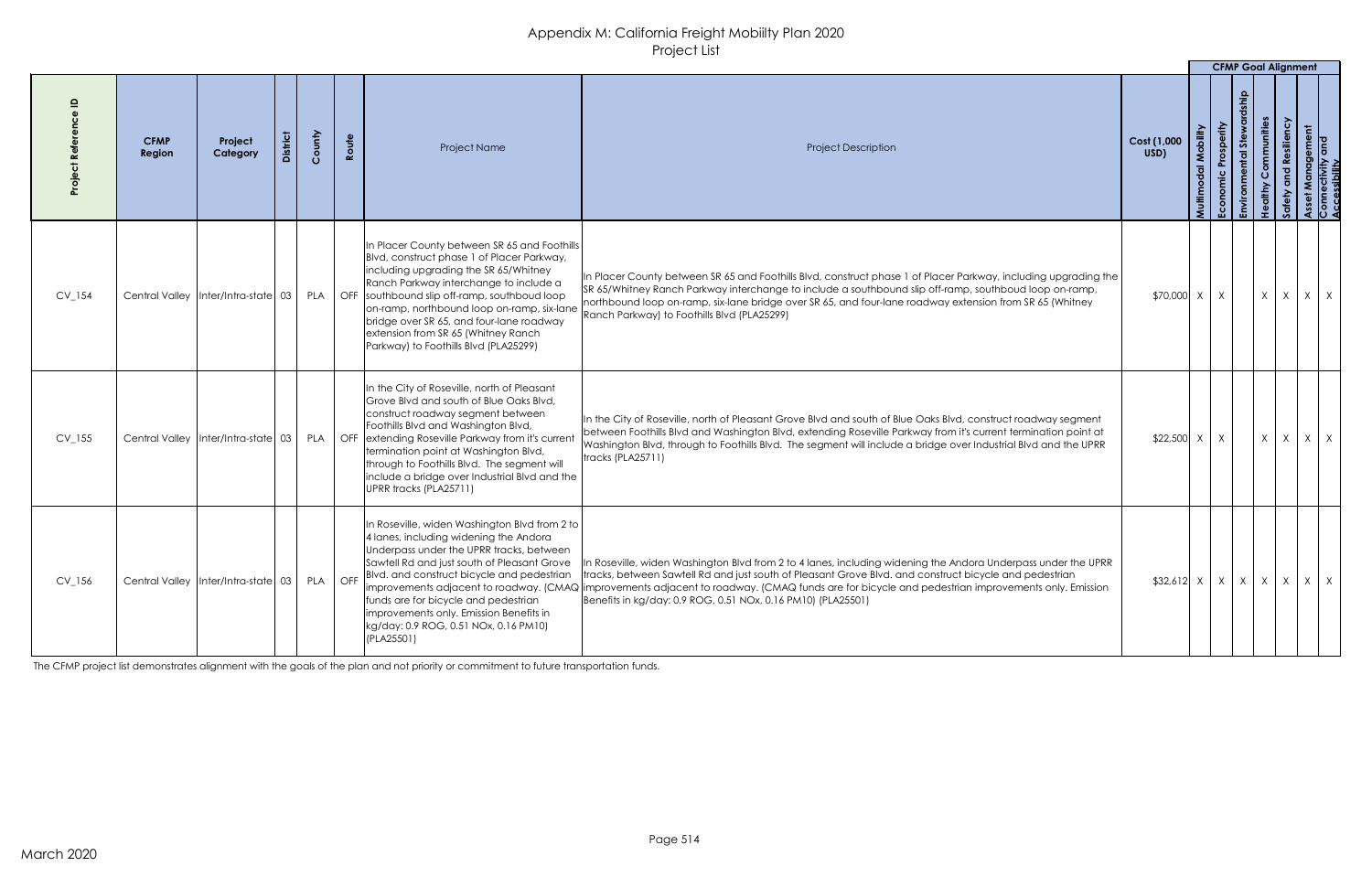|            |                       |                                         |                 |        |       |                                                                                                                                                                                                                                                                                                                                                                                                                              |                                                                                                                                                                                                                                                                                                                                                                                                     |                     |       | <b>CFMP Goal Alignment</b>                                            |                  |              |                                           |
|------------|-----------------------|-----------------------------------------|-----------------|--------|-------|------------------------------------------------------------------------------------------------------------------------------------------------------------------------------------------------------------------------------------------------------------------------------------------------------------------------------------------------------------------------------------------------------------------------------|-----------------------------------------------------------------------------------------------------------------------------------------------------------------------------------------------------------------------------------------------------------------------------------------------------------------------------------------------------------------------------------------------------|---------------------|-------|-----------------------------------------------------------------------|------------------|--------------|-------------------------------------------|
|            | <b>CFMP</b><br>Region | Project<br>Category                     | <b>District</b> | County | Route | <b>Project Name</b>                                                                                                                                                                                                                                                                                                                                                                                                          | <b>Project Description</b>                                                                                                                                                                                                                                                                                                                                                                          | Cost (1,000<br>USD) | Multi | rosperity<br>あ<br>$\overline{\sigma}$<br>$\overline{\mathbf{c}}$<br>ᇛ | ommunities<br>Ĭ. |              | Management<br> ectivity and<br>!ssibility |
| $CV_154$   | <b>Central Valley</b> | $\vert$ Inter/Intra-state $\vert$ 03    |                 | PLA    |       | In Placer County between SR 65 and Foothills<br>Blvd, construct phase 1 of Placer Parkway,<br>including upgrading the SR 65/Whitney<br>Ranch Parkway interchange to include a<br>OFF southbound slip off-ramp, southboud loop<br>on-ramp, northbound loop on-ramp, six-lane<br>bridge over SR 65, and four-lane roadway<br>extension from SR 65 (Whitney Ranch<br>Parkway) to Foothills Blvd (PLA25299)                      | In Placer County between SR 65 and Foothills Blvd, construct phase 1 of Placer Parkway, including upgrading the<br>SR 65/Whitney Ranch Parkway interchange to include a southbound slip off-ramp, southboud loop on-ramp,<br>northbound loop on-ramp, six-lane bridge over SR 65, and four-lane roadway extension from SR 65 (Whitney<br>Ranch Parkway) to Foothills Blvd (PLA25299)                | \$70,000 X          |       | X                                                                     | X                | $\mathsf{X}$ | $\mathsf{X}$<br>X                         |
| $CV_155$   |                       | Central Valley   Inter/Intra-state 03   |                 | PLA    |       | In the City of Roseville, north of Pleasant<br>Grove Blvd and south of Blue Oaks Blvd,<br>construct roadway segment between<br>Foothills Blvd and Washington Blvd,<br>OFF extending Roseville Parkway from it's current<br>termination point at Washington Blvd,<br>through to Foothills Blvd. The segment will<br>include a bridge over Industrial Blvd and the<br>UPRR tracks (PLA25711)                                   | In the City of Roseville, north of Pleasant Grove Blvd and south of Blue Oaks Blvd, construct roadway segment<br>between Foothills Blvd and Washington Blvd, extending Roseville Parkway from it's current termination point at<br>Washington Blvd, through to Foothills Blvd. The segment will include a bridge over Industrial Blvd and the UPRR<br>tracks (PLA25711)                             | $$22,500$ X         |       | X                                                                     | $X \mid X$       |              | $X \mid X$                                |
| $CV_1$ 156 |                       | Central Valley   Inter/Intra-state   03 |                 | PLA    | OFF   | In Roseville, widen Washington Blvd from 2 to<br>4 lanes, including widening the Andora<br>Underpass under the UPRR tracks, between<br>Sawtell Rd and just south of Pleasant Grove<br>Blvd. and construct bicycle and pedestrian<br> improvements adjacent to roadway. (CMAQ  <br>funds are for bicycle and pedestrian<br>improvements only. Emission Benefits in<br>kg/day: 0.9 ROG, 0.51 NOx, 0.16 PM10)<br>$ $ (PLA25501) | n Roseville, widen Washington Blvd from 2 to 4 lanes, including widening the Andora Underpass under the UPRR<br>tracks, between Sawtell Rd and just south of Pleasant Grove Blvd. and construct bicycle and pedestrian<br>limprovements adjacent to roadway. (CMAQ funds are for bicycle and pedestrian improvements only. Emission<br>Benefits in kg/day: 0.9 ROG, 0.51 NOx, 0.16 PM10) (PLA25501) | $$32,612$ X   X     |       | $\times$                                                              | $X \mid X$       |              | $X \mid X$                                |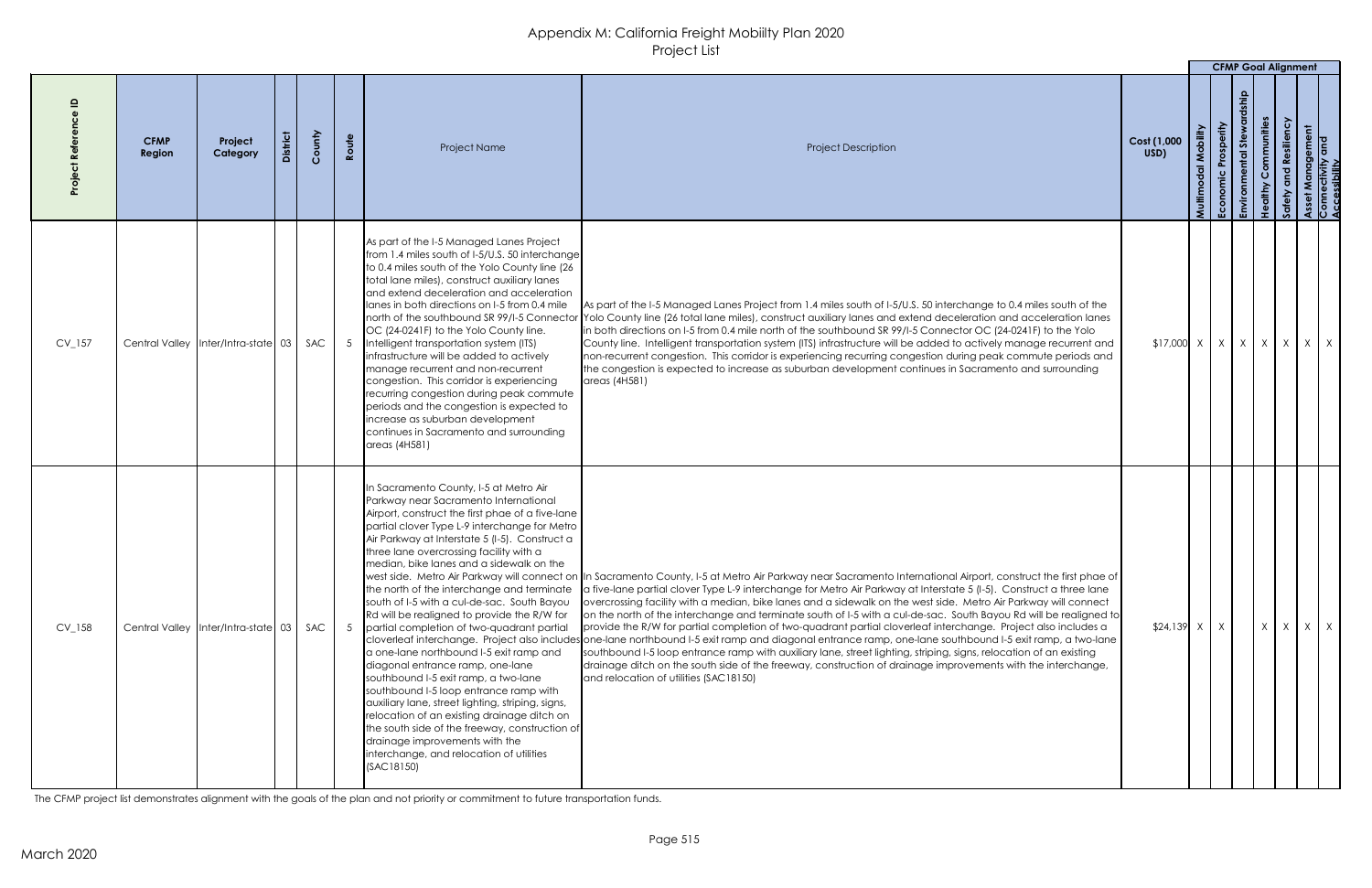|          |                       |                                         |         |        |                |                                                                                                                                                                                                                                                                                                                                                                                                                                                                                                                                                                                                                                                                                                                                                                                                                                                                                                                                             |                                                                                                                                                                                                                                                                                                                                                                                                                                                                                                                                                                                                                                                                                                                                                                                                                                                                                                                                                                                                                                                                                               |                     |                  | <b>CFMP Goal Alignment</b> |            |                   |                                                                   |
|----------|-----------------------|-----------------------------------------|---------|--------|----------------|---------------------------------------------------------------------------------------------------------------------------------------------------------------------------------------------------------------------------------------------------------------------------------------------------------------------------------------------------------------------------------------------------------------------------------------------------------------------------------------------------------------------------------------------------------------------------------------------------------------------------------------------------------------------------------------------------------------------------------------------------------------------------------------------------------------------------------------------------------------------------------------------------------------------------------------------|-----------------------------------------------------------------------------------------------------------------------------------------------------------------------------------------------------------------------------------------------------------------------------------------------------------------------------------------------------------------------------------------------------------------------------------------------------------------------------------------------------------------------------------------------------------------------------------------------------------------------------------------------------------------------------------------------------------------------------------------------------------------------------------------------------------------------------------------------------------------------------------------------------------------------------------------------------------------------------------------------------------------------------------------------------------------------------------------------|---------------------|------------------|----------------------------|------------|-------------------|-------------------------------------------------------------------|
|          | <b>CFMP</b><br>Region | Project<br>Category                     | istrict | County | Route          | <b>Project Name</b>                                                                                                                                                                                                                                                                                                                                                                                                                                                                                                                                                                                                                                                                                                                                                                                                                                                                                                                         | <b>Project Description</b>                                                                                                                                                                                                                                                                                                                                                                                                                                                                                                                                                                                                                                                                                                                                                                                                                                                                                                                                                                                                                                                                    | Cost (1,000<br>USD) | obility<br>Multi | あ                          | ommunities | <b>Resiliency</b> |                                                                   |
| $CV_157$ |                       | Central Valley   Inter/Intra-state 03   |         | SAC    | 5 <sup>5</sup> | As part of the I-5 Managed Lanes Project<br>from 1.4 miles south of I-5/U.S. 50 interchange<br>to 0.4 miles south of the Yolo County line (26)<br>total lane miles), construct auxiliary lanes<br>land extend deceleration and acceleration<br>lanes in both directions on 1-5 from 0.4 mile<br>north of the southbound SR 99/I-5 Connector<br>OC (24-0241F) to the Yolo County line.<br>Intelligent transportation system (ITS)<br>infrastructure will be added to actively<br>manage recurrent and non-recurrent<br>congestion. This corridor is experiencing<br>recurring congestion during peak commute<br>periods and the congestion is expected to<br>lincrease as suburban development<br>continues in Sacramento and surrounding<br>[areas (4H58)]                                                                                                                                                                                  | As part of the I-5 Managed Lanes Project from 1.4 miles south of I-5/U.S. 50 interchange to 0.4 miles south of the<br>Yolo County line (26 total lane miles), construct auxiliary lanes and extend deceleration and acceleration lanes<br>in both directions on I-5 from 0.4 mile north of the southbound SR 99/I-5 Connector OC (24-0241F) to the Yolo<br>County line. Intelligent transportation system (ITS) infrastructure will be added to actively manage recurrent and<br>non-recurrent congestion. This corridor is experiencing recurring congestion during peak commute periods and<br>the congestion is expected to increase as suburban development continues in Sacramento and surrounding<br>areas (4H581)                                                                                                                                                                                                                                                                                                                                                                      | $$17,000$ X         |                  |                            |            |                   | $X$ $\mid$ $X$ $\mid$ $X$ $\mid$ $X$ $\mid$ $X$ $\mid$ $X$ $\mid$ |
| $CV_158$ |                       | Central Valley   Inter/Intra-state   03 |         | SAC    |                | In Sacramento County, I-5 at Metro Air<br>Parkway near Sacramento International<br>Airport, construct the first phae of a five-lane<br>partial clover Type L-9 interchange for Metro<br>Air Parkway at Interstate 5 (I-5). Construct a<br>three lane overcrossing facility with a<br>Imedian, bike lanes and a sidewalk on the<br>the north of the interchange and terminate<br>south of I-5 with a cul-de-sac. South Bayou<br>Rd will be realigned to provide the R/W for<br>partial completion of two-quadrant partial<br>a one-lane northbound I-5 exit ramp and<br>diagonal entrance ramp, one-lane<br>southbound I-5 exit ramp, a two-lane<br>southbound I-5 loop entrance ramp with<br>auxiliary lane, street lighting, striping, signs,<br>relocation of an existing drainage ditch on<br>the south side of the freeway, construction of<br>drainage improvements with the<br>interchange, and relocation of utilities<br>(SAC18150) | west side. Metro Air Parkway will connect on  In Sacramento County, I-5 at Metro Air Parkway near Sacramento International Airport, construct the first phae of<br>a five-lane partial clover Type L-9 interchange for Metro Air Parkway at Interstate 5 (I-5). Construct a three lane<br>overcrossing facility with a median, bike lanes and a sidewalk on the west side. Metro Air Parkway will connect<br>on the north of the interchange and terminate south of I-5 with a cul-de-sac. South Bayou Rd will be realigned to<br>provide the R/W for partial completion of two-quadrant partial cloverleaf interchange. Project also includes a<br>cloverleaf interchange. Project also includes one-lane northbound I-5 exit ramp and diagonal entrance ramp, one-lane southbound I-5 exit ramp, a two-lane<br>southbound I-5 loop entrance ramp with auxiliary lane, street lighting, striping, signs, relocation of an existing<br>drainage ditch on the south side of the freeway, construction of drainage improvements with the interchange,<br>and relocation of utilities (SAC18150) | $$24,139$ X         |                  |                            | X          |                   | $X \mid X \mid X$                                                 |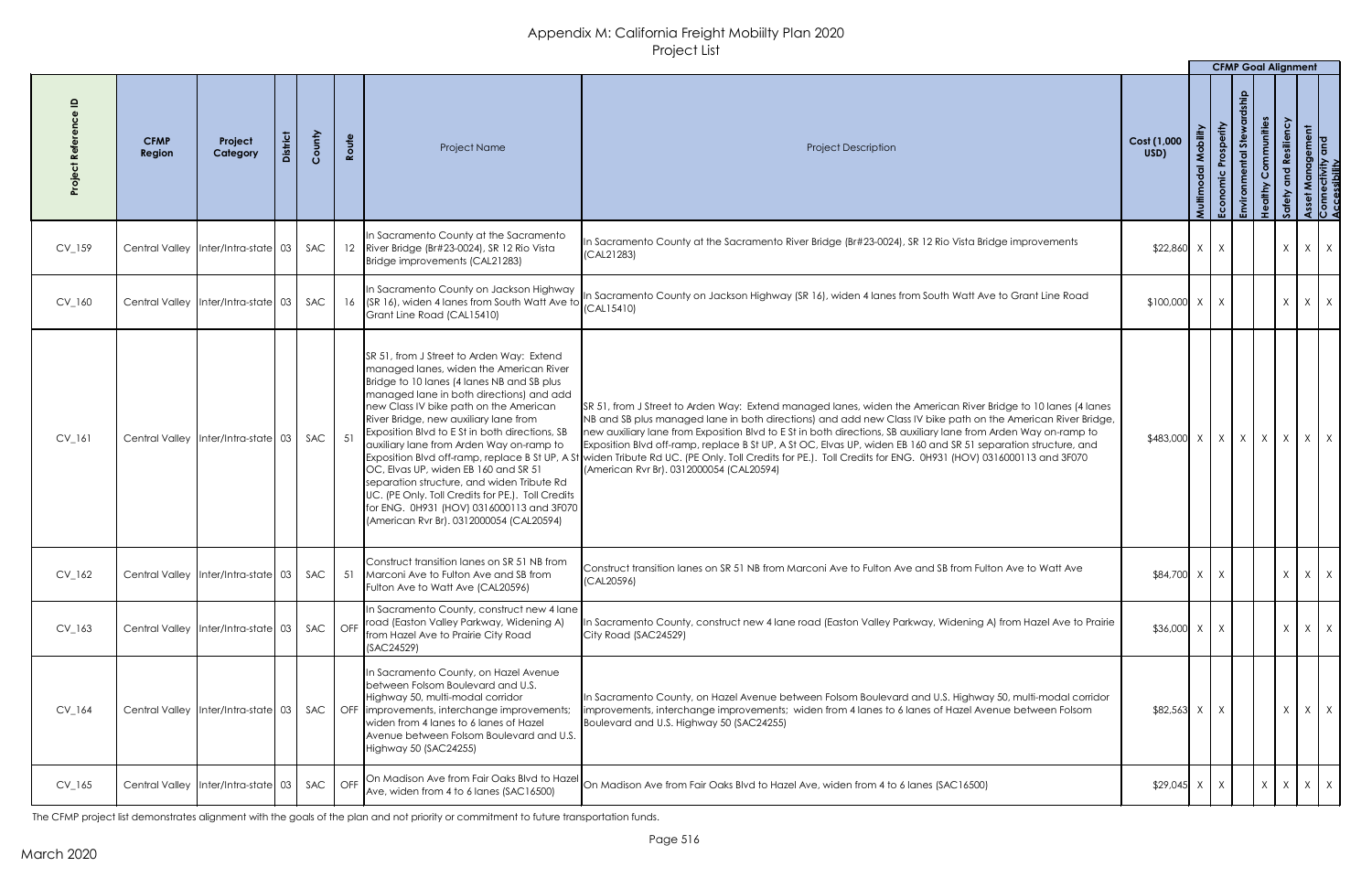|          |                       |                                                     |        |       |                                                                                                                                                                                                                                                                                                                                                                                                                                                                                                                                                                                                             |                                                                                                                                                                                                                                                                                                                                                                                                                                                                                                                                                                                                                                                                                |                                                         |        | <b>CFMP Goal Alignment</b> |                    |                                         |              |              |  |
|----------|-----------------------|-----------------------------------------------------|--------|-------|-------------------------------------------------------------------------------------------------------------------------------------------------------------------------------------------------------------------------------------------------------------------------------------------------------------------------------------------------------------------------------------------------------------------------------------------------------------------------------------------------------------------------------------------------------------------------------------------------------------|--------------------------------------------------------------------------------------------------------------------------------------------------------------------------------------------------------------------------------------------------------------------------------------------------------------------------------------------------------------------------------------------------------------------------------------------------------------------------------------------------------------------------------------------------------------------------------------------------------------------------------------------------------------------------------|---------------------------------------------------------|--------|----------------------------|--------------------|-----------------------------------------|--------------|--------------|--|
|          | <b>CFMP</b><br>Region | Project<br>Category                                 | County | Route | Project Name                                                                                                                                                                                                                                                                                                                                                                                                                                                                                                                                                                                                | <b>Project Description</b>                                                                                                                                                                                                                                                                                                                                                                                                                                                                                                                                                                                                                                                     | Cost (1,000<br>USD)                                     | Multin | osperity<br>Ecol           | $s$ te<br><u>ي</u> | ommunities<br>siliency<br>$\frac{9}{1}$ |              | ement<br>and |  |
| $CV_159$ |                       | Central Valley   Inter/Intra-state   03   SAC       |        |       | In Sacramento County at the Sacramento<br>12   River Bridge (Br#23-0024), SR 12 Rio Vista<br>Bridge improvements (CAL21283)                                                                                                                                                                                                                                                                                                                                                                                                                                                                                 | In Sacramento County at the Sacramento River Bridge (Br#23-0024), SR 12 Rio Vista Bridge improvements<br>(CAL21283)                                                                                                                                                                                                                                                                                                                                                                                                                                                                                                                                                            | $$22,860$ X                                             |        |                            |                    | $\mathsf{X}$                            |              | $X \mid X$   |  |
| $CV_160$ |                       | Central Valley   Inter/Intra-state 03               | SAC    |       | In Sacramento County on Jackson Highway<br>16 (SR 16), widen 4 lanes from South Watt Ave to<br>Grant Line Road (CAL15410)                                                                                                                                                                                                                                                                                                                                                                                                                                                                                   | In Sacramento County on Jackson Highway (SR 16), widen 4 lanes from South Watt Ave to Grant Line Road<br>(CAL15410)                                                                                                                                                                                                                                                                                                                                                                                                                                                                                                                                                            | $$100,000$ X                                            |        |                            |                    | $\chi$                                  |              | $X \mid X$   |  |
| $CV_161$ |                       | Central Valley   Inter/Intra-state   03   SAC       |        | 51    | SR 51, from J Street to Arden Way: Extend<br>managed lanes, widen the American River<br>Bridge to 10 lanes (4 lanes NB and SB plus<br>managed lane in both directions) and add<br>new Class IV bike path on the American<br>River Bridge, new auxiliary lane from<br>Exposition Blvd to E St in both directions, SB<br>auxiliary lane from Arden Way on-ramp to<br>$OC$ , Elvas UP, widen EB 160 and SR 51 $\,$<br>separation structure, and widen Tribute Rd<br>UC. (PE Only. Toll Credits for PE.). Toll Credits<br>for ENG. 0H931 (HOV) 0316000113 and 3F070<br>(American Rvr Br). 0312000054 (CAL20594) | SR 51, from J Street to Arden Way: Extend managed lanes, widen the American River Bridge to 10 lanes (4 lanes<br>NB and SB plus managed lane in both directions) and add new Class IV bike path on the American River Bridge,<br>new auxiliary lane from Exposition Blvd to E St in both directions, SB auxiliary lane from Arden Way on-ramp to<br>Exposition Blvd off-ramp, replace B St UP, A St OC, Elvas UP, widen EB 160 and SR 51 separation structure, and<br>Exposition Blvd off-ramp, replace B St UP, A St widen Tribute Rd UC. (PE Only. Toll Credits for PE.). Toll Credits for ENG. 0H931 (HOV) 0316000113 and 3F070<br>(American Rvr Br). 0312000054 (CAL20594) | $$483,000 \times x \times x \times x \times x \times x$ |        |                            |                    |                                         |              |              |  |
| $CV_162$ |                       | Central Valley   Inter/Intra-state   03   SAC       |        |       | Construct transition lanes on SR 51 NB from<br>51 Marconi Ave to Fulton Ave and SB from<br>Fulton Ave to Watt Ave (CAL20596)                                                                                                                                                                                                                                                                                                                                                                                                                                                                                | Construct transition lanes on SR 51 NB from Marconi Ave to Fulton Ave and SB from Fulton Ave to Watt Ave<br>(CAL20596)                                                                                                                                                                                                                                                                                                                                                                                                                                                                                                                                                         | $$84,700$ X                                             |        |                            |                    |                                         |              | $X \mid X$   |  |
| $CV_163$ |                       | Central Valley   Inter/Intra-state   03   SAC   OFF |        |       | In Sacramento County, construct new 4 lane<br>road (Easton Valley Parkway, Widening A)<br>from Hazel Ave to Prairie City Road<br>(SAC24529)                                                                                                                                                                                                                                                                                                                                                                                                                                                                 | In Sacramento County, construct new 4 lane road (Easton Valley Parkway, Widening A) from Hazel Ave to Prairie<br>City Road (SAC24529)                                                                                                                                                                                                                                                                                                                                                                                                                                                                                                                                          | $$36,000$ X                                             |        |                            |                    | $\mathsf{X}$                            |              | $X \mid X$   |  |
| $CV_164$ |                       | Central Valley   Inter/Intra-state   03   SAC       |        |       | In Sacramento County, on Hazel Avenue<br>between Folsom Boulevard and U.S.<br>Highway 50, multi-modal corridor<br>OFF limprovements, interchange improvements;<br>widen from 4 lanes to 6 lanes of Hazel<br>Avenue between Folsom Boulevard and U.S.<br>Highway 50 (SAC24255)                                                                                                                                                                                                                                                                                                                               | In Sacramento County, on Hazel Avenue between Folsom Boulevard and U.S. Highway 50, multi-modal corridor<br>improvements, interchange improvements; widen from 4 lanes to 6 lanes of Hazel Avenue between Folsom<br>Boulevard and U.S. Highway 50 (SAC24255)                                                                                                                                                                                                                                                                                                                                                                                                                   | $$82,563$ X                                             |        |                            |                    | $\mathsf{X}$                            |              | $X \mid X$   |  |
| CV 165   |                       |                                                     |        |       | Ave, widen from 4 to 6 lanes (SAC16500)                                                                                                                                                                                                                                                                                                                                                                                                                                                                                                                                                                     | Central Valley Inter/Intra-state 03   SAC   OFF On Madison Ave from Fair Oaks Blvd to Hazel On Madison Ave from Fair Oaks Blvd to Hazel Ave, widen from 4 to 6 lanes (SAC16500)                                                                                                                                                                                                                                                                                                                                                                                                                                                                                                | $$29,045$ X                                             |        | X                          |                    |                                         | $X \times X$ |              |  |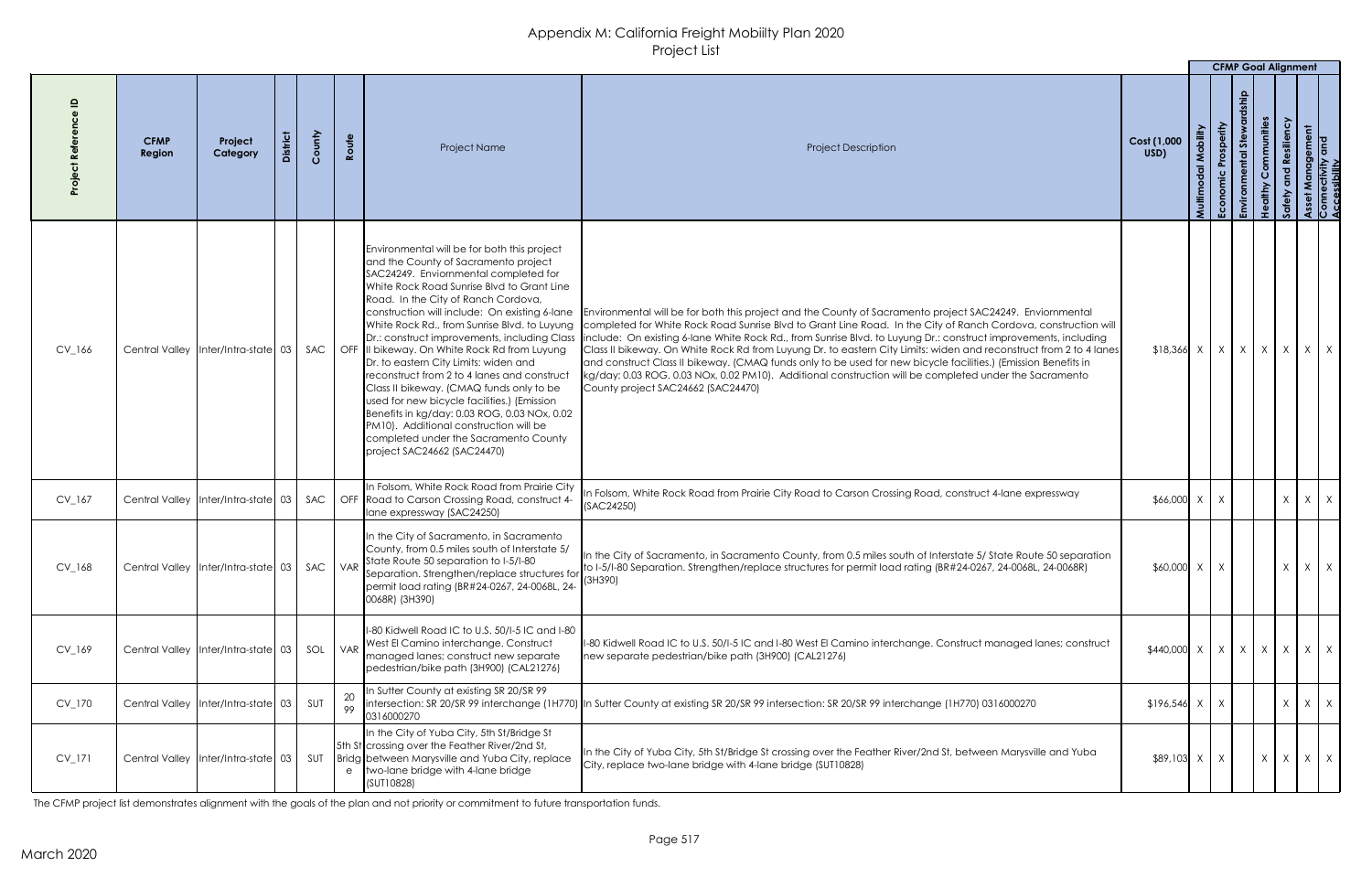|            |                       |                                         |        |          |                                                                                                                                                                                                                                                                                                                                                                                                                                                                                                                                                                                                                                                                                                                                                                          |                                                                                                                                                                                                                                                                                                                                                                                                                                                                                                                                                                                                                                                                                                                                       |                               |              | <b>CFMP Goal Alignment</b> |           |                   |            |   |
|------------|-----------------------|-----------------------------------------|--------|----------|--------------------------------------------------------------------------------------------------------------------------------------------------------------------------------------------------------------------------------------------------------------------------------------------------------------------------------------------------------------------------------------------------------------------------------------------------------------------------------------------------------------------------------------------------------------------------------------------------------------------------------------------------------------------------------------------------------------------------------------------------------------------------|---------------------------------------------------------------------------------------------------------------------------------------------------------------------------------------------------------------------------------------------------------------------------------------------------------------------------------------------------------------------------------------------------------------------------------------------------------------------------------------------------------------------------------------------------------------------------------------------------------------------------------------------------------------------------------------------------------------------------------------|-------------------------------|--------------|----------------------------|-----------|-------------------|------------|---|
|            | <b>CFMP</b><br>Region | Project<br>Category                     | County | Route    | <b>Project Name</b>                                                                                                                                                                                                                                                                                                                                                                                                                                                                                                                                                                                                                                                                                                                                                      | <b>Project Description</b>                                                                                                                                                                                                                                                                                                                                                                                                                                                                                                                                                                                                                                                                                                            | Cost (1,000<br>USD)           |              | ှေ                         | mmunities |                   |            |   |
| $CV_166$   |                       | Central Valley   Inter/Intra-state   03 | SAC    |          | Environmental will be for both this project<br>and the County of Sacramento project<br>SAC24249. Enviornmental completed for<br>White Rock Road Sunrise Blvd to Grant Line<br>Road. In the City of Ranch Cordova,<br>construction will include: On existing 6-lane<br>White Rock Rd., from Sunrise Blvd. to Luyung<br>Dr.: construct improvements, including Class<br>OFF III bikeway. On White Rock Rd from Luyung<br>Dr. to eastern City Limits: widen and<br>reconstruct from 2 to 4 lanes and construct<br>Class II bikeway. (CMAQ funds only to be<br>used for new bicycle facilities.) (Emission<br>Benefits in kg/day: 0.03 ROG, 0.03 NOx, 0.02<br>PM10). Additional construction will be<br>completed under the Sacramento County<br>project SAC24662 (SAC24470) | Environmental will be for both this project and the County of Sacramento project SAC24249. Enviornmental<br>completed for White Rock Road Sunrise Blvd to Grant Line Road. In the City of Ranch Cordova, construction will<br>Include: On existing 6-lane White Rock Rd., from Sunrise Blvd. to Luyung Dr.: construct improvements, including<br>Class II bikeway. On White Rock Rd from Luyung Dr. to eastern City Limits: widen and reconstruct from 2 to 4 lanes<br>and construct Class II bikeway. (CMAQ funds only to be used for new bicycle facilities.) (Emission Benefits in<br>kg/day: 0.03 ROG, 0.03 NOx, 0.02 PM10). Additional construction will be completed under the Sacramento<br>County project SAC24662 (SAC24470) |                               |              |                            |           |                   |            |   |
| $CV_167$   |                       | Central Valley   Inter/Intra-state   03 |        |          | In Folsom, White Rock Road from Prairie City<br>SAC   OFF Road to Carson Crossing Road, construct 4-<br>Iane expressway (SAC24250)                                                                                                                                                                                                                                                                                                                                                                                                                                                                                                                                                                                                                                       | n Folsom, White Rock Road from Prairie City Road to Carson Crossing Road, construct 4-lane expressway<br>(SAC24250)                                                                                                                                                                                                                                                                                                                                                                                                                                                                                                                                                                                                                   | $$66,000 \times$              | X            |                            |           | $\chi$            | $X \mid X$ |   |
| $CV_168$   |                       | Central Valley   Inter/Intra-state   03 | SAC    |          | In the City of Sacramento, in Sacramento<br>County, from 0.5 miles south of Interstate 5/<br>$\int$ VAR State Route 50 separation to I-5/I-80<br>Separation. Strengthen/replace structures for<br>permit load rating (BR#24-0267, 24-0068L, 24-<br>0068R) (3H390)                                                                                                                                                                                                                                                                                                                                                                                                                                                                                                        | In the City of Sacramento, in Sacramento County, from 0.5 miles south of Interstate 5/ State Route 50 separation<br>to I-5/I-80 Separation. Strengthen/replace structures for permit load rating (BR#24-0267, 24-0068L, 24-0068R)<br>(3H390)                                                                                                                                                                                                                                                                                                                                                                                                                                                                                          | $$60,000$ X                   | $\chi$       |                            |           | $\chi$            | X          | X |
| $CV_169$   |                       | Central Valley   Inter/Intra-state   03 | SOL    |          | 1-80 Kidwell Road IC to U.S. 50/1-5 IC and I-80<br>VAR West El Camino interchange. Construct<br>managed lanes; construct new separate<br>pedestrian/bike path (3H900) (CAL21276)                                                                                                                                                                                                                                                                                                                                                                                                                                                                                                                                                                                         | I-80 Kidwell Road IC to U.S. 50/I-5 IC and I-80 West El Camino interchange. Construct managed lanes; construct<br>new separate pedestrian/bike path (3H900) (CAL21276)                                                                                                                                                                                                                                                                                                                                                                                                                                                                                                                                                                | $$440,000 \times   X   X   X$ |              |                            |           | $X \mid X \mid X$ |            |   |
| CV_170     |                       | Central Valley   Inter/Intra-state   03 | SUT    | 20<br>99 | In Sutter County at existing SR 20/SR 99<br>0316000270                                                                                                                                                                                                                                                                                                                                                                                                                                                                                                                                                                                                                                                                                                                   | lintersection: SR 20/SR 99 interchange (1H770) In Sutter County at existing SR 20/SR 99 intersection: SR 20/SR 99 interchange (1H770) 0316000270                                                                                                                                                                                                                                                                                                                                                                                                                                                                                                                                                                                      | $$196,546$ X X                |              |                            |           | $\chi$            | $x \mid x$ |   |
| $CV_1$ 171 |                       | Central Valley   Inter/Intra-state   03 | SUT    | e        | In the City of Yuba City, 5th St/Bridge St<br>5th St crossing over the Feather River/2nd St,<br>Bridg between Marysville and Yuba City, replace<br>two-lane bridge with 4-lane bridge<br>(SUT10828)                                                                                                                                                                                                                                                                                                                                                                                                                                                                                                                                                                      | In the City of Yuba City, 5th St/Bridge St crossing over the Feather River/2nd St, between Marysville and Yuba<br>City, replace two-lane bridge with 4-lane bridge (SUT10828)                                                                                                                                                                                                                                                                                                                                                                                                                                                                                                                                                         | $$89,103$ X                   | $\mathsf{X}$ |                            | $\times$  | $X \mid X \mid X$ |            |   |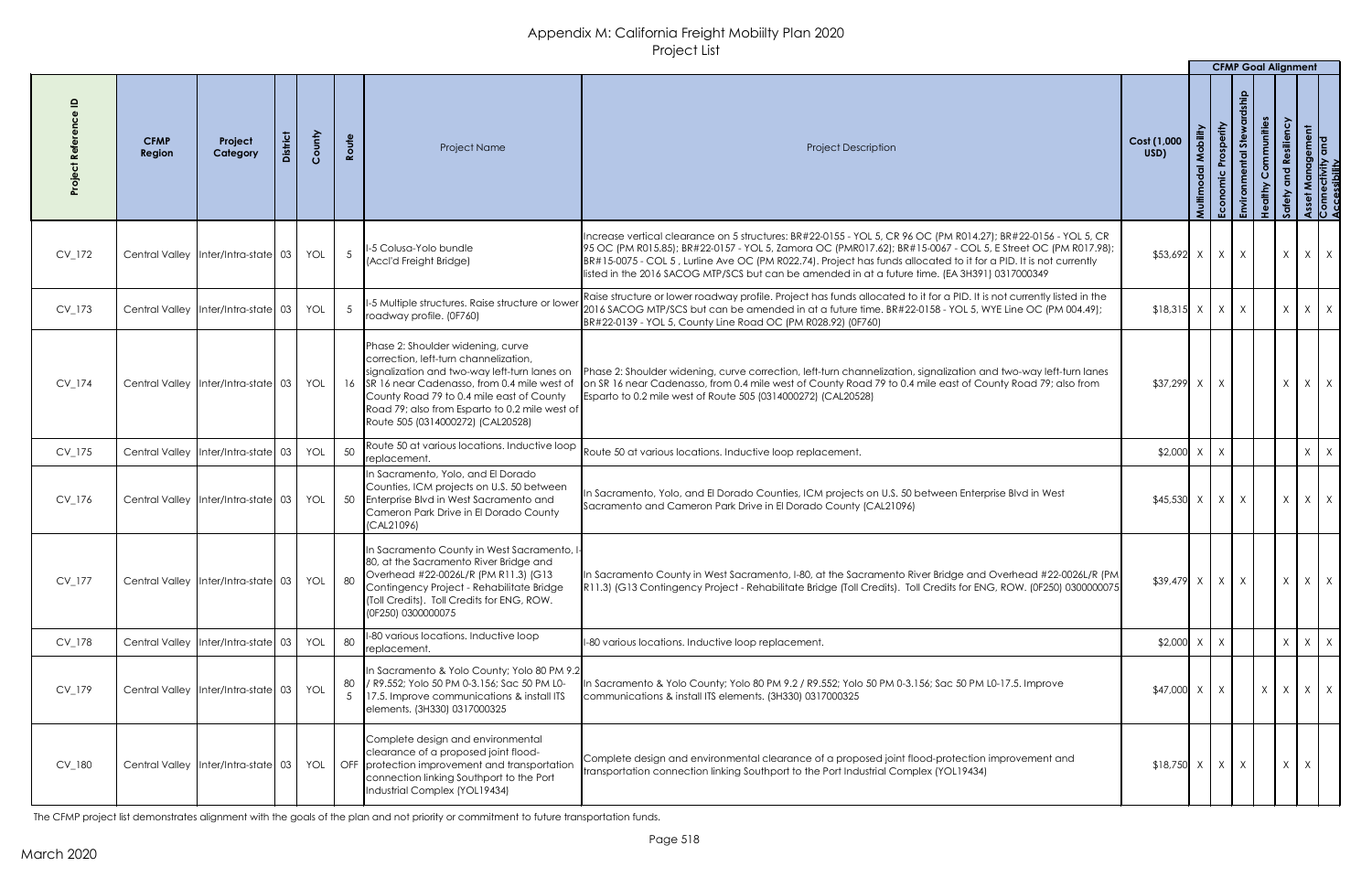|          |                       |                                         |            |       |                                                                                                                                                                                                                                                                                                                  |                                                                                                                                                                                                                                                                                                                                                                                                                                                        |                     |            |              | <b>CFMP Goal Alignment</b> |   |                              |
|----------|-----------------------|-----------------------------------------|------------|-------|------------------------------------------------------------------------------------------------------------------------------------------------------------------------------------------------------------------------------------------------------------------------------------------------------------------|--------------------------------------------------------------------------------------------------------------------------------------------------------------------------------------------------------------------------------------------------------------------------------------------------------------------------------------------------------------------------------------------------------------------------------------------------------|---------------------|------------|--------------|----------------------------|---|------------------------------|
|          | <b>CFMP</b><br>Region | Project<br>Category                     | County     | Route | Project Name                                                                                                                                                                                                                                                                                                     | <b>Project Description</b>                                                                                                                                                                                                                                                                                                                                                                                                                             | Cost (1,000<br>USD) | Prosperity | あ            | mmunities                  |   | nagement<br>/ity and<br>lity |
| CV_172   |                       | Central Valley Inter/Intra-state 03     | <b>YOL</b> |       | II-5 Colusa-Yolo bundle<br>(Accl'd Freight Bridge)                                                                                                                                                                                                                                                               | Increase vertical clearance on 5 structures: BR#22-0155 - YOL 5, CR 96 OC (PM R014.27); BR#22-0156 - YOL 5, CR<br>[95 OC (PM R015.85); BR#22-0157 - YOL 5, Zamora OC (PMR017.62); BR#15-0067 - COL 5, E Street OC (PM R017.98);<br>BR#15-0075 - COL 5, Lurline Ave OC (PM R022.74). Project has funds allocated to it for a PID. It is not currently<br>listed in the 2016 SACOG MTP/SCS but can be amended in at a future time. (EA 3H391) 0317000349 | $$53,692$ X   X     |            | $\mathsf{X}$ | $\chi$                     | X | $\times$                     |
| CV_173   |                       | Central Valley Inter/Intra-state 03     | YOL        |       | -5 Multiple structures. Raise structure or lower<br>roadway profile. (0F760)                                                                                                                                                                                                                                     | Raise structure or lower roadway profile. Project has funds allocated to it for a PID. It is not currently listed in the<br>2016 SACOG MTP/SCS but can be amended in at a future time. BR#22-0158 - YOL 5, WYE Line OC (PM 004.49);<br>BR#22-0139 - YOL 5, County Line Road OC (PM R028.92) (0F760)                                                                                                                                                    | $$18,315$ X X       |            | $\mathsf{X}$ | $\chi$                     | X | $\times$                     |
| CV_174   |                       | Central Valley   Inter/Intra-state 03   | <b>YOL</b> |       | Phase 2: Shoulder widening, curve<br>correction, left-turn channelization,<br>signalization and two-way left-turn lanes on<br>16 SR 16 near Cadenasso, from 0.4 mile west of<br>County Road 79 to 0.4 mile east of County<br>Road 79; also from Esparto to 0.2 mile west of<br>Route 505 (0314000272) (CAL20528) | Phase 2: Shoulder widening, curve correction, left-turn channelization, signalization and two-way left-turn lanes<br>on SR 16 near Cadenasso, from 0.4 mile west of County Road 79 to 0.4 mile east of County Road 79; also from<br>Esparto to 0.2 mile west of Route 505 (0314000272) (CAL20528)                                                                                                                                                      | \$37,299 X X        |            |              | $\chi$                     |   | $\vert x \vert x \vert$      |
| CV_175   |                       | Central Valley   Inter/Intra-state 03   | YOL        | 50    | Route 50 at various locations. Inductive loop<br>replacement.                                                                                                                                                                                                                                                    | Route 50 at various locations. Inductive loop replacement.                                                                                                                                                                                                                                                                                                                                                                                             | $$2,000$ X          | X          |              |                            |   | $X \mid X$                   |
| CV_176   |                       | Central Valley   Inter/Intra-state   03 | <b>YOL</b> | 50    | In Sacramento, Yolo, and El Dorado<br>Counties, ICM projects on U.S. 50 between<br>Enterprise Blvd in West Sacramento and<br>Cameron Park Drive in El Dorado County<br>(CAL21096)                                                                                                                                | In Sacramento, Yolo, and El Dorado Counties, ICM projects on U.S. 50 between Enterprise Blvd in West<br>Sacramento and Cameron Park Drive in El Dorado County (CAL21096)                                                                                                                                                                                                                                                                               | $$45,530$ X   X     |            | $\chi$       | $\chi$                     |   | $X \mid X$                   |
| $CV_177$ |                       | Central Valley Inter/Intra-state 03     | <b>YOL</b> | 80    | In Sacramento County in West Sacramento, I<br>80, at the Sacramento River Bridge and<br>Overhead #22-0026L/R (PM R11.3) (G13<br>Contingency Project - Rehabilitate Bridge<br>(Toll Credits). Toll Credits for ENG, ROW.<br>(0F250) 0300000075                                                                    | In Sacramento County in West Sacramento, I-80, at the Sacramento River Bridge and Overhead #22-0026L/R (PM)<br>[R11.3] (G13 Contingency Project - Rehabilitate Bridge (Toll Credits). Toll Credits for ENG, ROW. (0F250) 0300000075                                                                                                                                                                                                                    | $$39,479$ X X       |            | $\mathsf{X}$ | X                          |   | $\vert x \vert x \vert$      |
| CV_178   |                       | Central Valley   Inter/Intra-state 03   | YOL        | 80    | -80 various locations. Inductive loop<br>replacement.                                                                                                                                                                                                                                                            | I-80 various locations. Inductive loop replacement.                                                                                                                                                                                                                                                                                                                                                                                                    | $$2,000$ X          | X          |              | $\chi$                     |   | $X \mid X$                   |
| CV_179   |                       | Central Valley Inter/Intra-state 03     | YOL        | 80    | In Sacramento & Yolo County; Yolo 80 PM 9.2<br> / R9.552; Yolo 50 PM 0-3.156; Sac 50 PM L0-<br>17.5. Improve communications & install ITS<br>elements. (3H330) 0317000325                                                                                                                                        | In Sacramento & Yolo County; Yolo 80 PM 9.2 / R9.552; Yolo 50 PM 0-3.156; Sac 50 PM L0-17.5. Improve<br>communications & install ITS elements. (3H330) 0317000325                                                                                                                                                                                                                                                                                      | $$47,000$ X         | X          |              | $\mathsf{X}$               |   | $X \mid X \mid X$            |
| CV_180   |                       | Central Valley   Inter/Intra-state 03   | YOL        |       | Complete design and environmental<br>clearance of a proposed joint flood-<br>OFF protection improvement and transportation<br>connection linking Southport to the Port<br>Industrial Complex (YOL19434)                                                                                                          | Complete design and environmental clearance of a proposed joint flood-protection improvement and<br>transportation connection linking Southport to the Port Industrial Complex (YOL19434)                                                                                                                                                                                                                                                              | $$18,750$ X X       |            | $\mathsf{X}$ | $\chi$                     |   |                              |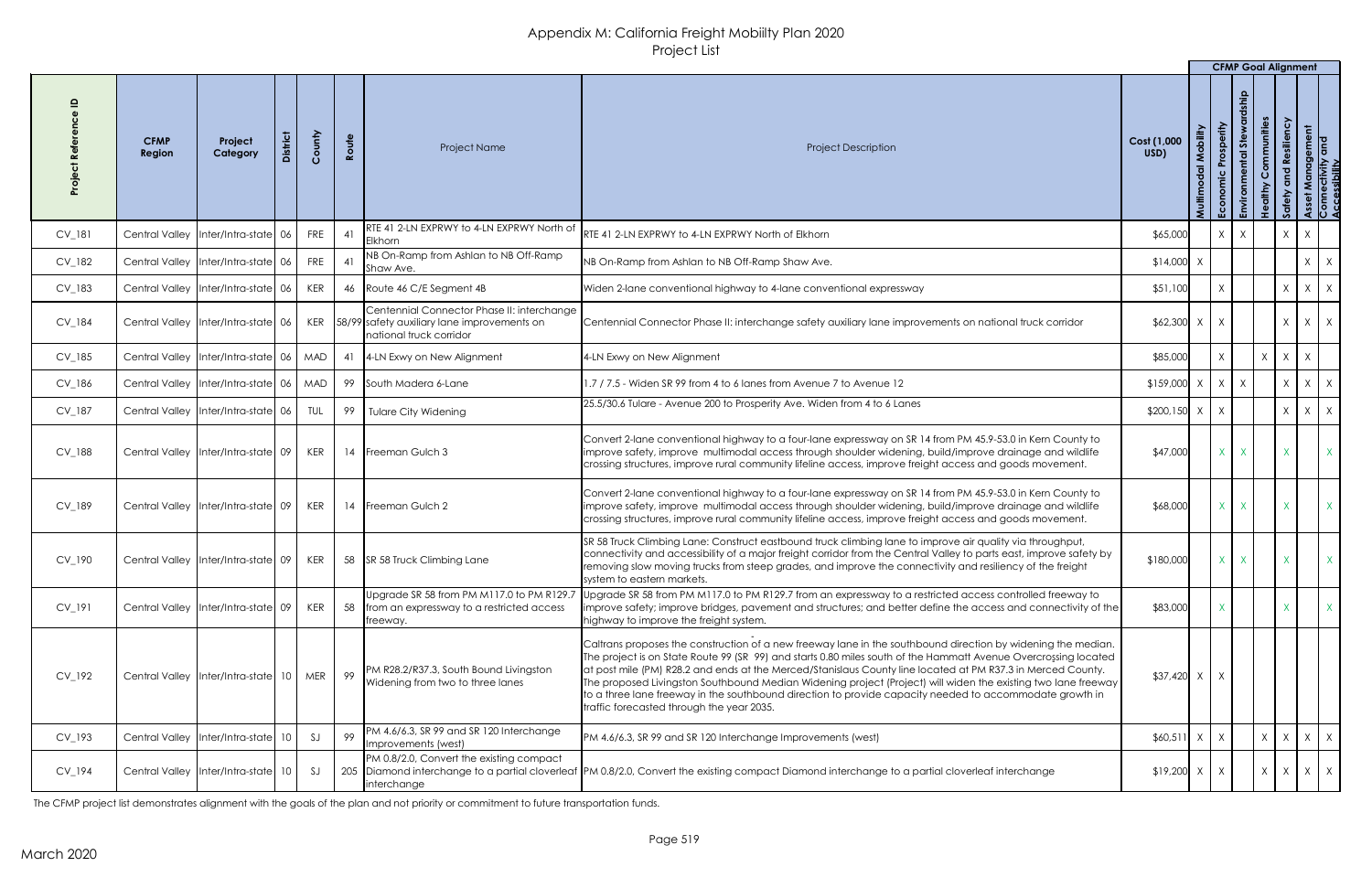|          |                              |                                               |                 |            |                                                                                                                       |                                                                                                                                                                                                                                                                                                                                                                                                                                                                                                                                                                                                                         |                     |              | <b>CFMP Goal Alignment</b>         |                            |                                               |                                                       |
|----------|------------------------------|-----------------------------------------------|-----------------|------------|-----------------------------------------------------------------------------------------------------------------------|-------------------------------------------------------------------------------------------------------------------------------------------------------------------------------------------------------------------------------------------------------------------------------------------------------------------------------------------------------------------------------------------------------------------------------------------------------------------------------------------------------------------------------------------------------------------------------------------------------------------------|---------------------|--------------|------------------------------------|----------------------------|-----------------------------------------------|-------------------------------------------------------|
|          | <b>CFMP</b><br><b>Region</b> | Project<br>Category                           | <b>District</b> | County     | Route<br><b>Project Name</b>                                                                                          | <b>Project Description</b>                                                                                                                                                                                                                                                                                                                                                                                                                                                                                                                                                                                              | Cost (1,000<br>USD) |              | Prosperity<br>5te<br>Economic<br>壶 | Communities<br>dithy<br>Ĭ. | siliency<br>്<br>പ<br>$\overline{\mathbf{C}}$ | Asset Management<br>Connectivity and<br>Accessibility |
| CV_181   |                              | Central Valley  Inter/Intra-state 06          |                 | <b>FRE</b> | RTE 41 2-LN EXPRWY to 4-LN EXPRWY North of<br>41<br>Elkhorn                                                           | RTE 41 2-LN EXPRWY to 4-LN EXPRWY North of Elkhorn                                                                                                                                                                                                                                                                                                                                                                                                                                                                                                                                                                      | \$65,000            |              | X<br>$\mathsf{X}$                  |                            | $\lambda$                                     |                                                       |
| CV_182   |                              | Central Valley   Inter/Intra-state   06       |                 | <b>FRE</b> | NB On-Ramp from Ashlan to NB Off-Ramp<br>41<br>Shaw Ave.                                                              | NB On-Ramp from Ashlan to NB Off-Ramp Shaw Ave.                                                                                                                                                                                                                                                                                                                                                                                                                                                                                                                                                                         | $$14,000$ X         |              |                                    |                            |                                               | $X \mid X$                                            |
| $CV_183$ |                              | Central Valley   Inter/Intra-state   06       |                 | <b>KER</b> | 46   Route 46 C/E Segment 4B                                                                                          | Widen 2-lane conventional highway to 4-lane conventional expressway                                                                                                                                                                                                                                                                                                                                                                                                                                                                                                                                                     | \$51,100            |              |                                    |                            | $\mathsf{X}$                                  | $X \mid X$                                            |
| CV_184   |                              | Central Valley   Inter/Intra-state   06       |                 | KER        | Centennial Connector Phase II: interchange<br>158/99 safety auxiliary lane improvements on<br>national truck corridor | Centennial Connector Phase II: interchange safety auxiliary lane improvements on national truck corridor                                                                                                                                                                                                                                                                                                                                                                                                                                                                                                                | $$62,300$ X         |              | $\chi$                             |                            | $\chi$                                        | $X \mid X$                                            |
| CV_185   |                              | Central Valley   Inter/Intra-state   06   MAD |                 |            | 4-LN Exwy on New Alignment<br>41                                                                                      | 4-LN Exwy on New Alignment                                                                                                                                                                                                                                                                                                                                                                                                                                                                                                                                                                                              | \$85,000            |              | X                                  | X                          | $\mathsf{X}$                                  |                                                       |
| CV_186   |                              | Central Valley   Inter/Intra-state   06   MAD |                 |            | 99<br>South Madera 6-Lane                                                                                             | 1.7 / 7.5 - Widen SR 99 from 4 to 6 lanes from Avenue 7 to Avenue 12                                                                                                                                                                                                                                                                                                                                                                                                                                                                                                                                                    | $$159,000$ X        |              | $\vert$ X $\vert$<br>$\mathsf{X}$  |                            | $\chi$                                        | $X \mid X$                                            |
| CV_187   | <b>Central Valley</b>        | Inter/Intra-state 06                          |                 | TUL        | 99<br><b>Tulare City Widening</b>                                                                                     | 25.5/30.6 Tulare - Avenue 200 to Prosperity Ave. Widen from 4 to 6 Lanes                                                                                                                                                                                                                                                                                                                                                                                                                                                                                                                                                | $$200,150$ X        |              | $\mathsf{X}$                       |                            | $\lambda$                                     | $X \mid X$                                            |
| CV_188   |                              | Central Valley   Inter/Intra-state 09         |                 | <b>KER</b> | 14 Freeman Gulch 3                                                                                                    | Convert 2-lane conventional highway to a four-lane expressway on SR 14 from PM 45.9-53.0 in Kern County to<br>improve safety, improve multimodal access through shoulder widening, build/improve drainage and wildlife<br>crossing structures, improve rural community lifeline access, improve freight access and goods movement.                                                                                                                                                                                                                                                                                      | \$47,000            |              | X                                  |                            |                                               | $\mathsf{X}$                                          |
| CV_189   |                              | Central Valley   Inter/Intra-state   09       |                 | KER        | 14 Freeman Gulch 2                                                                                                    | Convert 2-lane conventional highway to a four-lane expressway on SR 14 from PM 45.9-53.0 in Kern County to<br>improve safety, improve multimodal access through shoulder widening, build/improve drainage and wildlife<br>crossing structures, improve rural community lifeline access, improve freight access and goods movement.                                                                                                                                                                                                                                                                                      | \$68,000            |              | $X_{-}$                            |                            |                                               |                                                       |
| CV_190   |                              | Central Valley   Inter/Intra-state   09       |                 | KER        | 58 SR 58 Truck Climbing Lane                                                                                          | SR 58 Truck Climbing Lane: Construct eastbound truck climbing lane to improve air quality via throughput,<br>connectivity and accessibility of a major freight corridor from the Central Valley to parts east, improve safety by<br>removing slow moving trucks from steep grades, and improve the connectivity and resiliency of the freight<br>system to eastern markets.                                                                                                                                                                                                                                             | \$180,000           |              | X                                  |                            |                                               | X                                                     |
| CV_191   |                              | Central Valley   Inter/Intra-state 09         |                 | KER        | Upgrade SR 58 from PM M117.0 to PM R129.7<br>58<br>from an expressway to a restricted access<br>freeway.              | Upgrade SR 58 from PM M117.0 to PM R129.7 from an expressway to a restricted access controlled freeway to<br>Improve safety; improve bridges, pavement and structures; and better define the access and connectivity of the<br>highway to improve the freight system.                                                                                                                                                                                                                                                                                                                                                   | \$83,000            |              |                                    |                            |                                               | $\mathsf{X}$                                          |
| CV_192   |                              | Central Valley   Inter/Intra-state   10       |                 | MER        | PM R28.2/R37.3, South Bound Livingston<br>99<br>Widening from two to three lanes                                      | Caltrans proposes the construction of a new freeway lane in the southbound direction by widening the median.<br>The project is on State Route 99 (SR 99) and starts 0.80 miles south of the Hammatt Avenue Overcrossing located<br>at post mile (PM) R28.2 and ends at the Merced/Stanislaus County line located at PM R37.3 in Merced County.<br>The proposed Livingston Southbound Median Widening project (Project) will widen the existing two lane freeway<br>to a three lane freeway in the southbound direction to provide capacity needed to accommodate growth in<br>traffic forecasted through the year 2035. | $$37,420$ X         |              |                                    |                            |                                               |                                                       |
| CV_193   |                              | Central Valley   Inter/Intra-state   10       |                 | SJ         | PM 4.6/6.3, SR 99 and SR 120 Interchange<br>99<br>Improvements (west)                                                 | PM 4.6/6.3, SR 99 and SR 120 Interchange Improvements (west)                                                                                                                                                                                                                                                                                                                                                                                                                                                                                                                                                            | \$60,511            | $\mathsf{X}$ | X                                  | $\times$                   | $\mathsf{X}$                                  | $X \mid X$                                            |
| CV_194   |                              | Central Valley   Inter/Intra-state   10       |                 | SJ         | PM 0.8/2.0, Convert the existing compact<br><i>interchange</i>                                                        | 205 Diamond interchange to a partial cloverleaf PM 0.8/2.0, Convert the existing compact Diamond interchange to a partial cloverleaf interchange                                                                                                                                                                                                                                                                                                                                                                                                                                                                        | $$19,200$ X         |              | $\mathsf{X}$                       | $\times$                   |                                               | $X \mid X \mid X$                                     |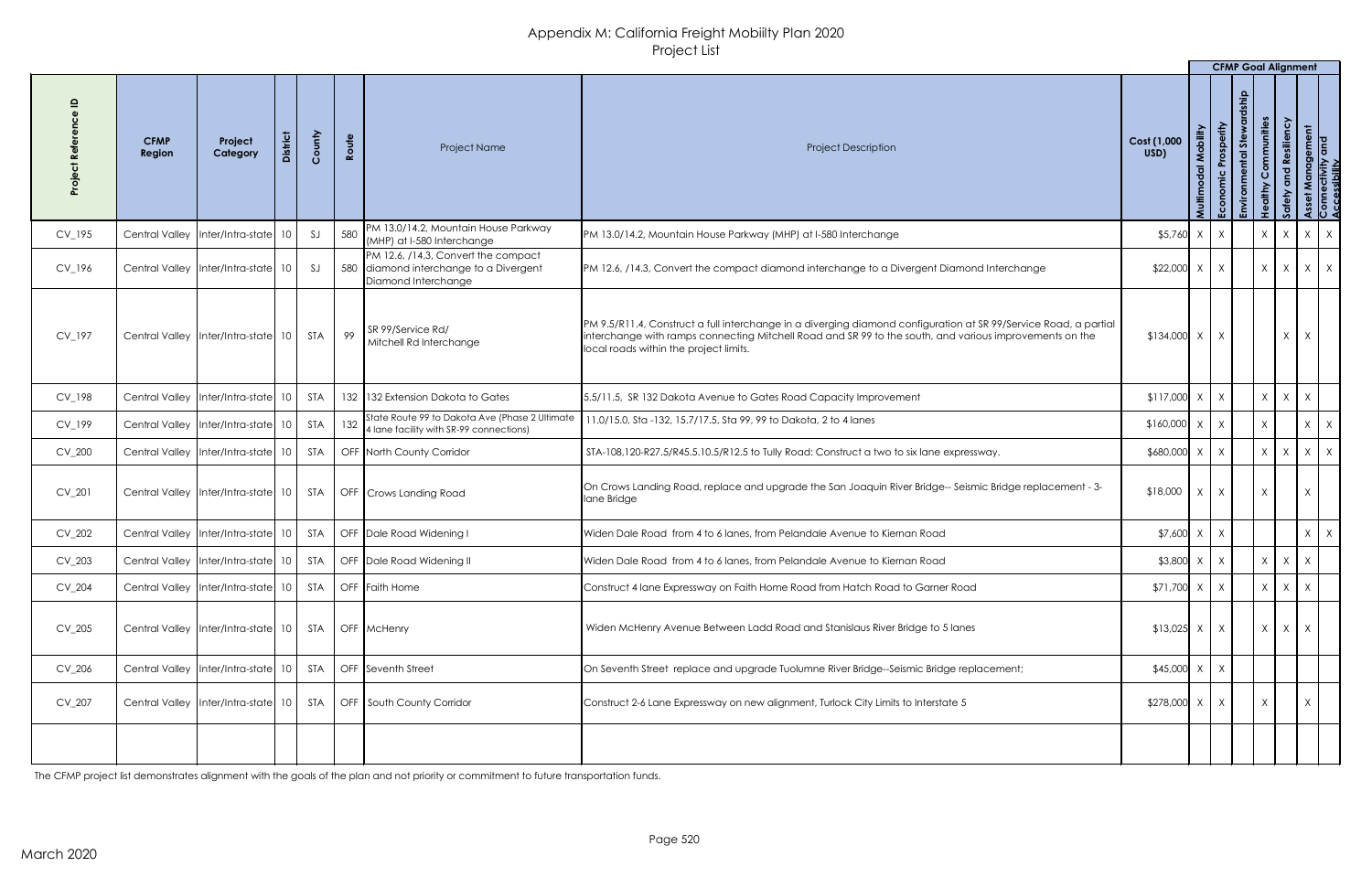|          |                       |                                                                             |                 |        |       |                                                                                                      |                                                                                                                                                                                                                                                                       |                     |        |                       | <b>CFMP Goal Alignment</b> |                          |                                    |                                             |
|----------|-----------------------|-----------------------------------------------------------------------------|-----------------|--------|-------|------------------------------------------------------------------------------------------------------|-----------------------------------------------------------------------------------------------------------------------------------------------------------------------------------------------------------------------------------------------------------------------|---------------------|--------|-----------------------|----------------------------|--------------------------|------------------------------------|---------------------------------------------|
|          | <b>CFMP</b><br>Region | Project<br>Category                                                         | <b>District</b> | County | Route | Project Name                                                                                         | <b>Project Description</b>                                                                                                                                                                                                                                            | Cost (1,000<br>USD) | Multin | rosperity<br>Economic | あ<br>ntal<br>虛             | Communities<br>althy     | silienc<br>$\overline{\mathbf{c}}$ | t Management<br>nectivity and<br>sssibility |
| CV_195   |                       | Central Valley   Inter/Intra-state                                          | 10 <sup>1</sup> | SI     | 580   | PM 13.0/14.2, Mountain House Parkway<br>(MHP) at I-580 Interchange                                   | PM 13.0/14.2, Mountain House Parkway (MHP) at I-580 Interchange                                                                                                                                                                                                       | $$5,760$ X          |        | X                     |                            | $X \mid X$               |                                    | $X \mid X$                                  |
| CV_196   |                       | Central Valley   Inter/Intra-state   10                                     |                 | SJ     |       | PM 12.6, /14.3, Convert the compact<br>580 diamond interchange to a Divergent<br>Diamond Interchange | PM 12.6, /14.3, Convert the compact diamond interchange to a Divergent Diamond Interchange                                                                                                                                                                            | $$22,000$ X         |        | $\mathsf{X}$          |                            | $X \mid$                 | X                                  | $X \mid X$                                  |
| CV_197   | <b>Central Valley</b> | $\left  \right $ Inter/Intra-state $\left  \right $ 10 $\left  \right $ STA |                 |        | 99    | SR 99/Service Rd/<br>Mitchell Rd Interchange                                                         | PM 9.5/R11.4, Construct a full interchange in a diverging diamond configuration at SR 99/Service Road, a partial<br>interchange with ramps connecting Mitchell Road and SR 99 to the south, and various improvements on the<br>local roads within the project limits. | $$134,000$ X        |        | X                     |                            |                          |                                    | X                                           |
| CV_198   |                       | Central Valley   Inter/Intra-state                                          | 10 <sup>°</sup> | STA    |       | 132 132 Extension Dakota to Gates                                                                    | 5.5/11.5, SR 132 Dakota Avenue to Gates Road Capacity Improvement                                                                                                                                                                                                     | $$117,000$ X        |        | $\mathsf{X}$          |                            | $\mathsf{X}$             |                                    |                                             |
| CV_199   |                       | Central Valley   Inter/Intra-state   10                                     |                 | STA    |       | State Route 99 to Dakota Ave (Phase 2 Ultimate<br>132 4 Iane facility with SR-99 connections)        | 11.0/15.0, Sta -132, 15.7/17.5, Sta 99, 99 to Dakota, 2 to 4 lanes                                                                                                                                                                                                    | $$160,000$ $x$ $x$  |        |                       |                            | $\vee$                   |                                    | $X \mid X$                                  |
| $CV_200$ |                       | Central Valley   Inter/Intra-state   10                                     |                 | STA    |       | <b>OFF North County Corridor</b>                                                                     | STA-108,120-R27.5/R45.5.10.5/R12.5 to Tully Road: Construct a two to six lane expressway.                                                                                                                                                                             | \$680,000           |        | X                     |                            | X<br>$\mathsf{X}$        |                                    | $X \mid X$                                  |
| $CV_201$ |                       | Central Valley   Inter/Intra-state   10   STA                               |                 |        |       | OFF   Crows Landing Road                                                                             | On Crows Landing Road, replace and upgrade the San Joaquin River Bridge-- Seismic Bridge replacement - 3-<br>lane Bridge                                                                                                                                              | \$18,000            | X      | X                     |                            | $\mathsf{X}$             |                                    | X                                           |
| CV_202   |                       | Central Valley   Inter/Intra-state   10                                     |                 | STA    |       | OFF Dale Road Widening I                                                                             | Widen Dale Road from 4 to 6 lanes, from Pelandale Avenue to Kiernan Road                                                                                                                                                                                              | $$7,600 \times$     |        | X                     |                            |                          |                                    | $X \mid X$                                  |
| $CV_203$ |                       | Central Valley   Inter/Intra-state   10                                     |                 | STA    |       | OFF Dale Road Widening II                                                                            | Widen Dale Road from 4 to 6 lanes, from Pelandale Avenue to Kiernan Road                                                                                                                                                                                              | $$3,800$ X          |        | X                     |                            | $X \mid$<br>$\mathsf{X}$ |                                    | X                                           |
| CV_204   |                       | Central Valley   Inter/Intra-state   10                                     |                 | STA    |       | OFF Faith Home                                                                                       | Construct 4 lane Expressway on Faith Home Road from Hatch Road to Garner Road                                                                                                                                                                                         | $$71,700$ X         |        | X                     |                            |                          |                                    | $X -$                                       |
| CV_205   |                       | Central Valley   Inter/Intra-state   10                                     |                 | STA    |       | OFF McHenry                                                                                          | Widen McHenry Avenue Between Ladd Road and Stanislaus River Bridge to 5 lanes                                                                                                                                                                                         | $$13,025$ X         |        | $\mathsf{X}$          |                            | X<br>$\mathsf{X}$        |                                    | X                                           |
| $CV_206$ |                       | Central Valley   Inter/Intra-state   10                                     |                 | STA    |       | OFF Seventh Street                                                                                   | On Seventh Street replace and upgrade Tuolumne River Bridge--Seismic Bridge replacement;                                                                                                                                                                              | $$45,000$ X         |        | X                     |                            |                          |                                    |                                             |
| CV_207   |                       | Central Valley   Inter/Intra-state   10   STA                               |                 |        |       | OFF South County Corridor                                                                            | Construct 2-6 Lane Expressway on new alignment, Turlock City Limits to Interstate 5                                                                                                                                                                                   | $$278,000$ X        |        | X                     |                            |                          |                                    | X                                           |
|          |                       |                                                                             |                 |        |       |                                                                                                      |                                                                                                                                                                                                                                                                       |                     |        |                       |                            |                          |                                    |                                             |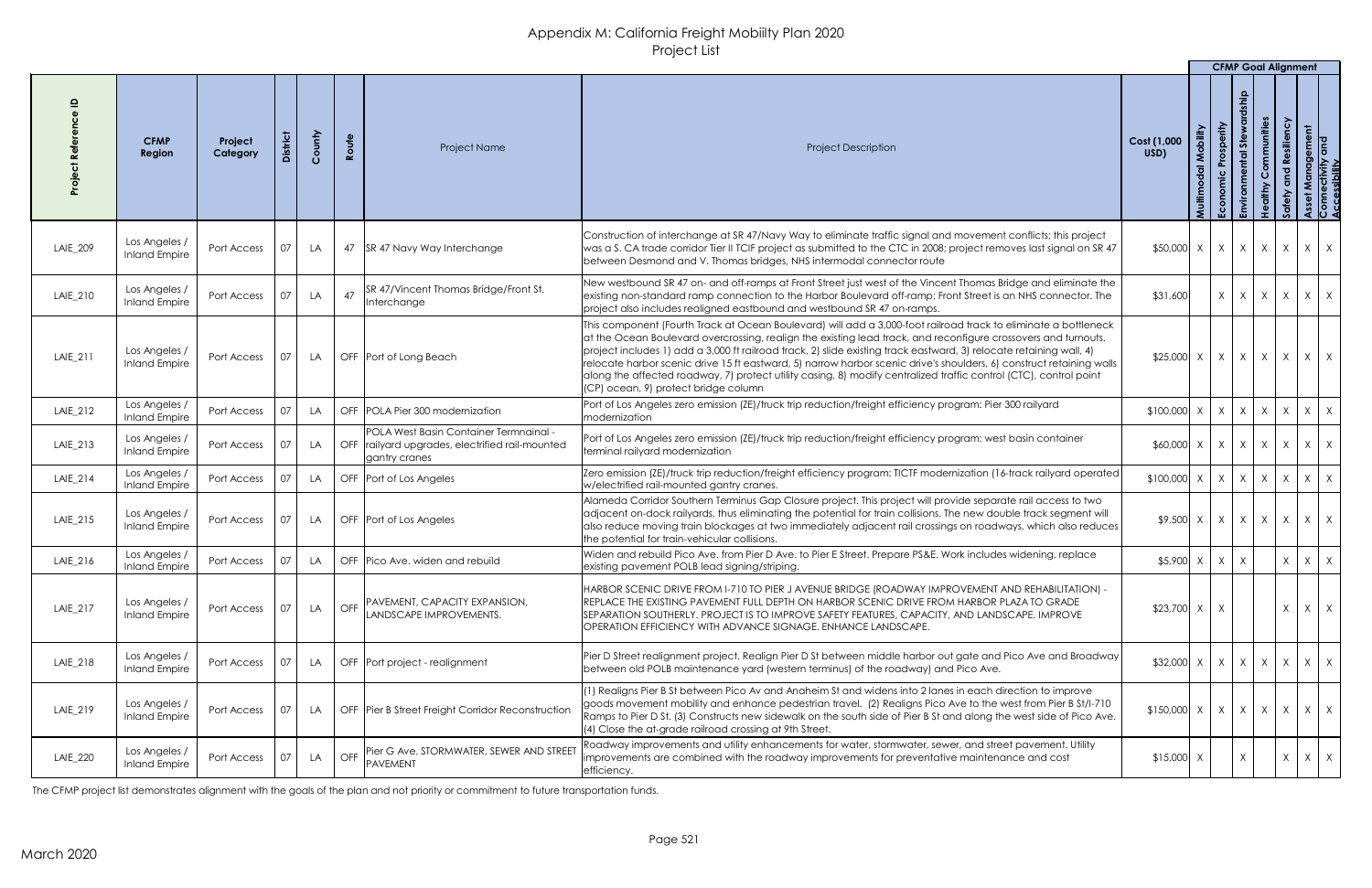|          |                                       |                     |                 |        |            |                                                                                                                 |                                                                                                                                                                                                                                                                                                                                                                                                                                                                                                                                                                                                                                               |                                                        |                            | <b>CFMP Goal Alignment</b>                                         |                                       |                                             |                                             |
|----------|---------------------------------------|---------------------|-----------------|--------|------------|-----------------------------------------------------------------------------------------------------------------|-----------------------------------------------------------------------------------------------------------------------------------------------------------------------------------------------------------------------------------------------------------------------------------------------------------------------------------------------------------------------------------------------------------------------------------------------------------------------------------------------------------------------------------------------------------------------------------------------------------------------------------------------|--------------------------------------------------------|----------------------------|--------------------------------------------------------------------|---------------------------------------|---------------------------------------------|---------------------------------------------|
|          | <b>CFMP</b><br>Region                 | Project<br>Category | <b>District</b> | County | Route      | Project Name                                                                                                    | <b>Project Description</b>                                                                                                                                                                                                                                                                                                                                                                                                                                                                                                                                                                                                                    | Cost (1,000<br>USD)                                    | Mobility<br>$\overline{a}$ | Prosperity<br>あ<br>$\overline{\sigma}$<br>t.<br>Economic<br>٦ă     | Communities<br>dithy<br>$\frac{9}{1}$ | ssiliency<br>$\mathbf{e}$<br>$\overline{c}$ | t Management<br>nectivity and<br>sssibility |
| LAIE_209 | Los Angeles /<br><b>Inland Empire</b> | Port Access         | 07              | LA     |            | 47 SR 47 Navy Way Interchange                                                                                   | Construction of interchange at SR 47/Navy Way to eliminate traffic signal and movement conflicts; this project<br>was a S. CA trade corridor Tier II TCIF project as submitted to the CTC in 2008; project removes last signal on SR 47<br>between Desmond and V. Thomas bridges, NHS intermodal connector route                                                                                                                                                                                                                                                                                                                              | $$50,000 \times X \times X \times X \times X$          |                            |                                                                    |                                       |                                             |                                             |
| LAIE_210 | Los Angeles /<br><b>Inland Empire</b> | Port Access         | 07              | LA     | 47         | SR 47/Vincent Thomas Bridge/Front St.<br>Interchange                                                            | New westbound SR 47 on- and off-ramps at Front Street just west of the Vincent Thomas Bridge and eliminate the<br>existing non-standard ramp connection to the Harbor Boulevard off-ramp; Front Street is an NHS connector. The<br>project also includes realigned eastbound and westbound SR 47 on-ramps.                                                                                                                                                                                                                                                                                                                                    | \$31,600                                               |                            | $x \mid x \mid x \mid x \mid x \mid x$                             |                                       |                                             |                                             |
| LAIE_211 | Los Angeles /<br><b>Inland Empire</b> | Port Access         | 07              | LA     |            | OFF Port of Long Beach                                                                                          | This component (Fourth Track at Ocean Boulevard) will add a 3,000-foot railroad track to eliminate a bottleneck<br>at the Ocean Boulevard overcrossing, realign the existing lead track, and reconfigure crossovers and turnouts.<br>project includes 1) add a 3,000 ft railroad track, 2) slide existing track eastward, 3) relocate retaining wall, 4)<br>relocate harbor scenic drive 15 ft eastward, 5) narrow harbor scenic drive's shoulders, 6) construct retaining walls<br>along the affected roadway, 7) protect utility casing, 8) modify centralized traffic control (CTC), control point<br>(CP) ocean, 9) protect bridge column | $$25,000 \times   \times   \times   \times   \times  $ |                            |                                                                    |                                       |                                             | $X \mid X$                                  |
| LAIE_212 | Los Angeles /<br><b>Inland Empire</b> | Port Access         | $\Omega$        | LA     |            | OFF POLA Pier 300 modernization                                                                                 | Port of Los Angeles zero emission (ZE)/truck trip reduction/freight efficiency program: Pier 300 railyard<br>modernization                                                                                                                                                                                                                                                                                                                                                                                                                                                                                                                    |                                                        |                            |                                                                    |                                       |                                             |                                             |
| LAIE_213 | Los Angeles /<br><b>Inland Empire</b> | Port Access         | $\bigcap$       | LA     |            | <b>POLA West Basin Container Termnainal</b><br>OFF railyard upgrades, electrified rail-mounted<br>gantry cranes | Port of Los Angeles zero emission (ZE)/truck trip reduction/freight efficiency program: west basin container<br>terminal railyard modernization                                                                                                                                                                                                                                                                                                                                                                                                                                                                                               |                                                        |                            |                                                                    |                                       |                                             |                                             |
| LAIE_214 | Los Angeles /<br><b>Inland Empire</b> | Port Access         | $\bigcap$       | LA.    |            | OFF Port of Los Angeles                                                                                         | Zero emission (ZE)/truck trip reduction/freight efficiency program: TICTF modernization (16-track railyard operated<br>w/electrified rail-mounted gantry cranes.                                                                                                                                                                                                                                                                                                                                                                                                                                                                              | $$100,000$ X                                           |                            | $X \mid X$                                                         | X                                     | $\mathsf{X}$                                | $X \mid X$                                  |
| LAIE_215 | Los Angeles /<br><b>Inland Empire</b> | Port Access         | 07              | LA     |            | OFF Port of Los Angeles                                                                                         | Alameda Corridor Southern Terminus Gap Closure project. This project will provide separate rail access to two<br>adjacent on-dock railyards, thus eliminating the potential for train collisions. The new double track segment will<br>also reduce moving train blockages at two immediately adjacent rail crossings on roadways, which also reduces<br>the potential for train-vehicular collisions.                                                                                                                                                                                                                                         |                                                        |                            | $\frac{1}{2}$ \$9,500 $\times$ $\times$ $\times$ $\times$ $\times$ |                                       | X                                           | $X \mid X$                                  |
| LAIE_216 | Los Angeles<br><b>Inland Empire</b>   | Port Access         |                 | LA     |            | OFF Pico Ave. widen and rebuild                                                                                 | Widen and rebuild Pico Ave. from Pier D Ave. to Pier E Street. Prepare PS&E. Work includes widening, replace<br>existing pavement POLB lead signing/striping.                                                                                                                                                                                                                                                                                                                                                                                                                                                                                 | $$5,900$ X                                             |                            | $\mathsf{X}$<br>$\mathsf{X}$                                       |                                       | $\chi$                                      | $X \mid X$                                  |
| LAIE_217 | Los Angeles /<br><b>Inland Empire</b> | Port Access         | 07              | LA     | <b>OFF</b> | <b>PAVEMENT, CAPACITY EXPANSION,</b><br>LANDSCAPE IMPROVEMENTS.                                                 | HARBOR SCENIC DRIVE FROM 1-710 TO PIER J AVENUE BRIDGE (ROADWAY IMPROVEMENT AND REHABILITATION) -<br>REPLACE THE EXISTING PAVEMENT FULL DEPTH ON HARBOR SCENIC DRIVE FROM HARBOR PLAZA TO GRADE<br>SEPARATION SOUTHERLY. PROJECT IS TO IMPROVE SAFETY FEATURES, CAPACITY, AND LANDSCAPE. IMPROVE<br>OPERATION EFFICIENCY WITH ADVANCE SIGNAGE. ENHANCE LANDSCAPE.                                                                                                                                                                                                                                                                             | $$23,700$ X                                            |                            |                                                                    |                                       | $\chi$                                      | $X \mid X$                                  |
| LAIE_218 | Los Angeles /<br><b>Inland Empire</b> | Port Access         | 07              | LA     |            | OFF Port project - realignment                                                                                  | Pier D Street realignment project. Realign Pier D St between middle harbor out gate and Pico Ave and Broadway<br>between old POLB maintenance yard (western terminus) of the roadway) and Pico Ave.                                                                                                                                                                                                                                                                                                                                                                                                                                           |                                                        |                            |                                                                    |                                       | X                                           | $X \mid X$                                  |
| LAIE_219 | Los Angeles /<br><b>Inland Empire</b> | Port Access         | 07              | LA.    |            | OFF Pier B Street Freight Corridor Reconstruction                                                               | (1) Realigns Pier B St between Pico Av and Anaheim St and widens into 2 lanes in each direction to improve<br>goods movement mobility and enhance pedestrian travel. (2) Realigns Pico Ave to the west from Pier B St/I-710<br>Ramps to Pier D St. (3) Constructs new sidewalk on the south side of Pier B St and along the west side of Pico Ave.<br>(4) Close the at-grade railroad crossing at 9th Street.                                                                                                                                                                                                                                 | $$150,000 \times   X   X   X$                          |                            |                                                                    |                                       | X                                           | $X \mid X$                                  |
| LAIE_220 | Los Angeles /<br><b>Inland Empire</b> | Port Access         | 07              | LA     | <b>OFF</b> | <b>Pier G Ave. STORMWATER, SEWER AND STREET</b><br>PAVEMENT                                                     | Roadway improvements and utility enhancements for water, stormwater, sewer, and street pavement. Utility<br>improvements are combined with the roadway improvements for preventative maintenance and cost<br>efficiency.                                                                                                                                                                                                                                                                                                                                                                                                                      | $$15,000$ X                                            |                            |                                                                    |                                       | $\chi$                                      | $X \mid X$                                  |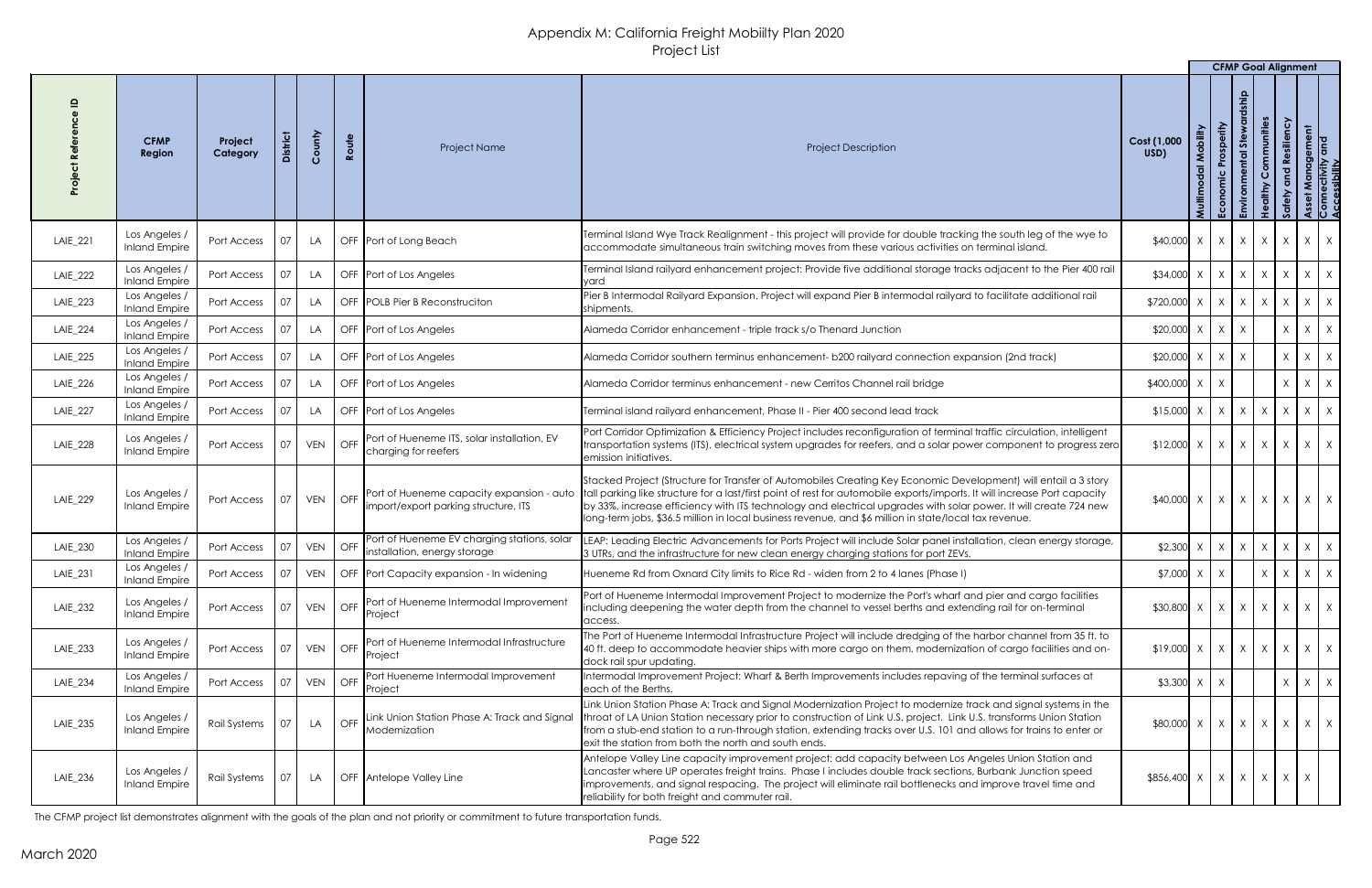|                 |                                       |                     |                 |            |                              |                                                                                   |                                                                                                                                                                                                                                                                                                                                                                                                                                                                           |                                                                                 |          | <b>CFMP Goal Alignment</b>                         |                                                         |               |            |                                                       |
|-----------------|---------------------------------------|---------------------|-----------------|------------|------------------------------|-----------------------------------------------------------------------------------|---------------------------------------------------------------------------------------------------------------------------------------------------------------------------------------------------------------------------------------------------------------------------------------------------------------------------------------------------------------------------------------------------------------------------------------------------------------------------|---------------------------------------------------------------------------------|----------|----------------------------------------------------|---------------------------------------------------------|---------------|------------|-------------------------------------------------------|
|                 | <b>CFMP</b><br>Region                 | Project<br>Category | <b>District</b> | County     | Route                        | <b>Project Name</b>                                                               | <b>Project Description</b>                                                                                                                                                                                                                                                                                                                                                                                                                                                | Cost (1,000<br>USD)                                                             | Mobility | Prosperity<br><b>Stew</b><br>ntal<br>Economic<br>Æ | Communities<br>althy<br>$\frac{\mathbf{e}}{\mathbf{r}}$ | nd Resiliency |            | Asset Management<br>Connectivity and<br>Accessibility |
| LAIE_221        | Los Angeles /<br><b>Inland Empire</b> | Port Access         | 07              | LA         |                              | OFF Port of Long Beach                                                            | Terminal Island Wye Track Realignment - this project will provide for double tracking the south leg of the wye to<br>accommodate simultaneous train switching moves from these various activities on terminal island.                                                                                                                                                                                                                                                     | $$40,000 \times   \times   \times   \times  $                                   |          |                                                    |                                                         |               | X          | $X \mid X$                                            |
| LAIE_222        | Los Angeles /<br><b>Inland Empire</b> | Port Access         |                 | LA         |                              | OFF Port of Los Angeles                                                           | Terminal Island railyard enhancement project: Provide five additional storage tracks adjacent to the Pier 400 rail<br>yard                                                                                                                                                                                                                                                                                                                                                | $$34,000$ X                                                                     |          | $X \mid X \mid$                                    | X                                                       | $\mathsf{X}$  |            | $X \mid X$                                            |
| LAIE_223        | Los Angeles /<br><b>Inland Empire</b> | Port Access         |                 | LA         |                              | OFF POLB Pier B Reconstruction                                                    | Pier B Intermodal Railyard Expansion. Project will expand Pier B intermodal railyard to facilitate additional rail<br>shipments.                                                                                                                                                                                                                                                                                                                                          | $$720,000$ X                                                                    |          | $X \mid X \mid X$                                  |                                                         | $\chi$        |            | $X \mid X$                                            |
| LAIE_224        | Los Angeles /<br><b>Inland Empire</b> | Port Access         |                 | LA         |                              | OFF Port of Los Angeles                                                           | Alameda Corridor enhancement - triple track s/o Thenard Junction                                                                                                                                                                                                                                                                                                                                                                                                          | $$20,000$ X                                                                     |          | $X \mid$<br>X                                      |                                                         | $\chi$        |            | $X \mid X$                                            |
| <b>LAIE_225</b> | Los Angeles /<br><b>Inland Empire</b> | Port Access         |                 | LA         |                              | OFF Port of Los Angeles                                                           | Alameda Corridor southern terminus enhancement- b200 railyard connection expansion (2nd track)                                                                                                                                                                                                                                                                                                                                                                            | $$20,000$ X                                                                     |          | $\mathsf{X}$<br>$\mathsf{X}$                       |                                                         | $\mathsf{X}$  |            | $X \mid X$                                            |
| LAIE_226        | Los Angeles /<br><b>Inland Empire</b> | Port Access         | 07              | LA         |                              | OFF Port of Los Angeles                                                           | Alameda Corridor terminus enhancement - new Cerritos Channel rail bridge                                                                                                                                                                                                                                                                                                                                                                                                  | $$400,000$ X                                                                    |          | X                                                  |                                                         | $\chi$        |            | $X \mid X$                                            |
| LAIE_227        | Los Angeles,<br><b>Inland Empire</b>  | Port Access         |                 | LA         |                              | OFF Port of Los Angeles                                                           | Terminal island railyard enhancement, Phase II - Pier 400 second lead track                                                                                                                                                                                                                                                                                                                                                                                               | $$15,000 \times   \times   \times   \times  $                                   |          |                                                    |                                                         |               |            | $X \mid X \mid X$                                     |
| <b>LAIE_228</b> | Los Angeles /<br><b>Inland Empire</b> | Port Access         | 07              | VEN OFF    |                              | Port of Hueneme ITS, solar installation, EV<br>charging for reefers               | Port Corridor Optimization & Efficiency Project includes reconfiguration of terminal traffic circulation, intelligent<br>transportation systems (ITS), electrical system upgrades for reefers, and a solar power component to progress zero<br>emission initiatives.                                                                                                                                                                                                      | $\updownarrow$ 12,000   x   x   x   x   x   x   x                               |          |                                                    |                                                         |               |            |                                                       |
| LAIE_229        | Los Angeles,<br><b>Inland Empire</b>  | Port Access         | 07              | <b>VEN</b> | $\overline{\phantom{a}}$ OFF | Port of Hueneme capacity expansion - auto<br>import/export parking structure, ITS | Stacked Project (Structure for Transfer of Automobiles Creating Key Economic Development) will entail a 3 story<br>tall parking like structure for a last/first point of rest for automobile exports/imports. It will increase Port capacity<br>by 33%, increase efficiency with ITS technology and electrical upgrades with solar power. It will create 724 new<br>long-term jobs, \$36.5 million in local business revenue, and \$6 million in state/local tax revenue. | $$40,000 \times   \times   \times   \times  $                                   |          |                                                    |                                                         |               |            | $X \mid X \mid X$                                     |
| LAIE_230        | Los Angeles /<br><b>Inland Empire</b> | Port Access         | $\Omega$        | <b>VEN</b> | $\overline{\phantom{a}}$ OFF | Port of Hueneme EV charging stations, solar<br>installation, energy storage       | LEAP: Leading Electric Advancements for Ports Project will include Solar panel installation, clean energy storage,<br>3 UTRs, and the infrastructure for new clean energy charging stations for port ZEVs.                                                                                                                                                                                                                                                                | $$2,300$ X                                                                      |          | X<br>$\mathsf{X}$                                  | X                                                       | $\mathsf{X}$  |            | $X \mid X$                                            |
| LAIE_231        | Los Angeles /<br><b>Inland Empire</b> | Port Access         |                 | <b>VEN</b> |                              | OFF Port Capacity expansion - In widening                                         | Hueneme Rd from Oxnard City limits to Rice Rd - widen from 2 to 4 lanes (Phase I)                                                                                                                                                                                                                                                                                                                                                                                         | $$7,000$ X                                                                      |          | X                                                  | X                                                       | $\chi$        | X          | $1 \times$                                            |
| LAIE_232        | Los Angeles,<br><b>Inland Empire</b>  | Port Access         |                 | <b>VEN</b> | $\overline{\phantom{a}}$ OFF | Port of Hueneme Intermodal Improvement<br>Project                                 | Port of Hueneme Intermodal Improvement Project to modernize the Port's wharf and pier and cargo facilities<br>including deepening the water depth from the channel to vessel berths and extending rail for on-terminal<br>access.                                                                                                                                                                                                                                         | $$30,800$ X                                                                     |          | $X \mid X \mid X$                                  |                                                         | $\mathsf{X}$  |            | $X \mid X$                                            |
| LAIE_233        | Los Angeles /<br><b>Inland Empire</b> | Port Access         | $\overline{07}$ | <b>VEN</b> | $\overline{\phantom{a}}$ OFF | Port of Hueneme Intermodal Infrastructure<br>Project                              | The Port of Hueneme Intermodal Infrastructure Project will include dredging of the harbor channel from 35 ft. to<br>40 ft. deep to accommodate heavier ships with more cargo on them, modernization of cargo facilities and on-<br>ldock rail spur updating.                                                                                                                                                                                                              | $$19,000 \times \times \times \times \times \times$                             |          |                                                    |                                                         |               |            | $X \mid X \mid X$                                     |
| LAIE_234        | Los Angeles /<br><b>Inland Empire</b> | Port Access         |                 | <b>VEN</b> | I OFF                        | Port Hueneme Intermodal Improvement<br>Project                                    | Intermodal Improvement Project: Wharf & Berth Improvements includes repaving of the terminal surfaces at<br>leach of the Berths.                                                                                                                                                                                                                                                                                                                                          | $$3,300$ X                                                                      |          |                                                    |                                                         | $\chi$        |            | $X \mid X$                                            |
| LAIE_235        | Los Angeles,<br><b>Inland Empire</b>  | <b>Rail Systems</b> | 07              | LA         | OFF                          | Link Union Station Phase A: Track and Signal<br>Modernization                     | Link Union Station Phase A: Track and Signal Modernization Project to modernize track and signal systems in the<br>throat of LA Union Station necessary prior to construction of Link U.S. project. Link U.S. transforms Union Station<br>from a stub-end station to a run-through station, extending tracks over U.S. 101 and allows for trains to enter or<br>lexit the station from both the north and south ends.                                                     | $$80,000 \times \times \times \times \times \times \times \times \times \times$ |          |                                                    |                                                         |               |            |                                                       |
| LAIE_236        | Los Angeles /<br><b>Inland Empire</b> | Rail Systems        | 07              | LA         |                              | OFF Antelope Valley Line                                                          | Antelope Valley Line capacity improvement project: add capacity between Los Angeles Union Station and<br>Lancaster where UP operates freight trains. Phase I includes double track sections, Burbank Junction speed<br>limprovements, and signal respacing. The project will eliminate rail bottlenecks and improve travel time and<br>reliability for both freight and commuter rail.                                                                                    | $$856,400 \times   \times   \times   \times  $                                  |          |                                                    |                                                         |               | $X \mid X$ |                                                       |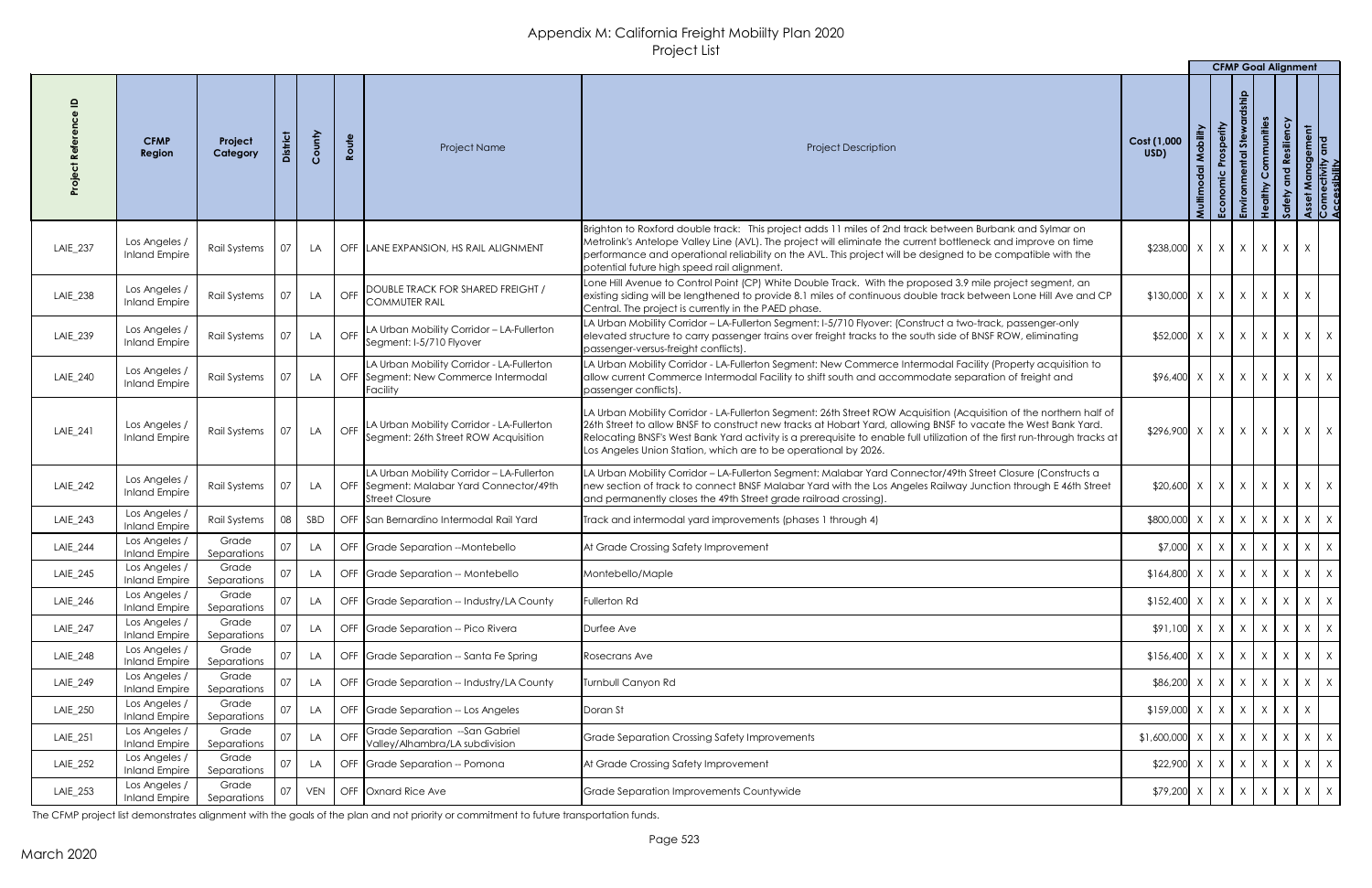|          |                                              |                      |                 |        |            |                                                                                                         |                                                                                                                                                                                                                                                                                                                                                                                                                                      |                                                                                                                                                                                                                        | <b>CFMP Goal Alignment</b> |          |                              |                                  |                                             |             |
|----------|----------------------------------------------|----------------------|-----------------|--------|------------|---------------------------------------------------------------------------------------------------------|--------------------------------------------------------------------------------------------------------------------------------------------------------------------------------------------------------------------------------------------------------------------------------------------------------------------------------------------------------------------------------------------------------------------------------------|------------------------------------------------------------------------------------------------------------------------------------------------------------------------------------------------------------------------|----------------------------|----------|------------------------------|----------------------------------|---------------------------------------------|-------------|
|          | <b>CFMP</b><br>Region                        | Project<br>Category  |                 | County | Route      | Project Name                                                                                            | <b>Project Description</b>                                                                                                                                                                                                                                                                                                                                                                                                           | Cost (1,000<br>USD)                                                                                                                                                                                                    | Prosperity<br>$\mathbf{g}$ | あ<br>「品」 | Communities<br>$\frac{9}{5}$ | siliency<br>$\tilde{\mathbf{z}}$ | r Management<br>nectivity and<br>sssibility | ခြင်း<br>တက |
| LAIE_237 | Los Angeles /<br><b>Inland Empire</b>        | Rail Systems         | 07              | LA.    |            | OFF LANE EXPANSION, HS RAIL ALIGNMENT                                                                   | Brighton to Roxford double track: This project adds 11 miles of 2nd track between Burbank and Sylmar on<br>Metrolink's Antelope Valley Line (AVL). The project will eliminate the current bottleneck and improve on time<br>performance and operational reliability on the AVL. This project will be designed to be compatible with the<br>potential future high speed rail alignment.                                               | $$238,000 \times \times \times \times \times \times \times \times$                                                                                                                                                     |                            |          |                              |                                  |                                             |             |
| LAIE_238 | Los Angeles /<br><b>Inland Empire</b>        | Rail Systems         |                 | LA     | <b>OFF</b> | <b>DOUBLE TRACK FOR SHARED FREIGHT /</b><br><b>COMMUTER RAIL</b>                                        | Lone Hill Avenue to Control Point (CP) White Double Track. With the proposed 3.9 mile project segment, an<br>existing siding will be lengthened to provide 8.1 miles of continuous double track between Lone Hill Ave and CP<br>Central. The project is currently in the PAED phase.                                                                                                                                                 | $$130,000 \times \times \times \times \times \times \times \times$                                                                                                                                                     |                            |          |                              |                                  |                                             |             |
| LAIE_239 | Los Angeles /<br><b>Inland Empire</b>        | Rail Systems         |                 | LA     | OFF        | LA Urban Mobility Corridor - LA-Fullerton<br>Segment: I-5/710 Flyover                                   | LA Urban Mobility Corridor - LA-Fullerton Segment: I-5/710 Flyover: (Construct a two-track, passenger-only<br>elevated structure to carry passenger trains over freight tracks to the south side of BNSF ROW, eliminating<br>passenger-versus-freight conflicts).                                                                                                                                                                    | $$52,000 \times \times \times \times \times \times \times \times \times \times$                                                                                                                                        |                            |          |                              |                                  |                                             |             |
| LAIE_240 | Los Angeles /<br><b>Inland Empire</b>        | Rail Systems         |                 | LA     |            | LA Urban Mobility Corridor - LA-Fullerton<br>OFF Segment: New Commerce Intermodal<br>Facility           | LA Urban Mobility Corridor - LA-Fullerton Segment: New Commerce Intermodal Facility (Property acquisition to<br>allow current Commerce Intermodal Facility to shift south and accommodate separation of freight and<br>passenger conflicts).                                                                                                                                                                                         | $$96,400 \times \times \times \times \times \times \times \times \times \times$                                                                                                                                        |                            |          |                              |                                  |                                             |             |
| LAIE_241 | Los Angeles /<br><b>Inland Empire</b>        | <b>Rail Systems</b>  | $\overline{07}$ | LA     |            | OFF LA Urban Mobility Corridor - LA-Fullerton<br>Segment: 26th Street ROW Acquisition                   | LA Urban Mobility Corridor - LA-Fullerton Segment: 26th Street ROW Acquisition (Acquisition of the northern half of<br>26th Street to allow BNSF to construct new tracks at Hobart Yard, allowing BNSF to vacate the West Bank Yard.<br>Relocating BNSF's West Bank Yard activity is a prerequisite to enable full utilization of the first run-through tracks at<br>Los Angeles Union Station, which are to be operational by 2026. | $$296,900 \times   \times   \times   \times  $                                                                                                                                                                         |                            |          |                              | $X \mid$                         | $X \mid X$                                  |             |
| LAIE_242 | Los Angeles /<br><b>Inland Empire</b>        | Rail Systems         |                 | LA     |            | LA Urban Mobility Corridor - LA-Fullerton<br>OFF Segment: Malabar Yard Connector/49th<br>Street Closure | LA Urban Mobility Corridor - LA-Fullerton Segment: Malabar Yard Connector/49th Street Closure (Constructs a<br>new section of track to connect BNSF Malabar Yard with the Los Angeles Railway Junction through E 46th Street<br>and permanently closes the 49th Street grade railroad crossing).                                                                                                                                     | $$20,600 \times  X  \times  X $                                                                                                                                                                                        |                            |          |                              | $\mathsf{X}$                     | $X \mid X$                                  |             |
| LAIE_243 | Los Angeles /<br><b>Inland Empire</b>        | <b>Rail Systems</b>  | 08              | SBD    |            | OFF San Bernardino Intermodal Rail Yard                                                                 | Track and intermodal yard improvements (phases 1 through 4)                                                                                                                                                                                                                                                                                                                                                                          | \$800,000                                                                                                                                                                                                              | $X \mid X \mid X$          |          |                              | $\mathsf{X}$                     | $X \mid X$                                  |             |
| LAIE_244 | Los Angeles /<br><b>Inland Empire</b>        | Grade<br>Separations |                 | LA     |            | OFF Grade Separation --Montebello                                                                       | At Grade Crossing Safety Improvement                                                                                                                                                                                                                                                                                                                                                                                                 | $$7,000$ X                                                                                                                                                                                                             | $X \mid X \mid X$          |          |                              | $\chi$                           | $X \mid X$                                  |             |
| LAIE_245 | Los Angeles /<br><b>Inland Empire</b>        | Grade<br>Separations |                 | LA     |            | OFF Grade Separation -- Montebello                                                                      | Montebello/Maple                                                                                                                                                                                                                                                                                                                                                                                                                     | $$164,800$ $\times$ $\times$ $\times$ $\times$ $\times$                                                                                                                                                                |                            |          |                              | $\mathsf{X}$                     | $X \mid X$                                  |             |
| LAIE_246 | Los Angeles /<br>Inland Empire               | Grade<br>Separations |                 | LA     |            | OFF Grade Separation -- Industry/LA County                                                              | Fullerton Rd                                                                                                                                                                                                                                                                                                                                                                                                                         | $$152,400 \times   X   X   X$                                                                                                                                                                                          |                            |          |                              | $\mathsf{X}$                     | $X \mid X$                                  |             |
| LAIE_247 | Los Angeles /<br><b>Inland Empire</b>        | Grade<br>Separations |                 | LA.    |            | OFF Grade Separation -- Pico Rivera                                                                     | Durfee Ave                                                                                                                                                                                                                                                                                                                                                                                                                           | $$91,100$ X                                                                                                                                                                                                            | $X \mid X \mid$            |          | X                            | $\chi$                           | $X \mid X$                                  |             |
| LAIE_248 | Los Angeles /<br><b>Inland Empire</b>        | Grade<br>Separations |                 | LA     |            | OFF Grade Separation -- Santa Fe Spring                                                                 | Rosecrans Ave                                                                                                                                                                                                                                                                                                                                                                                                                        | $$156,400 \times   X   X   X$                                                                                                                                                                                          |                            |          |                              | $\chi$                           | $X \mid X$                                  |             |
| LAIE_249 | Los Angeles /<br><b>Inland Empire</b>        | Grade<br>Separations |                 | LA.    |            | OFF Grade Separation -- Industry/LA County                                                              | <b>Turnbull Canyon Rd</b>                                                                                                                                                                                                                                                                                                                                                                                                            | $$86,200$ X                                                                                                                                                                                                            | $X \mid X \mid$            |          | $\mathsf{X}$                 | $\mathsf{X}$                     | $X \mid X$                                  |             |
| LAIE_250 | Los Angeles /<br><b>Inland Empire</b>        | Grade<br>Separations |                 | LA     |            | OFF Grade Separation -- Los Angeles                                                                     | Doran St                                                                                                                                                                                                                                                                                                                                                                                                                             | $$159,000$ X                                                                                                                                                                                                           | $X \mid X \mid X$          |          |                              | X                                | X                                           |             |
| LAIE_251 | Los Angeles /<br><b>Inland Empire</b>        | Grade<br>Separations |                 | LA     | OFF        | Grade Separation --San Gabriel<br>Valley/Alhambra/LA subdivision                                        | Grade Separation Crossing Safety Improvements                                                                                                                                                                                                                                                                                                                                                                                        | $$1,600,000$ X                                                                                                                                                                                                         | $X \mid$                   | $\chi$   | X                            | $\lambda$                        | $X \mid X$                                  |             |
| LAIE_252 | Los Angeles /<br><b>Inland Empire</b>        | Grade<br>Separations |                 | LA     |            | OFF Grade Separation -- Pomona                                                                          | At Grade Crossing Safety Improvement                                                                                                                                                                                                                                                                                                                                                                                                 | $$22,900$ X                                                                                                                                                                                                            | $X \mid X \mid X$          |          |                              | $\mathsf{X}$                     | $X \mid X$                                  |             |
| LAIE_253 | Los Angeles /<br>Inland Empire   Separations | Grade                |                 |        |            | 07   VEN   OFF Oxnard Rice Ave                                                                          | Grade Separation Improvements Countywide                                                                                                                                                                                                                                                                                                                                                                                             | $\left  \frac{1}{2} \right $ x $\left  \frac{1}{2} \right $ x $\left  \frac{1}{2} \right $ x $\left  \frac{1}{2} \right $ x $\left  \frac{1}{2} \right $ x $\left  \frac{1}{2} \right $ x $\left  \frac{1}{2} \right $ |                            |          |                              |                                  |                                             |             |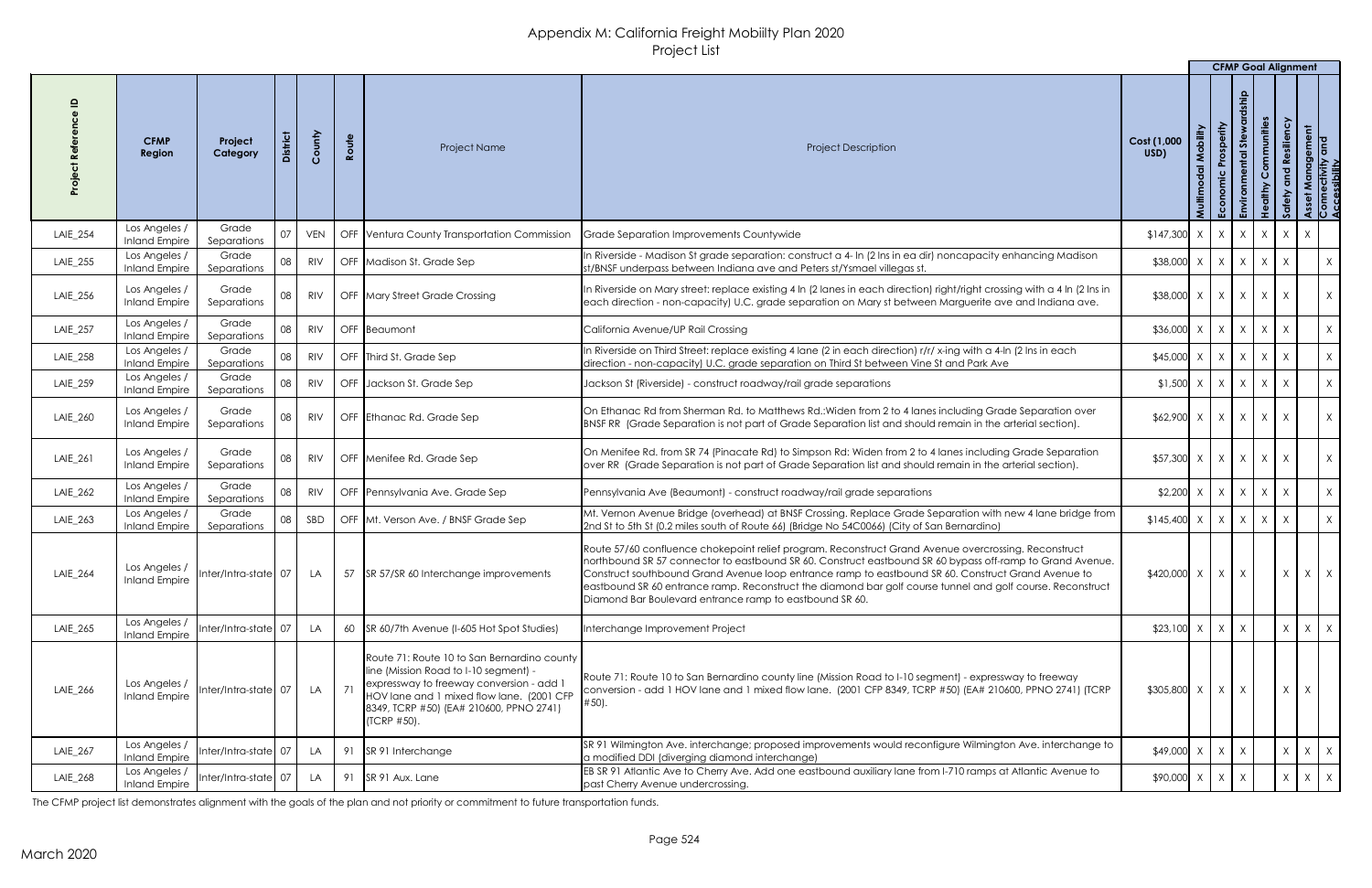|          |                                       |                       |                 |            |       |                                                                                                                                                                                                                                         |                                                                                                                                                                                                                                                                                                                                                                                                                                                                                                   |                                                                | <b>CFMP Goal Alignment</b>     |                                       |                                     |              |                                                       |
|----------|---------------------------------------|-----------------------|-----------------|------------|-------|-----------------------------------------------------------------------------------------------------------------------------------------------------------------------------------------------------------------------------------------|---------------------------------------------------------------------------------------------------------------------------------------------------------------------------------------------------------------------------------------------------------------------------------------------------------------------------------------------------------------------------------------------------------------------------------------------------------------------------------------------------|----------------------------------------------------------------|--------------------------------|---------------------------------------|-------------------------------------|--------------|-------------------------------------------------------|
|          | <b>CFMP</b><br>Region                 | Project<br>Category   | <b>District</b> | County     | Route | Project Name                                                                                                                                                                                                                            | <b>Project Description</b>                                                                                                                                                                                                                                                                                                                                                                                                                                                                        | Cost (1,000<br>USD)                                            | Prosperity<br>あ<br>Econ<br>- 면 | Communities<br>althy<br>$\frac{9}{5}$ | <b>Resiliency</b><br>$\overline{c}$ |              | Asset Management<br>Connectivity and<br>Accessibility |
| LAIE_254 | Los Angeles<br><b>Inland Empire</b>   | Grade<br>Separations  |                 | <b>VEN</b> |       | OFF Ventura County Transportation Commission                                                                                                                                                                                            | Grade Separation Improvements Countywide                                                                                                                                                                                                                                                                                                                                                                                                                                                          | $$147,300 \times   X   X   X$                                  |                                |                                       | X                                   | $\mathsf{X}$ |                                                       |
| LAIE_255 | Los Angeles /<br><b>Inland Empire</b> | Grade<br>Separations  |                 | <b>RIV</b> |       | OFF Madison St. Grade Sep                                                                                                                                                                                                               | In Riverside - Madison St grade separation: construct a 4- In (2 Ins in ea dir) noncapacity enhancing Madison<br>st/BNSF underpass between Indiana ave and Peters st/Ysmael villegas st.                                                                                                                                                                                                                                                                                                          | $$38,000 \times   \times   \times   \times  $                  |                                |                                       | $\mathsf{X}$                        |              | X                                                     |
| LAIE_256 | Los Angeles /<br><b>Inland Empire</b> | Grade<br>Separations  | 08              | <b>RIV</b> |       | OFF Mary Street Grade Crossing                                                                                                                                                                                                          | In Riverside on Mary street: replace existing 4 In (2 lanes in each direction) right/right crossing with a 4 In (2 Ins in<br>each direction - non-capacity) U.C. grade separation on Mary st between Marguerite ave and Indiana ave.                                                                                                                                                                                                                                                              | $$38,000 \times   X   X   X$                                   |                                |                                       | $\chi$                              |              | $\mathsf{X}$                                          |
| LAIE_257 | Los Angeles /<br><b>Inland Empire</b> | Grade<br>Separations  | 08              | <b>RIV</b> |       | OFF Beaumont                                                                                                                                                                                                                            | California Avenue/UP Rail Crossing                                                                                                                                                                                                                                                                                                                                                                                                                                                                | $$36,000 \times   X   X   X$                                   |                                |                                       |                                     |              | X                                                     |
| LAIE_258 | Los Angeles /<br><b>Inland Empire</b> | Grade<br>Separations  |                 | <b>RIV</b> |       | OFF Third St. Grade Sep                                                                                                                                                                                                                 | In Riverside on Third Street: replace existing 4 lane (2 in each direction) r/r/ x-ing with a 4-In (2 Ins in each<br>direction - non-capacity) U.C. grade separation on Third St between Vine St and Park Ave                                                                                                                                                                                                                                                                                     | $$45,000$ X                                                    | $X \mid X \mid X$              |                                       |                                     |              | X                                                     |
| LAIE_259 | Los Angeles /<br><b>Inland Empire</b> | Grade<br>Separations  |                 | <b>RIV</b> |       | OFF Jackson St. Grade Sep                                                                                                                                                                                                               | Jackson St (Riverside) - construct roadway/rail grade separations                                                                                                                                                                                                                                                                                                                                                                                                                                 | $$1,500$ $\times$ $\times$ $\times$ $\times$ $\times$ $\times$ |                                |                                       | $\chi$                              |              | X                                                     |
| LAIE_260 | Los Angeles /<br>Inland Empire        | Grade<br>Separations  | 08              | <b>RIV</b> |       | OFF Ethanac Rd. Grade Sep                                                                                                                                                                                                               | On Ethanac Rd from Sherman Rd. to Matthews Rd.: Widen from 2 to 4 lanes including Grade Separation over<br>BNSF RR (Grade Separation is not part of Grade Separation list and should remain in the arterial section).                                                                                                                                                                                                                                                                             |                                                                |                                |                                       | X                                   |              | $\chi$ '                                              |
| LAIE_261 | Los Angeles /<br><b>Inland Empire</b> | Grade<br>Separations  | 08              | <b>RIV</b> |       | OFF Menifee Rd. Grade Sep                                                                                                                                                                                                               | On Menifee Rd. from SR 74 (Pinacate Rd) to Simpson Rd: Widen from 2 to 4 lanes including Grade Separation<br>over RR (Grade Separation is not part of Grade Separation list and should remain in the arterial section).                                                                                                                                                                                                                                                                           | $$57,300 \times   X   X   X$                                   |                                |                                       | $\chi$                              |              | X                                                     |
| LAIE_262 | Los Angeles /<br><b>Inland Empire</b> | Grade<br>Separations  | 08              | <b>RIV</b> |       | OFF Pennsylvania Ave. Grade Sep                                                                                                                                                                                                         | Pennsylvania Ave (Beaumont) - construct roadway/rail grade separations                                                                                                                                                                                                                                                                                                                                                                                                                            | $$2,200$ X                                                     | $X \mid X \mid X$              |                                       | $\mathsf{X}$                        |              | X                                                     |
| LAIE_263 | Los Angeles<br><b>Inland Empire</b>   | Grade<br>Separations  | 08              | SBD        |       | OFF Mt. Verson Ave. / BNSF Grade Sep                                                                                                                                                                                                    | Mt. Vernon Avenue Bridge (overhead) at BNSF Crossing. Replace Grade Separation with new 4 lane bridge from<br>2nd St to 5th St (0.2 miles south of Route 66) (Bridge No 54C0066) (City of San Bernardino)                                                                                                                                                                                                                                                                                         | $$145,400$ X                                                   | $X \mid X \mid X$              |                                       |                                     |              | $X -$                                                 |
| LAIE_264 | Los Angeles /<br><b>Inland Empire</b> | Inter/Intra-state  07 |                 | LA         | 57    | SR 57/SR 60 Interchange improvements                                                                                                                                                                                                    | Route 57/60 confluence chokepoint relief program. Reconstruct Grand Avenue overcrossing. Reconstruct<br>Inorthbound SR 57 connector to eastbound SR 60. Construct eastbound SR 60 bypass off-ramp to Grand Avenue.<br>Construct southbound Grand Avenue loop entrance ramp to eastbound SR 60. Construct Grand Avenue to<br>eastbound SR 60 entrance ramp. Reconstruct the diamond bar golf course tunnel and golf course. Reconstruct<br>Diamond Bar Boulevard entrance ramp to eastbound SR 60. | $$420,000$ X                                                   | $\mathsf{X}$<br>$\chi$         |                                       | $\mathsf{X}$                        |              | $X \mid X$                                            |
| LAIE_265 | Los Angeles /<br><b>Inland Empire</b> | Inter/Intra-state 07  |                 | LA         | 60    | SR 60/7th Avenue (I-605 Hot Spot Studies)                                                                                                                                                                                               | Interchange Improvement Project                                                                                                                                                                                                                                                                                                                                                                                                                                                                   | $$23,100$ X                                                    | $X \mid$<br>$\mathsf{X}$       |                                       | $\mathsf{X}$                        |              | $X \mid X$                                            |
| LAIE_266 | Los Angeles /<br><b>Inland Empire</b> | Inter/Intra-state  07 |                 | LA         | 71    | Route 71: Route 10 to San Bernardino county<br>line (Mission Road to I-10 segment) -<br>expressway to freeway conversion - add 1<br>HOV lane and 1 mixed flow lane. (2001 CFP<br>8349, TCRP #50) (EA# 210600, PPNO 2741)<br>(TCRP #50). | Route 71: Route 10 to San Bernardino county line (Mission Road to I-10 segment) - expressway to freeway<br>conversion - add 1 HOV lane and 1 mixed flow lane. (2001 CFP 8349, TCRP #50) (EA# 210600, PPNO 2741) (TCRP<br>#50).                                                                                                                                                                                                                                                                    | $$305,800$ X X X                                               | $\mathsf{X}$                   |                                       | $\mathsf{X}$                        | $\mathsf{X}$ |                                                       |
| LAIE_267 | Los Angeles /<br><b>Inland Empire</b> | Inter/Intra-state 07  |                 | LA         |       | 91 SR 91 Interchange                                                                                                                                                                                                                    | SR 91 Wilmington Ave. interchange; proposed improvements would reconfigure Wilmington Ave. interchange to<br>a modified DDI (diverging diamond interchange)                                                                                                                                                                                                                                                                                                                                       | $$49,000 \times$                                               | $\mathsf{X}$<br>$\mathsf{X}$   |                                       | $\mathsf{X}$                        |              | $X \mid X$                                            |
| LAIE_268 | Los Angeles<br><b>Inland Empire</b>   | Inter/Intra-state 07  |                 | LA         | 91    | SR 91 Aux. Lane                                                                                                                                                                                                                         | EB SR 91 Atlantic Ave to Cherry Ave. Add one eastbound auxiliary lane from I-710 ramps at Atlantic Avenue to<br>past Cherry Avenue undercrossing.                                                                                                                                                                                                                                                                                                                                                 | $$90,000 \times X$                                             | $\mathsf{X}$                   |                                       | $\mathsf{X}$                        |              | $X \mid X$                                            |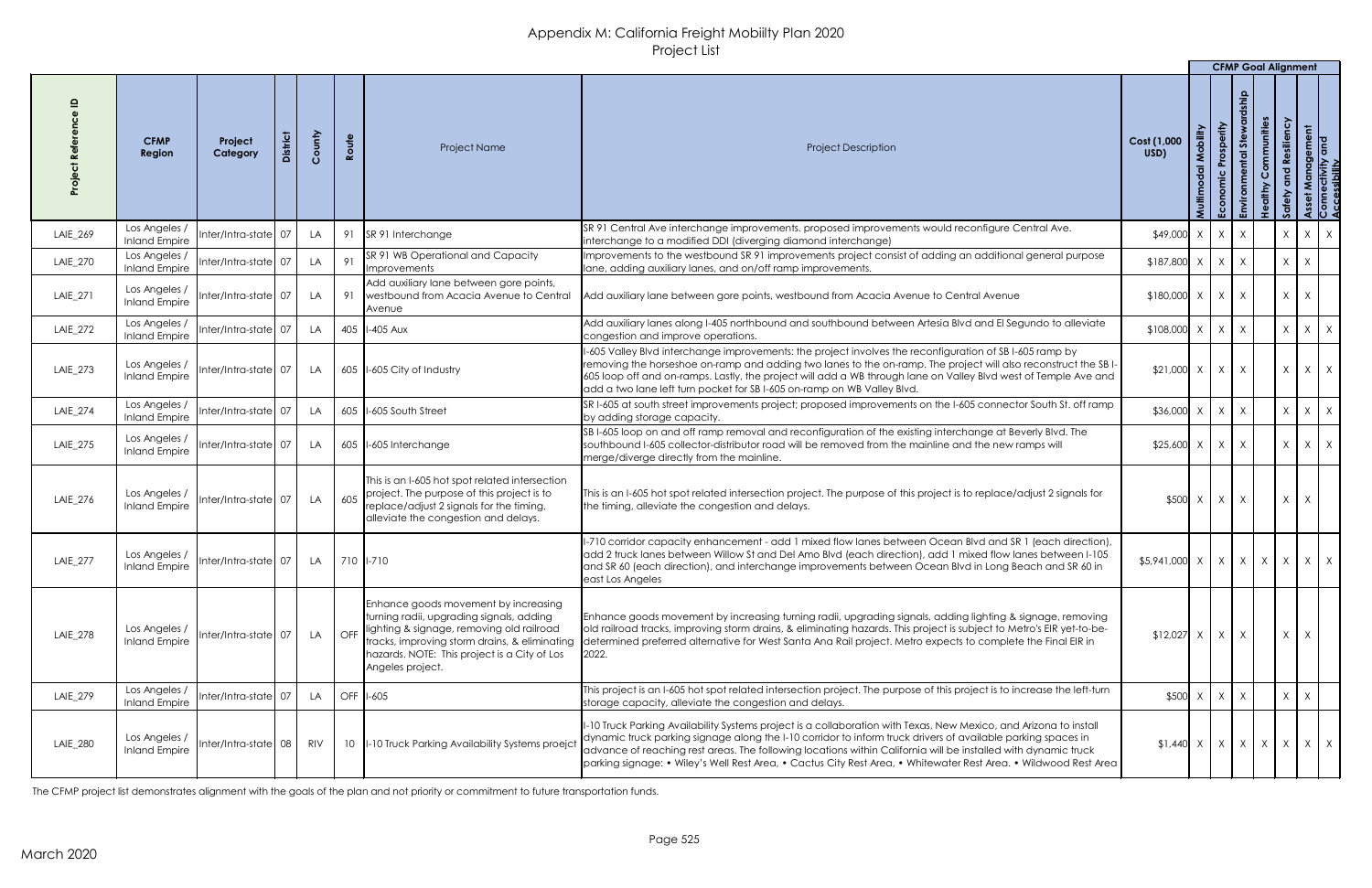|          |                                       |                        |                 |            |                 |                                                                                                                                                                                                                                                    |                                                                                                                                                                                                                                                                                                                                                                                                                                                                         |                                                                         |               | <b>CFMP Goal Alignment</b> |                                |                           |                                         |                                             |  |
|----------|---------------------------------------|------------------------|-----------------|------------|-----------------|----------------------------------------------------------------------------------------------------------------------------------------------------------------------------------------------------------------------------------------------------|-------------------------------------------------------------------------------------------------------------------------------------------------------------------------------------------------------------------------------------------------------------------------------------------------------------------------------------------------------------------------------------------------------------------------------------------------------------------------|-------------------------------------------------------------------------|---------------|----------------------------|--------------------------------|---------------------------|-----------------------------------------|---------------------------------------------|--|
|          | <b>CFMP</b><br>Region                 | Project<br>Category    | <b>District</b> | County     | Route           | Project Name                                                                                                                                                                                                                                       | <b>Project Description</b>                                                                                                                                                                                                                                                                                                                                                                                                                                              | Cost (1,000<br>USD)                                                     | Mobility      | Prosperity<br>Economic     | <b>Stew</b><br>n <sub>td</sub> | Communities<br>dithy<br>Ĭ | ssiliency<br><u>ဇ</u><br>$\overline{2}$ | t Management<br>rectivity and<br>sssibility |  |
| LAIE_269 | Los Angeles /<br><b>Inland Empire</b> | Inter/Intra-state 07   |                 | LA         |                 | 91 SR 91 Interchange                                                                                                                                                                                                                               | SR 91 Central Ave interchange improvements. proposed improvements would reconfigure Central Ave.<br>Interchange to a modified DDI (diverging diamond interchange)                                                                                                                                                                                                                                                                                                       | $$49,000 \times$                                                        |               | $\mathsf{X}$               | $\mathsf{X}$                   | $\lambda$                 |                                         | $X \mid X$                                  |  |
| LAIE_270 | Los Angeles /<br><b>Inland Empire</b> | Inter/Intra-state 07   |                 | LA         | 91              | SR 91 WB Operational and Capacity<br>Improvements                                                                                                                                                                                                  | Improvements to the westbound SR 91 improvements project consist of adding an additional general purpose<br>lane, adding auxiliary lanes, and on/off ramp improvements.                                                                                                                                                                                                                                                                                                 | $$187,800$ X                                                            |               | $X \mid X$                 |                                | $\mathsf{X}$              |                                         |                                             |  |
| LAIE_271 | Los Angeles<br><b>Inland Empire</b>   | Inter/Intra-state 07   |                 | LA         | 91              | Add auxiliary lane between gore points,<br>westbound from Acacia Avenue to Central<br>Avenue                                                                                                                                                       | Add auxiliary lane between gore points, westbound from Acacia Avenue to Central Avenue                                                                                                                                                                                                                                                                                                                                                                                  | $$180,000$ $X$ $X$                                                      |               |                            | X                              |                           | $\mathsf{X}$                            | X                                           |  |
| LAIE_272 | Los Angeles /<br><b>Inland Empire</b> | Inter/Intra-state 07   |                 | LA         |                 | 405   I-405 Aux                                                                                                                                                                                                                                    | Add auxiliary lanes along I-405 northbound and southbound between Artesia Blvd and El Segundo to alleviate<br>congestion and improve operations.                                                                                                                                                                                                                                                                                                                        | $$108,000$ X                                                            |               | $\chi$                     | X                              |                           | $\chi$                                  | $X \mid X$                                  |  |
| LAIE_273 | Los Angeles /<br><b>Inland Empire</b> | Inter/Intra-state 07   |                 | LA         |                 | 605 I-605 City of Industry                                                                                                                                                                                                                         | I-605 Valley Blvd interchange improvements: the project involves the reconfiguration of SB I-605 ramp by<br>removing the horseshoe on-ramp and adding two lanes to the on-ramp. The project will also reconstruct the SBI-<br>605 loop off and on-ramps. Lastly, the project will add a WB through lane on Valley Blvd west of Temple Ave and<br>add a two lane left turn pocket for SB I-605 on-ramp on WB Valley Blvd.                                                | $$21,000$ $\times$ $\times$ $\times$                                    |               |                            |                                |                           | $\mathsf{X}$                            | $X \mid X$                                  |  |
| LAIE_274 | Los Angeles /<br><b>Inland Empire</b> | Inter/Intra-state 07   |                 | LA         |                 | 605   I-605 South Street                                                                                                                                                                                                                           | SRI-605 at south street improvements project; proposed improvements on the I-605 connector South St. off ramp<br>by adding storage capacity.                                                                                                                                                                                                                                                                                                                            | $$36,000 \times   X  $                                                  |               |                            | $\mathsf{X}$                   |                           | $\mathsf{X}$                            | $X \mid X$                                  |  |
| LAIE_275 | Los Angeles /<br><b>Inland Empire</b> | $Inter/Intra-state$ 07 |                 | LA         |                 | 605   I-605 Interchange                                                                                                                                                                                                                            | SBI-605 loop on and off ramp removal and reconfiguration of the existing interchange at Beverly Blvd. The<br>southbound I-605 collector-distributor road will be removed from the mainline and the new ramps will<br>merge/diverge directly from the mainline.                                                                                                                                                                                                          | $$25,600 \times   X  $                                                  |               |                            | $\mathsf{X}$                   |                           | X                                       | $X \mid X$                                  |  |
| LAIE_276 | Los Angeles /<br><b>Inland Empire</b> | Inter/Intra-state 07   |                 | LA         | 605             | This is an I-605 hot spot related intersection<br>project. The purpose of this project is to<br>replace/adjust 2 signals for the timing,<br>alleviate the congestion and delays.                                                                   | This is an I-605 hot spot related intersection project. The purpose of this project is to replace/adjust 2 signals for<br>the timing, alleviate the congestion and delays.                                                                                                                                                                                                                                                                                              |                                                                         | $$500 \times$ | $\mathsf{X}$               | $\mathsf{X}$                   |                           | $\mathsf{X}$                            |                                             |  |
| LAIE_277 | Los Angeles /<br><b>Inland Empire</b> | Inter/Intra-state 07   |                 | LA         |                 | 710   1-710                                                                                                                                                                                                                                        | II-710 corridor capacity enhancement - add 1 mixed flow lanes between Ocean Blvd and SR 1 (each direction),<br>add 2 truck lanes between Willow St and Del Amo Blvd (each direction), add 1 mixed flow lanes between I-105<br>and SR 60 (each direction), and interchange improvements between Ocean Blvd in Long Beach and SR 60 in<br>east Los Angeles                                                                                                                | $\frac{1}{2}$ \$5,941,000 $x \mid x \mid x \mid x \mid x \mid x \mid x$ |               |                            |                                |                           |                                         |                                             |  |
| LAIE_278 | Los Angeles<br><b>Inland Empire</b>   | Inter/Intra-state 07   |                 | <b>LA</b>  | OFF             | Enhance goods movement by increasing<br>turning radii, upgrading signals, adding<br>lighting & signage, removing old railroad<br>tracks, improving storm drains, & eliminating<br>hazards. NOTE: This project is a City of Los<br>Angeles project. | Enhance goods movement by increasing turning radii, upgrading signals, adding lighting & signage, removing<br>old railroad tracks, improving storm drains, & eliminating hazards. This project is subject to Metro's EIR yet-to-be-<br>determined preferred alternative for West Santa Ana Rail project. Metro expects to complete the Final EIR in<br>2022.                                                                                                            | \$12,027                                                                | $\mathsf{X}$  | $\mathsf{X}$               | $\mathsf{X}$                   |                           | $\mathsf{X}$                            | X                                           |  |
| LAIE_279 | Los Angeles /<br><b>Inland Empire</b> | Inter/Intra-state 07   |                 | LA         |                 | OFF 1-605                                                                                                                                                                                                                                          | This project is an I-605 hot spot related intersection project. The purpose of this project is to increase the left-turn<br>storage capacity, alleviate the congestion and delays.                                                                                                                                                                                                                                                                                      | $$500$ X                                                                |               | $X \mid X$                 |                                |                           | $\mathsf{X}$                            |                                             |  |
| LAIE_280 | Los Angeles /<br><b>Inland Empire</b> | Inter/Intra-state 08   |                 | <b>RIV</b> | 10 <sup>°</sup> | I-10 Truck Parking Availability Systems proejct                                                                                                                                                                                                    | I-10 Truck Parking Availability Systems project is a collaboration with Texas, New Mexico, and Arizona to install<br>dynamic truck parking signage along the I-10 corridor to inform truck drivers of available parking spaces in<br>advance of reaching rest areas. The following locations within California will be installed with dynamic truck<br>parking signage: • Wiley's Well Rest Area, • Cactus City Rest Area, • Whitewater Rest Area. • Wildwood Rest Area | $\vert 1.440 \vert \times \vert \times \vert \times \vert \times \vert$ |               |                            |                                |                           | $X \mid X \mid X$                       |                                             |  |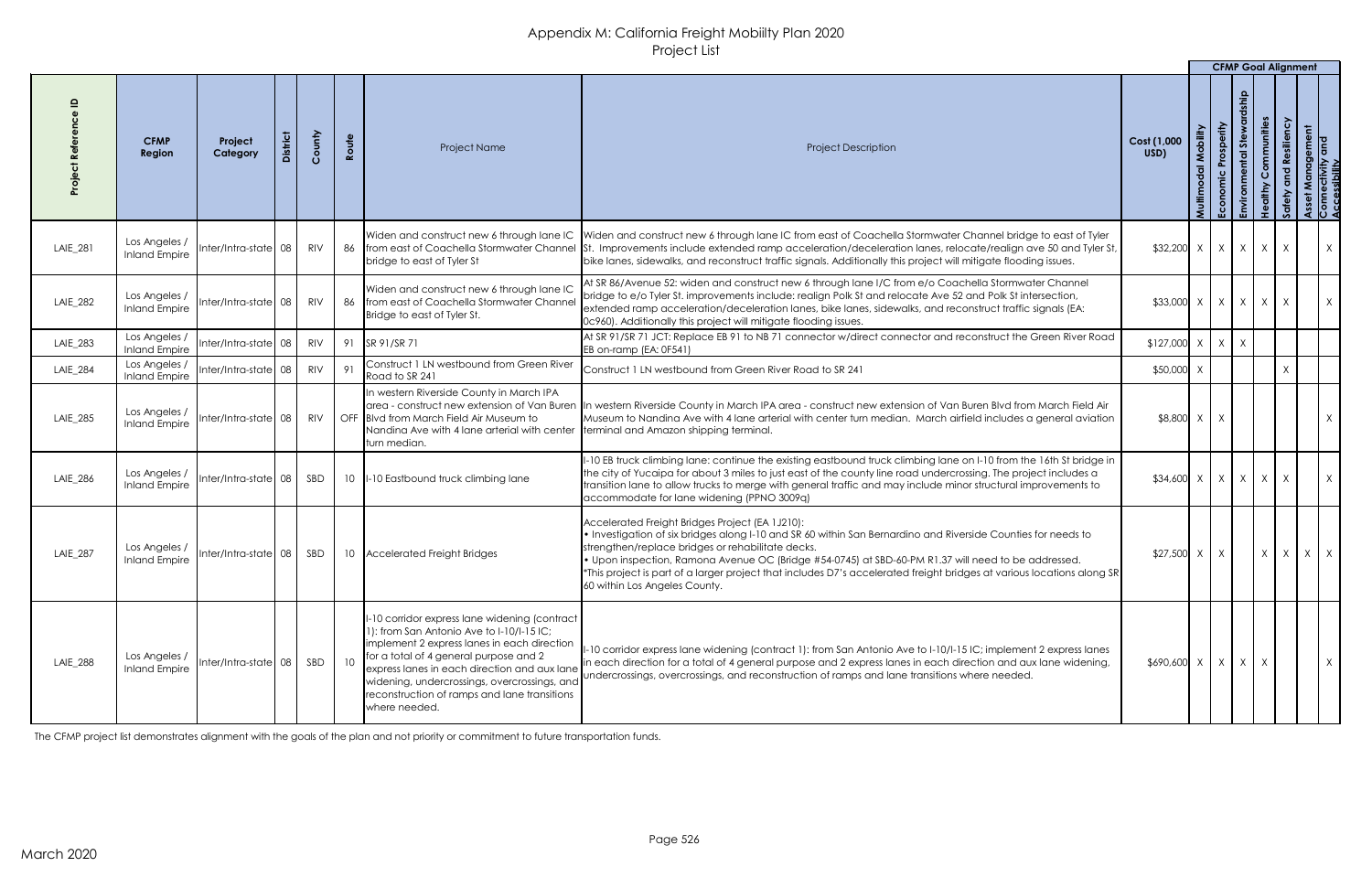|                 |                                       |                                     |         |            |       |                                                                                                                                                                                                                                                                                                                                                     |                                                                                                                                                                                                                                                                                                                                                                                                                                                                                         |                              |                    |                        | <b>CFMP Goal Alignment</b> |                      |                   |                                                       |
|-----------------|---------------------------------------|-------------------------------------|---------|------------|-------|-----------------------------------------------------------------------------------------------------------------------------------------------------------------------------------------------------------------------------------------------------------------------------------------------------------------------------------------------------|-----------------------------------------------------------------------------------------------------------------------------------------------------------------------------------------------------------------------------------------------------------------------------------------------------------------------------------------------------------------------------------------------------------------------------------------------------------------------------------------|------------------------------|--------------------|------------------------|----------------------------|----------------------|-------------------|-------------------------------------------------------|
|                 | <b>CFMP</b><br><b>Region</b>          | Project<br>Category                 | istrict | County     | Route | <b>Project Name</b>                                                                                                                                                                                                                                                                                                                                 | <b>Project Description</b>                                                                                                                                                                                                                                                                                                                                                                                                                                                              | Cost (1,000<br>USD)          | Mobility<br>Multim | Prosperity<br>Economic | <b>Stew</b><br>ntal        | ommunities<br>Ű<br>Ξ | <b>Resiliency</b> | Asser Management<br>Connectivity and<br>Accessibility |
| LAIE_281        | Los Angeles /<br><b>Inland Empire</b> | Inter/Intra-state 08                |         | RIV        |       | bridge to east of Tyler St                                                                                                                                                                                                                                                                                                                          | Widen and construct new 6 through lane IC Widen and construct new 6 through lane IC from east of Coachella Stormwater Channel bridge to east of Tyler<br>86   from east of Coachella Stormwater Channel   St. Improvements include extended ramp acceleration/deceleration lanes, relocate/realign ave 50 and Tyler St,<br>bike lanes, sidewalks, and reconstruct traffic signals. Additionally this project will mitigate flooding issues.                                             | $$32,200 \times   X   X   X$ |                    |                        |                            |                      | $\mathsf{X}$      | X                                                     |
| LAIE_282        | Los Angeles /<br><b>Inland Empire</b> | Inter/Intra-state 08                |         | RIV        |       | Widen and construct new 6 through lane IC<br>86   from east of Coachella Stormwater Channel<br>Bridge to east of Tyler St.                                                                                                                                                                                                                          | At SR 86/Avenue 52: widen and construct new 6 through lane I/C from e/o Coachella Stormwater Channel<br>bridge to e/o Tyler St. improvements include: realign Polk St and relocate Ave 52 and Polk St intersection,<br>extended ramp acceleration/deceleration lanes, bike lanes, sidewalks, and reconstruct traffic signals (EA:<br>0c960). Additionally this project will mitigate flooding issues.                                                                                   | $$33,000 \times   X   X   X$ |                    |                        |                            |                      | X                 | X                                                     |
| LAIE_283        | Los Angeles /<br><b>Inland Empire</b> | Inter/Intra-state 08                |         | RIV        |       | 91   SR 91/SR 71                                                                                                                                                                                                                                                                                                                                    | At SR 91/SR 71 JCT: Replace EB 91 to NB 71 connector w/direct connector and reconstruct the Green River Road<br>EB on-ramp (EA: 0F541)                                                                                                                                                                                                                                                                                                                                                  | $$127,000$ X                 |                    | $\mathsf{X}$           | $\mathsf{X}$               |                      |                   |                                                       |
| <b>LAIE_284</b> | Los Angeles /<br><b>Inland Empire</b> | Inter/Intra-state 08                |         | <b>RIV</b> | 91    | Construct 1 LN westbound from Green River<br>Road to SR 241                                                                                                                                                                                                                                                                                         | Construct 1 LN westbound from Green River Road to SR 241                                                                                                                                                                                                                                                                                                                                                                                                                                | \$50,000                     |                    |                        |                            |                      | X                 |                                                       |
| LAIE_285        |                                       | Inland Empire  Inter/Intra-state 08 |         | RIV        |       | In western Riverside County in March IPA<br>larea - construct new extension of Van Buren<br>OFF Blvd from March Field Air Museum to<br>Nandina Ave with 4 lane arterial with center   terminal and Amazon shipping terminal.<br>turn median.                                                                                                        | In western Riverside County in March IPA area - construct new extension of Van Buren Blvd from March Field Air<br>Museum to Nandina Ave with 4 lane arterial with center turn median. March airfield includes a general aviation                                                                                                                                                                                                                                                        | \$8,800 X                    |                    |                        |                            |                      |                   | $\sf X$                                               |
| LAIE_286        | Los Angeles /<br><b>Inland Empire</b> | Inter/Intra-state 08                |         | SBD        |       | 10  I-10 Eastbound truck climbing lane                                                                                                                                                                                                                                                                                                              | -10 EB truck climbing lane: continue the existing eastbound truck climbing lane on I-10 from the 16th St bridge in<br>the city of Yucaipa for about 3 miles to just east of the county line road undercrossing. The project includes a<br>transition lane to allow trucks to merge with general traffic and may include minor structural improvements to<br>accommodate for lane widening (PPNO 3009q)                                                                                  | $$34,600 \times   X   X   X$ |                    |                        |                            |                      | X                 | X                                                     |
| <b>LAIE_287</b> | Los Angeles /<br><b>Inland Empire</b> | $Inter/Intra-state$ 08              |         | SBD        |       | 10 Accelerated Freight Bridges                                                                                                                                                                                                                                                                                                                      | Accelerated Freight Bridges Project (EA 1J210):<br>• Investigation of six bridges along I-10 and SR 60 within San Bernardino and Riverside Counties for needs to<br>strengthen/replace bridges or rehabilitate decks.<br>. Upon inspection, Ramona Avenue OC (Bridge #54-0745) at SBD-60-PM R1.37 will need to be addressed.<br>*This project is part of a larger project that includes D7's accelerated freight bridges at various locations along SR<br>60 within Los Angeles County. | $$27,500$ X                  |                    | $\mathsf{X}$           |                            | X                    |                   | $X \mid X \mid X$                                     |
| <b>LAIE_288</b> | Los Angeles /<br><b>Inland Empire</b> | Inter/Intra-state  08               |         | SBD        |       | -10 corridor express lane widening (contract<br>1): from San Antonio Ave to I-10/I-15 IC;<br>Implement 2 express lanes in each direction<br>for a total of 4 general purpose and 2<br>express lanes in each direction and aux lane<br>widening, undercrossings, overcrossings, and<br>reconstruction of ramps and lane transitions<br>where needed. | I-10 corridor express lane widening (contract 1): from San Antonio Ave to I-10/I-15 IC; implement 2 express lanes<br>in each direction for a total of 4 general purpose and 2 express lanes in each direction and aux lane widening,<br>undercrossings, overcrossings, and reconstruction of ramps and lane transitions where needed.                                                                                                                                                   | $$690,600$ X                 |                    | $X \mid X$             |                            |                      |                   |                                                       |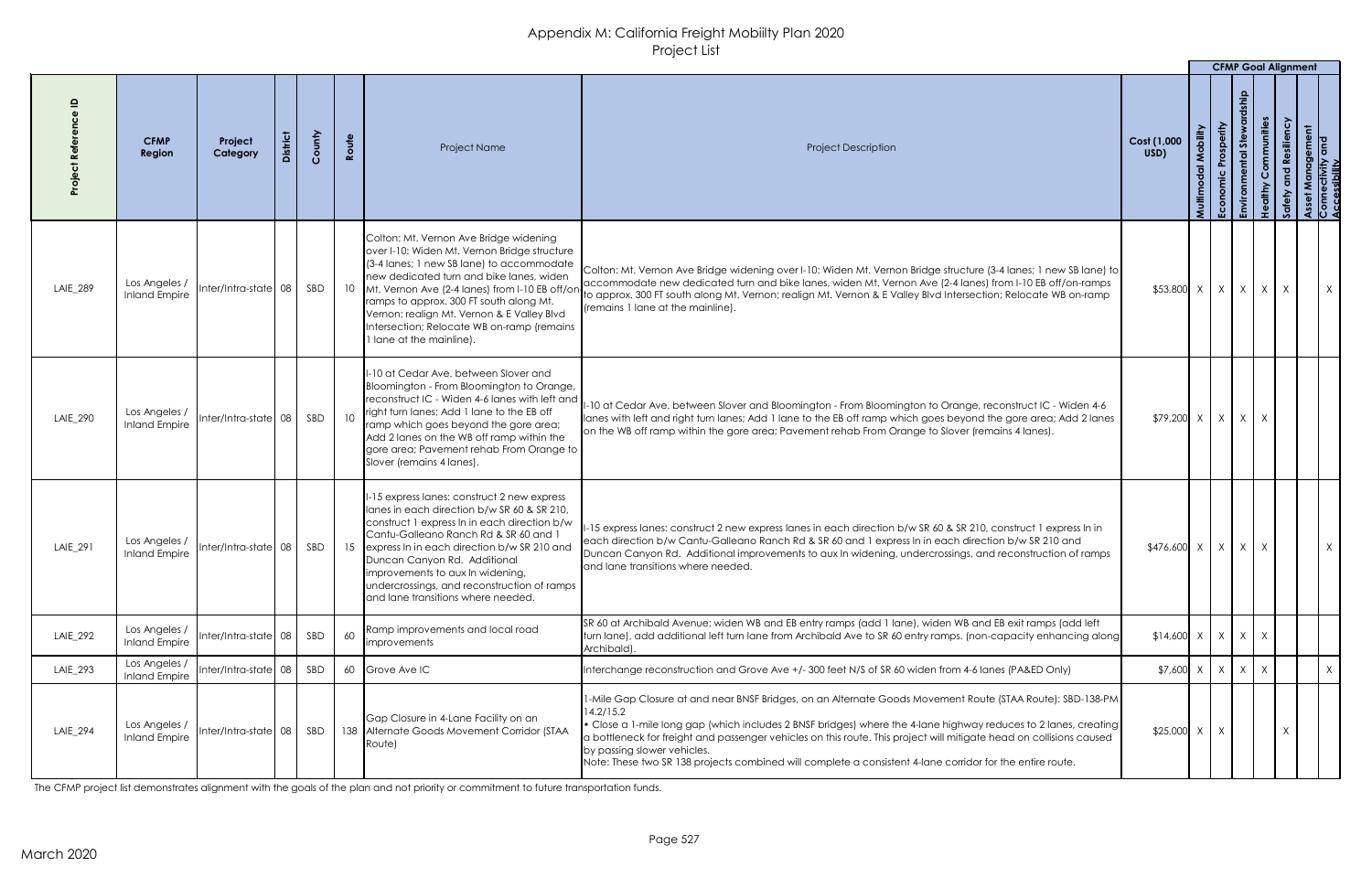|          |                                       |                                      |        |                                                                                                                                                                                                                                                                                                                                                                                                         |                                                                                                                                                                                                                                                                                                                                                                                                                                                                                                                           |                     |              | <b>CFMP Goal Alignment</b> |              |              |
|----------|---------------------------------------|--------------------------------------|--------|---------------------------------------------------------------------------------------------------------------------------------------------------------------------------------------------------------------------------------------------------------------------------------------------------------------------------------------------------------------------------------------------------------|---------------------------------------------------------------------------------------------------------------------------------------------------------------------------------------------------------------------------------------------------------------------------------------------------------------------------------------------------------------------------------------------------------------------------------------------------------------------------------------------------------------------------|---------------------|--------------|----------------------------|--------------|--------------|
|          | <b>CFMP</b><br><b>Region</b>          | Project<br>Category                  | County | Route<br>Project Name                                                                                                                                                                                                                                                                                                                                                                                   | <b>Project Description</b>                                                                                                                                                                                                                                                                                                                                                                                                                                                                                                | Cost (1,000<br>USD) | Prosperity   | mmunities                  |              | ement<br>and |
| LAIE_289 | Los Angeles /<br><b>Inland Empire</b> | Inter/Intra-state 08                 | SBD    | Colton: Mt. Vernon Ave Bridge widening<br>over I-10: Widen Mt. Vernon Bridge structure<br>(3-4 lanes; 1 new SB lane) to accommodate<br>new dedicated turn and bike lanes, widen<br>10 Mt. Vernon Ave (2-4 lanes) from I-10 EB off/on<br>ramps to approx. 300 FT south along Mt.<br>Vernon; realign Mt. Vernon & E Valley Blvd<br>Intersection; Relocate WB on-ramp (remains<br>I lane at the mainline). | Colton: Mt. Vernon Ave Bridge widening over I-10: Widen Mt. Vernon Bridge structure (3-4 lanes; 1 new SB lane) to<br>accommodate new dedicated turn and bike lanes, widen Mt. Vernon Ave (2-4 lanes) from I-10 EB off/on-ramps<br>to approx. 300 FT south along Mt. Vernon; realign Mt. Vernon & E Valley Blvd Intersection; Relocate WB on-ramp<br>(remains 1 lane at the mainline).                                                                                                                                     | $$53,800$ X         | X            | $X \mid X$                 | $\mathsf{X}$ | $\mathsf{X}$ |
| LAIE_290 | Los Angeles /<br>Inland Empire        |                                      |        | I-10 at Cedar Ave. between Slover and<br>Bloomington - From Bloomington to Orange,<br>reconstruct IC - Widen 4-6 lanes with left and<br>right turn lanes; Add 1 lane to the EB off<br>10<br>ramp which goes beyond the gore area;<br>Add 2 lanes on the WB off ramp within the<br>gore area; Pavement rehab From Orange to<br>Slover (remains 4 lanes).                                                 | -10 at Cedar Ave. between Slover and Bloomington - From Bloomington to Orange, reconstruct IC - Widen 4-6<br>lanes with left and right turn lanes; Add 1 lane to the EB off ramp which goes beyond the gore area; Add 2 lanes<br>on the WB off ramp within the gore area; Pavement rehab From Orange to Slover (remains 4 lanes).                                                                                                                                                                                         | $$79,200$ X         | $\mathsf{X}$ |                            |              |              |
| LAIE_291 | Los Angeles /<br><b>Inland Empire</b> | lnter/Intra-state  08 <sub>I</sub>   | SBD    | 1-15 express lanes: construct 2 new express<br>lanes in each direction b/w SR 60 & SR 210,<br>construct 1 express In in each direction b/w<br>Cantu-Galleano Ranch Rd & SR 60 and<br>15 express In in each direction b/w SR 210 and<br>Duncan Canyon Rd. Additional<br>improvements to aux In widening,<br>undercrossings, and reconstruction of ramps<br>and lane transitions where needed.            | -15 express lanes: construct 2 new express lanes in each direction b/w SR 60 & SR 210, construct 1 express In in<br>each direction b/w Cantu-Galleano Ranch Rd & SR 60 and 1 express In in each direction b/w SR 210 and<br>Duncan Canyon Rd. Additional improvements to aux In widening, undercrossings, and reconstruction of ramps<br>and lane transitions where needed.                                                                                                                                               | $$476,600$ X        |              | $\mathsf{X}$               |              | X.           |
| LAIE_292 | Los Angeles /<br><b>Inland Empire</b> | Inter/Intra-state $\vert$ 08 $\vert$ | SBD    | Ramp improvements and local road<br>60<br><i>improvements</i>                                                                                                                                                                                                                                                                                                                                           | SR 60 at Archibald Avenue; widen WB and EB entry ramps (add 1 lane), widen WB and EB exit ramps (add left<br>turn lane), add additional left turn lane from Archibald Ave to SR 60 entry ramps. (non-capacity enhancing along<br>Archibald).                                                                                                                                                                                                                                                                              | $$14,600 \times$    | X            | $X \mid X$                 |              |              |
| LAIE_293 | Los Angeles /<br><b>Inland Empire</b> | Inter/Intra-state 08                 | SBD    | 60 Grove Ave IC                                                                                                                                                                                                                                                                                                                                                                                         | Interchange reconstruction and Grove Ave +/- 300 feet N/S of SR 60 widen from 4-6 lanes (PA&ED Only)                                                                                                                                                                                                                                                                                                                                                                                                                      | \$7,600             | $\mathsf{X}$ | X                          |              | X            |
| LAIE_294 | Los Angeles<br><b>Inland Empire</b>   | $Inter/Intro-state 08$ SBD           |        | Gap Closure in 4-Lane Facility on an<br>138 Alternate Goods Movement Corridor (STAA<br>Route)                                                                                                                                                                                                                                                                                                           | 1-Mile Gap Closure at and near BNSF Bridges, on an Alternate Goods Movement Route (STAA Route): SBD-138-PM<br>14.2/15.2<br>$\bullet$ Close a 1-mile long gap (which includes 2 BNSF bridges) where the 4-lane highway reduces to 2 lanes, creating $ $<br>a bottleneck for freight and passenger vehicles on this route. This project will mitigate head on collisions caused<br>by passing slower vehicles.<br>Note: These two SR 138 projects combined will complete a consistent 4-lane corridor for the entire route. | $$25,000$ X         |              |                            |              |              |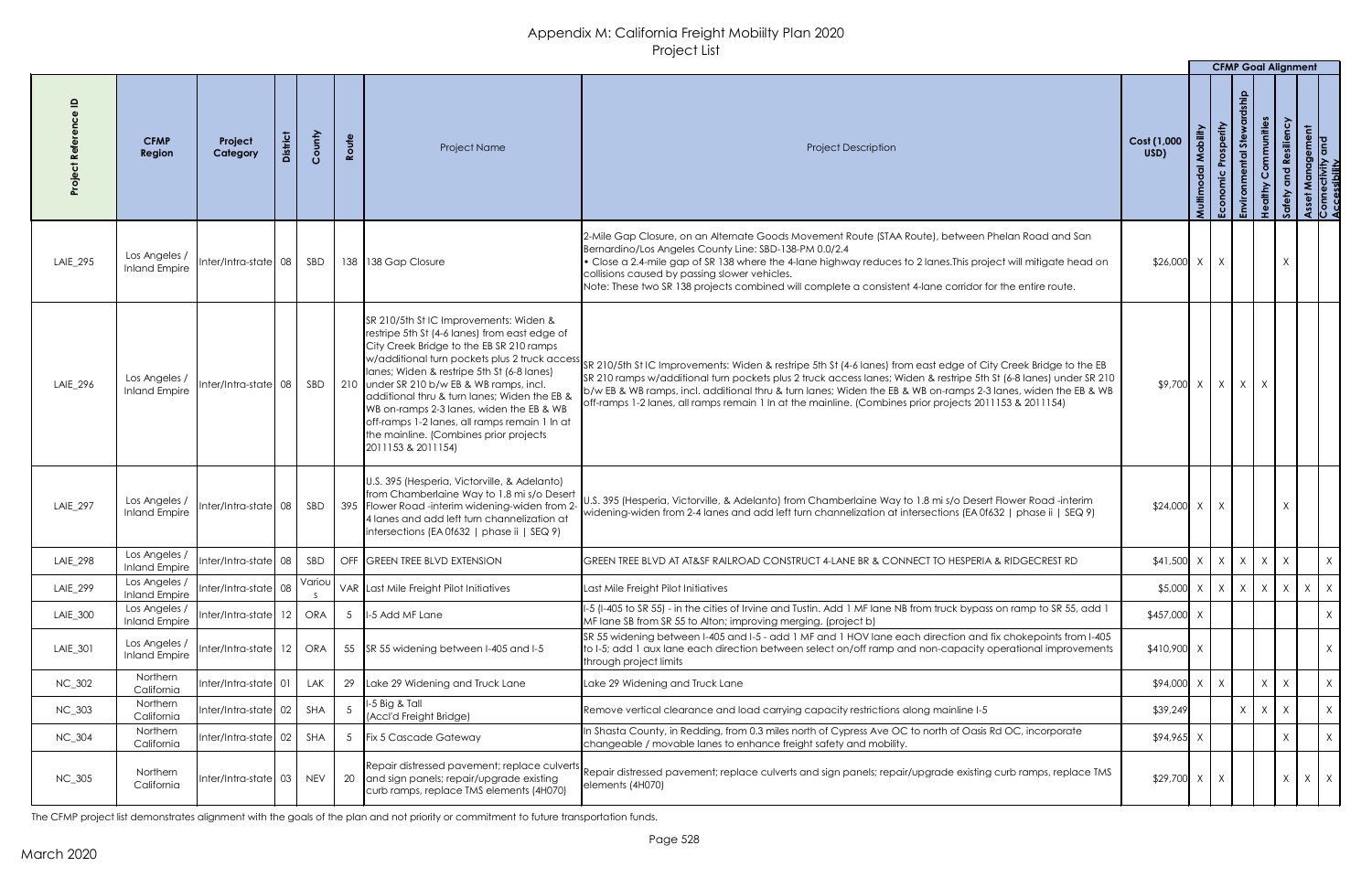|               |                                       |                       |            |       |                                                                                                                                                                                                                                                                                                                                                                                                                                                                                                   | 11000111                                                                                                                                                                                                                                                                                                                                                                                                                                                            |                     |                   | <b>CFMP Goal Alignment</b>     |            |              |   |            |
|---------------|---------------------------------------|-----------------------|------------|-------|---------------------------------------------------------------------------------------------------------------------------------------------------------------------------------------------------------------------------------------------------------------------------------------------------------------------------------------------------------------------------------------------------------------------------------------------------------------------------------------------------|---------------------------------------------------------------------------------------------------------------------------------------------------------------------------------------------------------------------------------------------------------------------------------------------------------------------------------------------------------------------------------------------------------------------------------------------------------------------|---------------------|-------------------|--------------------------------|------------|--------------|---|------------|
|               | <b>CFMP</b><br>Region                 | Project<br>Category   | County     | Route | <b>Project Name</b>                                                                                                                                                                                                                                                                                                                                                                                                                                                                               | <b>Project Description</b>                                                                                                                                                                                                                                                                                                                                                                                                                                          | Cost (1,000<br>USD) | Mobility<br>Multi | vsperity<br>$\ddot{5}$<br>Econ | mmunities  |              |   |            |
| LAIE_295      | Los Angeles /<br><b>Inland Empire</b> | nter/Intra-state 08   | SBD        |       | 138 138 Gap Closure                                                                                                                                                                                                                                                                                                                                                                                                                                                                               | 2-Mile Gap Closure, on an Alternate Goods Movement Route (STAA Route), between Phelan Road and San<br>Bernardino/Los Angeles County Line: SBD-138-PM 0.0/2.4<br>. Close a 2.4-mile gap of SR 138 where the 4-lane highway reduces to 2 lanes. This project will mitigate head on<br>collisions caused by passing slower vehicles.<br>Note: These two SR 138 projects combined will complete a consistent 4-lane corridor for the entire route.                      | $$26,000$ X         |                   |                                |            |              |   |            |
| LAIE_296      | Los Angeles /<br><b>Inland Empire</b> | nter/Intra-state 08   | SBD        |       | SR 210/5th St IC Improvements: Widen &<br>restripe 5th St (4-6 lanes) from east edge of<br>City Creek Bridge to the EB SR 210 ramps<br>w/additional turn pockets plus 2 truck access<br>Idnes; Widen & restripe 5th St (6-8 lanes)<br>210 Junder SR 210 b/w EB & WB ramps, incl.<br>additional thru & turn lanes; Widen the EB &<br>WB on-ramps 2-3 lanes, widen the EB & WB<br>off-ramps 1-2 lanes, all ramps remain 1 In at<br>the mainline. (Combines prior projects<br>$[2011153 \& 2011154]$ | SR 210/5th St IC Improvements: Widen & restripe 5th St (4-6 lanes) from east edge of City Creek Bridge to the EB<br>SR 210 ramps w/additional turn pockets plus 2 truck access lanes; Widen & restripe 5th St (6-8 lanes) under SR 210<br>b/w EB & WB ramps, incl. additional thru & turn lanes; Widen the EB & WB on-ramps 2-3 lanes, widen the EB & WB<br>off-ramps 1-2 lanes, all ramps remain 1 In at the mainline. (Combines prior projects 2011153 & 2011154) | $$9,700$ X          |                   | $X$   $X$   $X$                |            |              |   |            |
| LAIE_297      | Los Angeles /<br><b>Inland Empire</b> | nter/Intra-state 08   | SBD        |       | U.S. 395 (Hesperia, Victorville, & Adelanto)<br>from Chamberlaine Way to 1.8 mi s/o Desert<br>395 Flower Road -interim widening-widen from 2<br>4 lanes and add left turn channelization at<br>$ $ intersections (EA 0f632   phase ii   SEQ 9)                                                                                                                                                                                                                                                    | J.S. 395 (Hesperia, Victorville, & Adelanto) from Chamberlaine Way to 1.8 mi s/o Desert Flower Road -interim<br>widening-widen from 2-4 lanes and add left turn channelization at intersections (EA 0f632   phase ii   SEQ 9)                                                                                                                                                                                                                                       | $$24,000$ X         |                   |                                |            |              |   |            |
| LAIE_298      | Los Angeles /<br><b>Inland Empire</b> | nter/Intra-state 08   | SBD        |       | OFF GREEN TREE BLVD EXTENSION                                                                                                                                                                                                                                                                                                                                                                                                                                                                     | GREEN TREE BLVD AT AT&SF RAILROAD CONSTRUCT 4-LANE BR & CONNECT TO HESPERIA & RIDGECREST RD                                                                                                                                                                                                                                                                                                                                                                         | $$41,500$ X         |                   | $X$ $X$ $X$                    |            | $\mathsf{X}$ |   | $X \mid$   |
| LAIE_299      | Los Angeles /<br><b>Inland Empire</b> | nter/Intra-state 08   | Variou     |       | VAR Last Mile Freight Pilot Initiatives                                                                                                                                                                                                                                                                                                                                                                                                                                                           | Last Mile Freight Pilot Initiatives                                                                                                                                                                                                                                                                                                                                                                                                                                 | $$5,000$ X          |                   | $x \mid x \mid x$              |            | $\mathsf{X}$ | X | X          |
| LAIE_300      | Los Angeles /<br><b>Inland Empire</b> | Inter/Intra-state  12 | <b>ORA</b> | -5    | I-5 Add MF Lane                                                                                                                                                                                                                                                                                                                                                                                                                                                                                   | I-5 (I-405 to SR 55) - in the cities of Irvine and Tustin. Add 1 MF lane NB from truck bypass on ramp to SR 55, add 1<br>MF lane SB from SR 55 to Alton; improving merging. (project b)                                                                                                                                                                                                                                                                             | $$457,000$ X        |                   |                                |            |              |   | $X \mid$   |
| LAIE_301      | Los Angeles /<br><b>Inland Empire</b> | nter/Intra-state  12  | ORA        |       | 55 SR 55 widening between I-405 and I-5                                                                                                                                                                                                                                                                                                                                                                                                                                                           | SR 55 widening between I-405 and I-5 - add 1 MF and 1 HOV lane each direction and fix chokepoints from I-405<br>to I-5; add 1 aux lane each direction between select on/off ramp and non-capacity operational improvements<br>Ithrough project limits                                                                                                                                                                                                               | $$410,900$ X        |                   |                                |            |              |   | $X \mid$   |
| <b>NC_302</b> | Northern<br>California                | Inter/Intra-state  01 | <b>LAK</b> |       | 29 Lake 29 Widening and Truck Lane                                                                                                                                                                                                                                                                                                                                                                                                                                                                | Lake 29 Widening and Truck Lane                                                                                                                                                                                                                                                                                                                                                                                                                                     | \$94,000 X          |                   |                                | X          |              |   | $X \mid$   |
| <b>NC_303</b> | Northern<br>California                | nter/Intra-state 02   | SHA        |       | $I-5$ Big & Tall<br>(Accl'd Freight Bridge)                                                                                                                                                                                                                                                                                                                                                                                                                                                       | Remove vertical clearance and load carrying capacity restrictions along mainline I-5                                                                                                                                                                                                                                                                                                                                                                                | \$39,249            |                   |                                | $X \mid X$ | $\lambda$    |   | X          |
| <b>NC_304</b> | Northern<br>California                | Inter/Intra-state  02 | SHA        |       | <b>Fix 5 Cascade Gateway</b>                                                                                                                                                                                                                                                                                                                                                                                                                                                                      | In Shasta County, in Redding, from 0.3 miles north of Cypress Ave OC to north of Oasis Rd OC, incorporate<br>changeable / movable lanes to enhance freight safety and mobility.                                                                                                                                                                                                                                                                                     | $$94,965$ X         |                   |                                |            |              |   | $X \mid$   |
| <b>NC_305</b> | Northern<br>California                | Inter/Intra-state 03  | <b>NEV</b> |       | Repair distressed pavement; replace culverts<br>20 and sign panels; repair/upgrade existing<br>curb ramps, replace TMS elements (4H070)                                                                                                                                                                                                                                                                                                                                                           | Repair distressed pavement; replace culverts and sign panels; repair/upgrade existing curb ramps, replace TMS<br>elements (4H070)                                                                                                                                                                                                                                                                                                                                   | $$29,700$ X         |                   |                                |            | $\mathsf{X}$ |   | $X \mid X$ |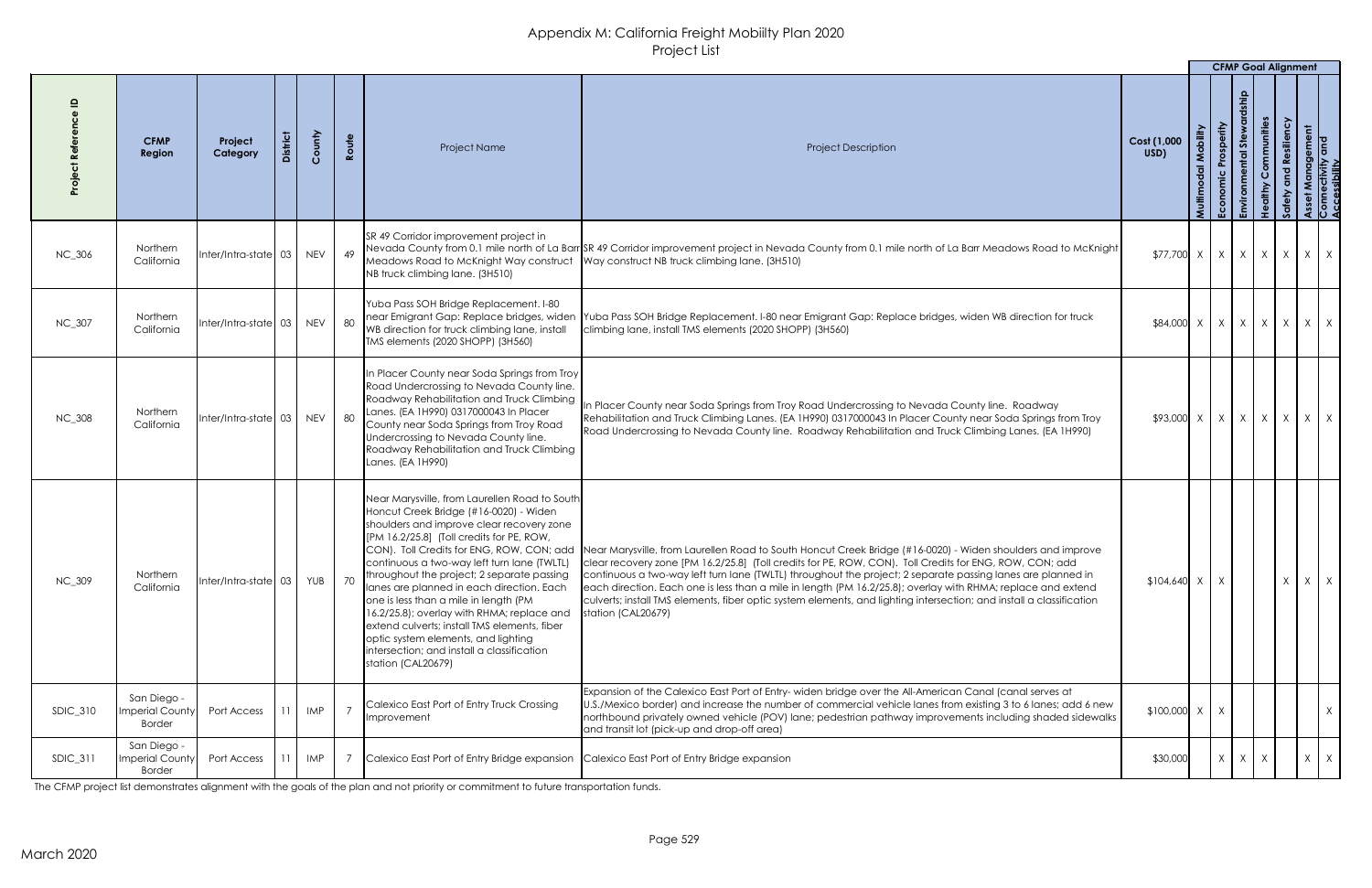|                 |                                                        |                                                       |            |       |                                                                                                                                                                                                                                                                                                                                                                                                                                                                                                                                                                                                                              |                                                                                                                                                                                                                                                                                                                                                                                                                                                                                                                                                                                                    |                                                 | <b>CFMP Goal Alignment</b> |           |              |          |            |
|-----------------|--------------------------------------------------------|-------------------------------------------------------|------------|-------|------------------------------------------------------------------------------------------------------------------------------------------------------------------------------------------------------------------------------------------------------------------------------------------------------------------------------------------------------------------------------------------------------------------------------------------------------------------------------------------------------------------------------------------------------------------------------------------------------------------------------|----------------------------------------------------------------------------------------------------------------------------------------------------------------------------------------------------------------------------------------------------------------------------------------------------------------------------------------------------------------------------------------------------------------------------------------------------------------------------------------------------------------------------------------------------------------------------------------------------|-------------------------------------------------|----------------------------|-----------|--------------|----------|------------|
|                 | <b>CFMP</b><br>Region                                  | Project<br>Category                                   | County     | Route | Project Name                                                                                                                                                                                                                                                                                                                                                                                                                                                                                                                                                                                                                 | <b>Project Description</b>                                                                                                                                                                                                                                                                                                                                                                                                                                                                                                                                                                         | Cost (1,000<br>USD)                             | あ                          | mmunities | silien       |          |            |
| <b>NC_306</b>   | Northern<br>California                                 | $Inter/Intro-state 03$                                | <b>NEV</b> | 49    | SR 49 Corridor improvement project in<br>Meadows Road to McKnight Way construct<br>NB truck climbing lane. (3H510)                                                                                                                                                                                                                                                                                                                                                                                                                                                                                                           | Nevada County from 0.1 mile north of La Barr SR 49 Corridor improvement project in Nevada County from 0.1 mile north of La Barr Meadows Road to McKnight<br>Way construct NB truck climbing lane. (3H510)                                                                                                                                                                                                                                                                                                                                                                                          | $ 377,700  \times   \times   \times   \times  $ |                            |           | X            |          | $X \mid X$ |
| NC_307          | Northern<br>California                                 | $\left  \right $ nter/Intra-state $\left  \right $ 03 | <b>NEV</b> | 80    | Yuba Pass SOH Bridge Replacement. I-80<br>near Emigrant Gap: Replace bridges, widen<br>WB direction for truck climbing lane, install<br>TMS elements (2020 SHOPP) (3H560)                                                                                                                                                                                                                                                                                                                                                                                                                                                    | Yuba Pass SOH Bridge Replacement. I-80 near Emigrant Gap: Replace bridges, widen WB direction for truck<br>climbing lane, install TMS elements (2020 SHOPP) (3H560)                                                                                                                                                                                                                                                                                                                                                                                                                                |                                                 |                            |           | X            |          | $X \mid X$ |
| <b>NC_308</b>   | Northern<br>California                                 |                                                       |            | 80    | In Placer County near Soda Springs from Troy<br>Road Undercrossing to Nevada County line.<br>Roadway Rehabilitation and Truck Climbing<br>Lanes. (EA 1H990) 0317000043 In Placer<br>County near Soda Springs from Troy Road<br>Undercrossing to Nevada County line.<br>Roadway Rehabilitation and Truck Climbing<br>Lanes. (EA 1H990)                                                                                                                                                                                                                                                                                        | In Placer County near Soda Springs from Troy Road Undercrossing to Nevada County line. Roadway<br>Rehabilitation and Truck Climbing Lanes. (EA 1H990) 0317000043 In Placer County near Soda Springs from Troy<br>Road Undercrossing to Nevada County line. Roadway Rehabilitation and Truck Climbing Lanes. (EA 1H990)                                                                                                                                                                                                                                                                             | $$93,000$ X                                     | $X \mid X \mid$            | X         | $\mathsf{X}$ | $X \mid$ |            |
| <b>NC_309</b>   | Northern<br>California                                 | nter/Intra-state   03                                 | YUB        | 70    | Near Marysville, from Laurellen Road to South<br>Honcut Creek Bridge (#16-0020) - Widen<br>shoulders and improve clear recovery zone<br>$[PM 16.2/25.8]$ (Toll credits for PE, ROW,<br>CON). Toll Credits for ENG, ROW, CON; add<br>continuous a two-way left turn lane (TWLTL)<br>throughout the project; 2 separate passing<br>lanes are planned in each direction. Each<br>one is less than a mile in length (PM<br>16.2/25.8); overlay with RHMA; replace and<br>extend culverts; install TMS elements, fiber<br>optic system elements, and lighting<br>Intersection; and install a classification<br>station (CAL20679) | Near Marysville, from Laurellen Road to South Honcut Creek Bridge (#16-0020) - Widen shoulders and improve<br>clear recovery zone [PM 16.2/25.8] (Toll credits for PE, ROW, CON). Toll Credits for ENG, ROW, CON; add<br>continuous a two-way left turn lane (TWLTL) throughout the project; 2 separate passing lanes are planned in<br>each direction. Each one is less than a mile in length (PM 16.2/25.8); overlay with RHMA; replace and extend<br>culverts; install TMS elements, fiber optic system elements, and lighting intersection; and install a classification<br>station (CAL20679) | $$104,640$ X                                    |                            |           | $\lambda$    |          | $X \mid X$ |
| <b>SDIC_310</b> | San Diego -<br><b>Imperial County</b><br><b>Border</b> | Port Access                                           | IMP        |       | Calexico East Port of Entry Truck Crossing<br>Improvement                                                                                                                                                                                                                                                                                                                                                                                                                                                                                                                                                                    | Expansion of the Calexico East Port of Entry- widen bridge over the All-American Canal (canal serves at<br>U.S./Mexico border) and increase the number of commercial vehicle lanes from existing 3 to 6 lanes; add 6 new<br>northbound privately owned vehicle (POV) lane; pedestrian pathway improvements including shaded sidewalks<br>and transit lot (pick-up and drop-off area)                                                                                                                                                                                                               | $$100,000$ X                                    | X                          |           |              |          | $X \mid$   |
| <b>SDIC_311</b> | San Diego -<br><b>Imperial County</b><br><b>Border</b> | Port Access                                           | IMP        |       | Calexico East Port of Entry Bridge expansion                                                                                                                                                                                                                                                                                                                                                                                                                                                                                                                                                                                 | Calexico East Port of Entry Bridge expansion                                                                                                                                                                                                                                                                                                                                                                                                                                                                                                                                                       | \$30,000                                        | $X \mid X \mid X$          |           |              |          | $X \mid X$ |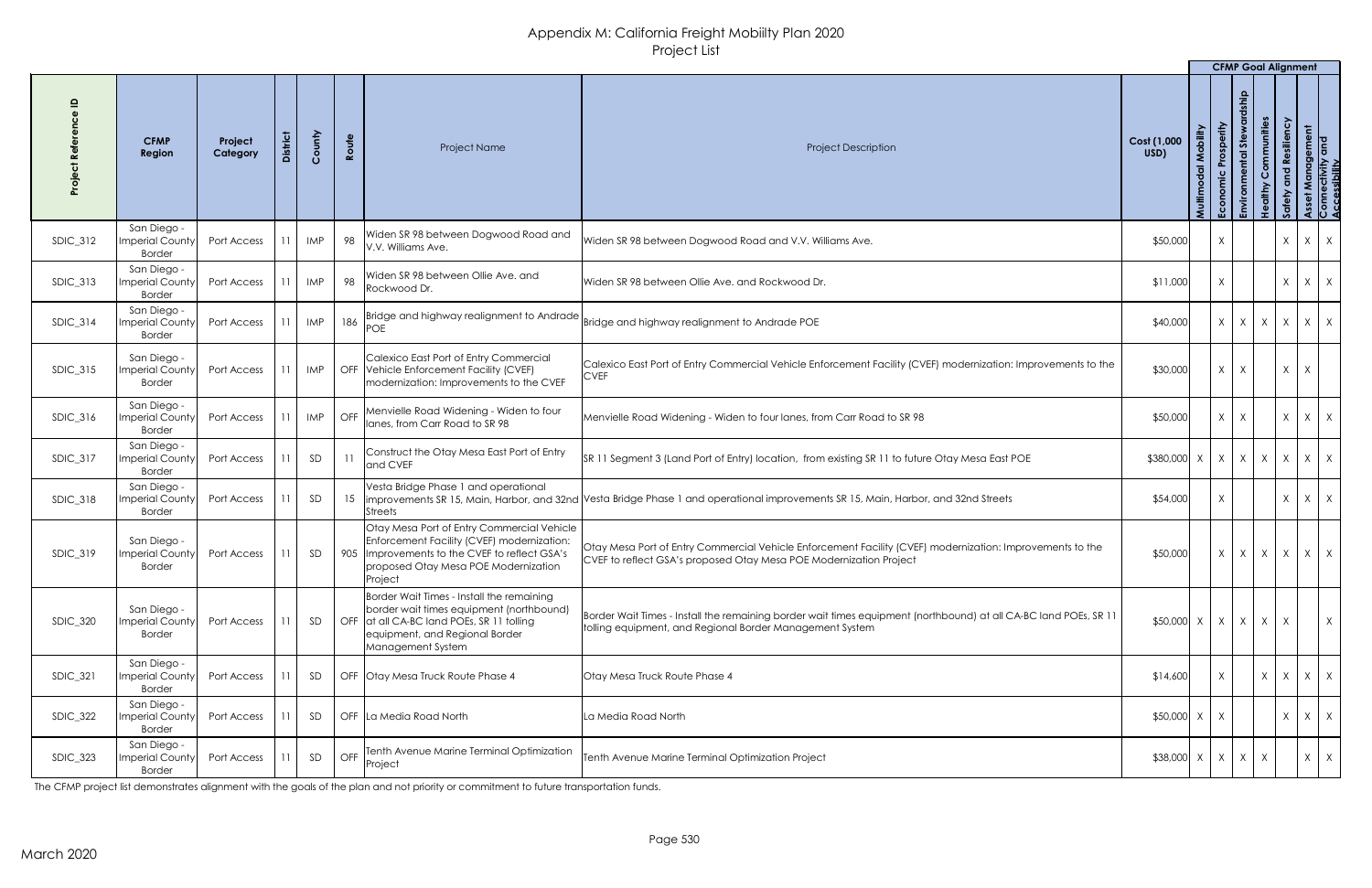|                 |                                                             |                     |                 |            |       |                                                                                                                                                                                               |                                                                                                                                                                                 |                                               |                    | <b>CFMP Goal Alignment</b>            |                                       |                                                    |   |                                                       |
|-----------------|-------------------------------------------------------------|---------------------|-----------------|------------|-------|-----------------------------------------------------------------------------------------------------------------------------------------------------------------------------------------------|---------------------------------------------------------------------------------------------------------------------------------------------------------------------------------|-----------------------------------------------|--------------------|---------------------------------------|---------------------------------------|----------------------------------------------------|---|-------------------------------------------------------|
|                 | <b>CFMP</b><br>Region                                       | Project<br>Category | <b>District</b> | County     | Route | Project Name                                                                                                                                                                                  | <b>Project Description</b>                                                                                                                                                      | Cost (1,000<br>USD)                           | Mobility<br>Multin | Prosperity<br>$st$ e<br>Economic<br>品 | Communities<br>althy<br>$\frac{9}{5}$ | ssiliency<br>$\mathbf{e}$<br>$\overline{2}$<br>္တဝ |   | Asset Management<br>Connectivity and<br>Accessibility |
| $SDIC_312$      | San Diego -<br><b>Imperial County</b><br><b>Border</b>      | Port Access         |                 | <b>IMP</b> | 98    | Widen SR 98 between Dogwood Road and<br>V.V. Williams Ave.                                                                                                                                    | Widen SR 98 between Dogwood Road and V.V. Williams Ave.                                                                                                                         | \$50,000                                      |                    | X                                     |                                       | $\mathsf{X}$                                       |   | $X \mid X$                                            |
| <b>SDIC_313</b> | San Diego -<br>Imperial County<br><b>Border</b>             | Port Access         |                 | <b>IMP</b> | 98    | Widen SR 98 between Ollie Ave. and<br>Rockwood Dr.                                                                                                                                            | Widen SR 98 between Ollie Ave. and Rockwood Dr.                                                                                                                                 | \$11,000                                      |                    | X                                     |                                       | $\chi$                                             |   | $X \mid X$                                            |
| $SDIC_314$      | San Diego -<br>Imperial County<br><b>Border</b>             | Port Access         | 11              | IMP        | 186   | Bridge and highway realignment to Andrade                                                                                                                                                     | Bridge and highway realignment to Andrade POE                                                                                                                                   | \$40,000                                      |                    | $x \mid x \mid x \mid$                |                                       | X                                                  |   | $X \mid X$                                            |
| <b>SDIC_315</b> | San Diego -<br>Imperial County<br><b>Border</b>             | Port Access         | 11              | IMP        |       | Calexico East Port of Entry Commercial<br>OFF Vehicle Enforcement Facility (CVEF)<br>modernization: Improvements to the CVEF                                                                  | Calexico East Port of Entry Commercial Vehicle Enforcement Facility (CVEF) modernization: Improvements to the<br><b>CVEF</b>                                                    | \$30,000                                      |                    | X<br>X                                |                                       | $\mathsf{X}$                                       | X |                                                       |
| $SDIC_316$      | San Diego -<br>Imperial County Port Access<br><b>Border</b> |                     | 11              | <b>IMP</b> | OFF   | Menvielle Road Widening - Widen to four<br>lanes, from Carr Road to SR 98                                                                                                                     | Menvielle Road Widening - Widen to four lanes, from Carr Road to SR 98                                                                                                          | \$50,000                                      |                    | $X \mid X$                            |                                       | X                                                  |   | $X \mid X$                                            |
| <b>SDIC_317</b> | San Diego -<br><b>Imperial County</b><br><b>Border</b>      | Port Access         |                 | SD         | 11    | Construct the Otay Mesa East Port of Entry<br>and CVEF                                                                                                                                        | SR 11 Segment 3 (Land Port of Entry) location, from existing SR 11 to future Otay Mesa East POE                                                                                 | $$380,000 \times   X   X   X$                 |                    |                                       |                                       | X                                                  |   | $X$ $X$                                               |
| $SDIC_318$      | San Diego -<br>Imperial County<br><b>Border</b>             | Port Access         |                 | SD         |       | Vesta Bridge Phase 1 and operational<br><b>Streets</b>                                                                                                                                        | 15  improvements SR 15, Main, Harbor, and 32nd Vesta Bridge Phase 1 and operational improvements SR 15, Main, Harbor, and 32nd Streets                                          | \$54,000                                      |                    | X                                     |                                       | $\lambda$                                          |   | $X \mid X$                                            |
| <b>SDIC_319</b> | San Diego -<br><b>Imperial County</b><br><b>Border</b>      | Port Access         | 11              | SD         |       | Otay Mesa Port of Entry Commercial Vehicle<br>Enforcement Facility (CVEF) modernization:<br>905  Improvements to the CVEF to reflect GSA's<br>proposed Otay Mesa POE Modernization<br>Project | Otay Mesa Port of Entry Commercial Vehicle Enforcement Facility (CVEF) modernization: Improvements to the<br>CVEF to reflect GSA's proposed Otay Mesa POE Modernization Project | \$50,000                                      |                    | X                                     | $X$ $X$                               | X                                                  |   | $X \mid X$                                            |
| <b>SDIC_320</b> | San Diego -<br><b>Imperial County</b><br><b>Border</b>      | Port Access         | 11              | SD         |       | Border Wait Times - Install the remaining<br>border wait times equipment (northbound)<br>OFF at all CA-BC land POEs, SR 11 tolling<br>equipment, and Regional Border<br>Management System     | Border Wait Times - Install the remaining border wait times equipment (northbound) at all CA-BC land POEs, SR 11<br>tolling equipment, and Regional Border Management System    | $$50,000 \times   \times   \times   \times  $ |                    |                                       |                                       | $\mathsf{X}$                                       |   | $\times$                                              |
| <b>SDIC_321</b> | San Diego -<br>Imperial County<br><b>Border</b>             | Port Access         |                 | SD         |       | OFF Otay Mesa Truck Route Phase 4                                                                                                                                                             | <b>Otay Mesa Truck Route Phase 4</b>                                                                                                                                            | \$14,600                                      |                    | X                                     | $\times$                              | X                                                  |   | $X \mid X$                                            |
| $SDIC_322$      | San Diego -<br><b>Imperial County</b><br><b>Border</b>      | Port Access         |                 | SD         |       | OFF La Media Road North                                                                                                                                                                       | La Media Road North                                                                                                                                                             | $$50,000$ X                                   |                    | X                                     |                                       | $\lambda$                                          |   | $X \mid X$                                            |
| SDIC_323        | San Diego -<br><b>Imperial County</b><br><b>Border</b>      | Port Access         |                 | SD         | OFF   | Tenth Avenue Marine Terminal Optimization<br>Project                                                                                                                                          | Tenth Avenue Marine Terminal Optimization Project                                                                                                                               | $$38,000 \times   \times   \times  $          |                    |                                       | X                                     |                                                    |   | $X \mid X$                                            |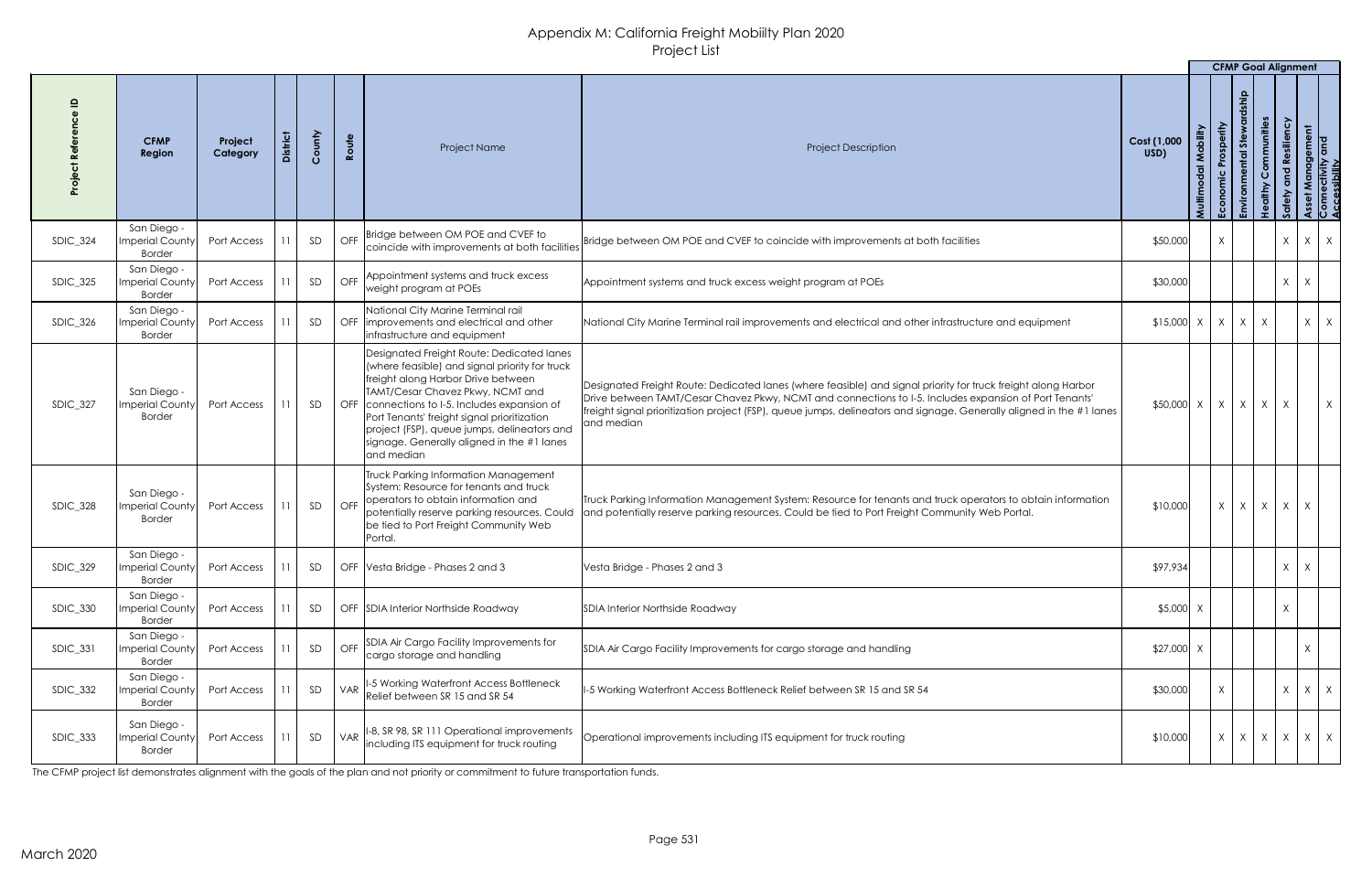|                 |                                                             |                     |                 |        |       |                                                                                                                                                                                                                                                                                                                                                                                  |                                                                                                                                                                                                                                                                                                                                                               |                               |                        | <b>CFMP Goal Alignment</b>                                    |                                                         |   |                                                       |
|-----------------|-------------------------------------------------------------|---------------------|-----------------|--------|-------|----------------------------------------------------------------------------------------------------------------------------------------------------------------------------------------------------------------------------------------------------------------------------------------------------------------------------------------------------------------------------------|---------------------------------------------------------------------------------------------------------------------------------------------------------------------------------------------------------------------------------------------------------------------------------------------------------------------------------------------------------------|-------------------------------|------------------------|---------------------------------------------------------------|---------------------------------------------------------|---|-------------------------------------------------------|
|                 | <b>CFMP</b><br>Region                                       | Project<br>Category | <b>District</b> | County | Route | Project Name                                                                                                                                                                                                                                                                                                                                                                     | <b>Project Description</b>                                                                                                                                                                                                                                                                                                                                    | Cost (1,000<br>USD)<br>Multim | Prosperity<br>Economic | dship<br>Communities<br>Stewa<br>ntal<br><b>althy</b><br>viro | ssiliency<br>ဇိ<br>$\overline{\mathbf{c}}$<br><b>SS</b> |   | Asset Management<br>Connectivity and<br>Accessibility |
| $SDIC_324$      | San Diego -<br>Imperial County<br><b>Border</b>             | Port Access         |                 | SD     |       | I OFF Bridge between OM POE and CVEF to<br>coincide with improvements at both facilities                                                                                                                                                                                                                                                                                         | Bridge between OM POE and CVEF to coincide with improvements at both facilities                                                                                                                                                                                                                                                                               | \$50,000                      | $\sf X$                |                                                               | $\times$                                                |   | $X \mid X$                                            |
| <b>SDIC_325</b> | San Diego -<br>Imperial County<br><b>Border</b>             | Port Access         |                 | SD     |       | OFF Appointment systems and truck excess<br>weight program at POEs                                                                                                                                                                                                                                                                                                               | Appointment systems and truck excess weight program at POEs                                                                                                                                                                                                                                                                                                   | \$30,000                      |                        |                                                               | $\times$                                                | X |                                                       |
| $SDIC_326$      | San Diego -<br><b>Imperial County</b><br><b>Border</b>      | Port Access         |                 | SD     |       | National City Marine Terminal rail<br>OFF limprovements and electrical and other<br>infrastructure and equipment                                                                                                                                                                                                                                                                 | National City Marine Terminal rail improvements and electrical and other infrastructure and equipment                                                                                                                                                                                                                                                         | $$15,000$ X                   | X                      | $\mathsf{X}$<br>$\mathsf{X}$                                  |                                                         | X | X                                                     |
| SDIC_327        | San Diego -<br>Imperial Count <sup>,</sup><br><b>Border</b> | Port Access         |                 | SD     |       | Designated Freight Route: Dedicated lanes<br>(where feasible) and signal priority for truck<br>freight along Harbor Drive between<br>TAMT/Cesar Chavez Pkwy, NCMT and<br>OFF connections to I-5. Includes expansion of<br>Port Tenants' freight signal prioritization<br>project (FSP), queue jumps, delineators and<br>signage. Generally aligned in the #1 lanes<br>and median | Designated Freight Route: Dedicated lanes (where feasible) and signal priority for truck freight along Harbor<br>Drive between TAMT/Cesar Chavez Pkwy, NCMT and connections to I-5. Includes expansion of Port Tenants'<br>freight signal prioritization project (FSP), queue jumps, delineators and signage. Generally aligned in the #1 lanes<br>and median | \$50,000 X                    | X                      | $X \mid X$                                                    | $\mathsf{X}$                                            |   | $\mathsf{X}$                                          |
| <b>SDIC_328</b> | San Diego -<br><b>Imperial County</b><br><b>Border</b>      | Port Access         |                 | SD     |       | Truck Parking Information Management<br>System: Resource for tenants and truck<br>  OFF   operators to obtain information and<br>potentially reserve parking resources. Could<br>be tied to Port Freight Community Web<br>Portal.                                                                                                                                                | Truck Parking Information Management System: Resource for tenants and truck operators to obtain information<br>and potentially reserve parking resources. Could be tied to Port Freight Community Web Portal.                                                                                                                                                 | \$10,000                      | X                      | $X \mid X \mid X$                                             |                                                         | X |                                                       |
| <b>SDIC_329</b> | San Diego -<br>mperial County<br><b>Border</b>              | Port Access         |                 | SD     |       | OFF Vesta Bridge - Phases 2 and 3                                                                                                                                                                                                                                                                                                                                                | Vesta Bridge - Phases 2 and 3                                                                                                                                                                                                                                                                                                                                 | \$97,934                      |                        |                                                               | $\times$                                                | X |                                                       |
| <b>SDIC_330</b> | San Diego -<br><b>Imperial County</b><br><b>Border</b>      | Port Access         |                 | SD     |       | OFF SDIA Interior Northside Roadway                                                                                                                                                                                                                                                                                                                                              | SDIA Interior Northside Roadway                                                                                                                                                                                                                                                                                                                               | $$5,000$ X                    |                        |                                                               | $\times$                                                |   |                                                       |
| <b>SDIC_331</b> | San Diego -<br><b>Imperial County</b><br><b>Border</b>      | Port Access         |                 | SD     |       | OFF SDIA Air Cargo Facility Improvements for<br>cargo storage and handling                                                                                                                                                                                                                                                                                                       | SDIA Air Cargo Facility Improvements for cargo storage and handling                                                                                                                                                                                                                                                                                           | $$27,000$ X                   |                        |                                                               |                                                         | X |                                                       |
| <b>SDIC_332</b> | San Diego -<br>mperial County<br><b>Border</b>              | Port Access         |                 | SD     |       | VAR   1-5 Working Waterfront Access Bottleneck<br>Relief between SR 15 and SR 54                                                                                                                                                                                                                                                                                                 | I-5 Working Waterfront Access Bottleneck Relief between SR 15 and SR 54                                                                                                                                                                                                                                                                                       | \$30,000                      | X                      |                                                               | $\mathsf{X}$                                            |   | $X \mid X$                                            |
| <b>SDIC_333</b> | San Diego -<br>Imperial County<br><b>Border</b>             | Port Access         |                 | SD     |       | VAR   1-8, SR 98, SR 111 Operational improvements<br>including ITS equipment for truck routing                                                                                                                                                                                                                                                                                   | Operational improvements including ITS equipment for truck routing                                                                                                                                                                                                                                                                                            | \$10,000                      | X                      | $x \mid x \mid x \mid x \mid x$                               |                                                         |   |                                                       |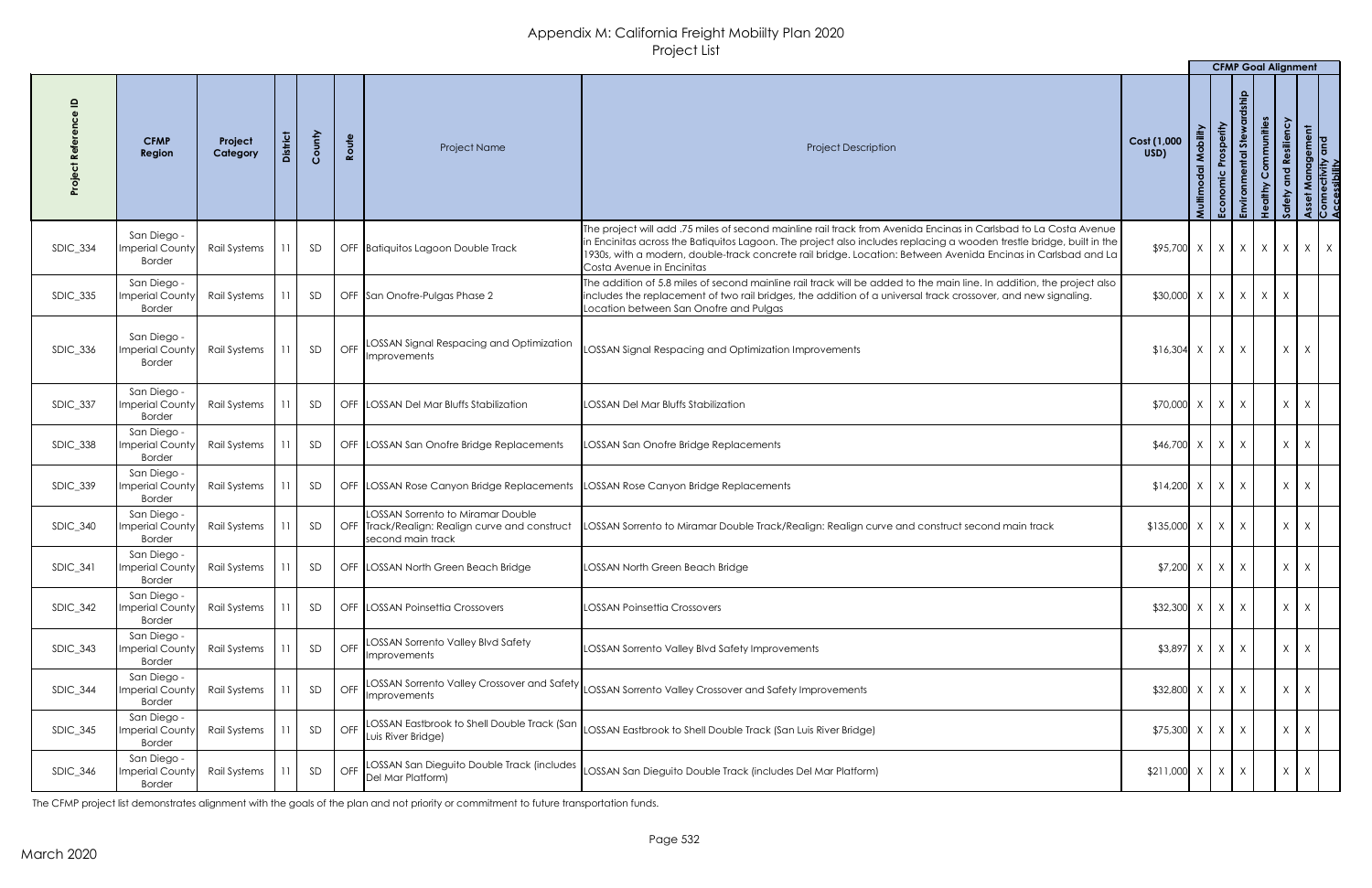|                 |                                                        |                     |                 |        |            |                                                                                                                 |                                                                                                                                                                                                                                                                                                                                                                                        |                                                            |                    |                                                    |                                            |                                     | <b>CFMP Goal Alignment</b>                  |
|-----------------|--------------------------------------------------------|---------------------|-----------------|--------|------------|-----------------------------------------------------------------------------------------------------------------|----------------------------------------------------------------------------------------------------------------------------------------------------------------------------------------------------------------------------------------------------------------------------------------------------------------------------------------------------------------------------------------|------------------------------------------------------------|--------------------|----------------------------------------------------|--------------------------------------------|-------------------------------------|---------------------------------------------|
|                 | <b>CFMP</b><br>Region                                  | Project<br>Category | <b>District</b> | County | Route      | Project Name                                                                                                    | <b>Project Description</b>                                                                                                                                                                                                                                                                                                                                                             | Cost (1,000<br>USD)                                        | Villipol<br>Multir | Prosperity<br>intal Ste<br>Economic<br>$\tilde{5}$ | Communities<br>Š<br>dithy<br>$\frac{9}{1}$ | Resiliency<br>$\overline{Q}$<br>Saf | t Management<br>rectivity and<br>sssibility |
| <b>SDIC_334</b> | San Diego -<br>mperial County<br><b>Border</b>         | Rail Systems        | 11              | SD     |            | OFF Batiquitos Lagoon Double Track                                                                              | The project will add .75 miles of second mainline rail track from Avenida Encinas in Carlsbad to La Costa Avenue<br>In Encinitas across the Batiquitos Lagoon. The project also includes replacing a wooden trestle bridge, built in the<br>1930s, with a modern, double-track concrete rail bridge. Location: Between Avenida Encinas in Carlsbad and La<br>Costa Avenue in Encinitas | $\frac{1}{2}$ \$95,700   x   x   x   x   x                 |                    |                                                    |                                            |                                     | $X \mid X$                                  |
| <b>SDIC_335</b> | San Diego -<br><b>Imperial County</b><br><b>Border</b> | Rail Systems        |                 | SD     |            | OFF San Onofre-Pulgas Phase 2                                                                                   | The addition of 5.8 miles of second mainline rail track will be added to the main line. In addition, the project also<br>includes the replacement of two rail bridges, the addition of a universal track crossover, and new signaling.<br>Location between San Onofre and Pulgas                                                                                                       | $$30,000 \times \times \times \times \times \times \times$ |                    |                                                    |                                            |                                     |                                             |
| $SDIC_336$      | San Diego -<br><b>Imperial County</b><br><b>Border</b> | Rail Systems        | 11              | SD     | OFF        | LOSSAN Signal Respacing and Optimization<br>Improvements                                                        | LOSSAN Signal Respacing and Optimization Improvements                                                                                                                                                                                                                                                                                                                                  | $$16,304$ X X                                              |                    | $\mathsf{X}$                                       |                                            | $\sf X$                             | X                                           |
| <b>SDIC_337</b> | San Diego -<br>mperial County<br><b>Border</b>         | Rail Systems        |                 | SD     |            | OFF   LOSSAN Del Mar Bluffs Stabilization                                                                       | <b>LOSSAN Del Mar Bluffs Stabilization</b>                                                                                                                                                                                                                                                                                                                                             | $$70,000$ X X X                                            |                    | $\mathsf{X}$                                       |                                            | $\sf X$                             | X                                           |
| <b>SDIC_338</b> | San Diego -<br>mperial County<br><b>Border</b>         | Rail Systems        | 11              | SD     |            | OFF LOSSAN San Onofre Bridge Replacements                                                                       | LOSSAN San Onofre Bridge Replacements                                                                                                                                                                                                                                                                                                                                                  | $$46,700 \times   X  $                                     |                    | $\mathsf{X}$                                       |                                            | $\mathsf{X}$                        | X                                           |
| <b>SDIC_339</b> | San Diego -<br><b>Imperial County</b><br><b>Border</b> | Rail Systems        |                 | SD     |            | OFF LOSSAN Rose Canyon Bridge Replacements LOSSAN Rose Canyon Bridge Replacements                               |                                                                                                                                                                                                                                                                                                                                                                                        | $$14,200$ X X X                                            |                    | X                                                  |                                            | $\times$                            | X                                           |
| $SDIC_340$      | San Diego -<br>mperial County<br><b>Border</b>         | Rail Systems        |                 | SD     |            | <b>LOSSAN Sorrento to Miramar Double</b><br>OFF Track/Realign: Realign curve and construct<br>second main track | LOSSAN Sorrento to Miramar Double Track/Realign: Realign curve and construct second main track                                                                                                                                                                                                                                                                                         | $$135,000$ X   X                                           |                    | $\mathsf{X}$                                       |                                            | $\mathsf{X}$                        | X                                           |
| <b>SDIC_341</b> | San Diego -<br>mperial County<br><b>Border</b>         | Rail Systems        |                 | SD     |            | OFF LOSSAN North Green Beach Bridge                                                                             | LOSSAN North Green Beach Bridge                                                                                                                                                                                                                                                                                                                                                        | $$7,200$ X                                                 |                    | X<br>$\mathsf{X}$                                  |                                            | $\times$                            | $X -$                                       |
| $SDIC_342$      | San Diego -<br><b>Imperial County</b><br><b>Border</b> | Rail Systems        |                 | SD     |            | OFF LOSSAN Poinsettia Crossovers                                                                                | <b>LOSSAN Poinsettia Crossovers</b>                                                                                                                                                                                                                                                                                                                                                    | $$32,300$ X   X                                            |                    | X                                                  |                                            | $\sf X$                             | X                                           |
| $SDIC_343$      | San Diego -<br>mperial County<br><b>Border</b>         | Rail Systems        |                 | SD     | <b>OFF</b> | LOSSAN Sorrento Valley Blvd Safety<br><b>Improvements</b>                                                       | LOSSAN Sorrento Valley Blvd Safety Improvements                                                                                                                                                                                                                                                                                                                                        | $$3,897$ X   X                                             |                    | $\mathsf{X}$                                       |                                            | $\mathsf{X}$                        | X                                           |
| SDIC_344        | San Diego -<br>mperial County<br><b>Border</b>         | Rail Systems        |                 | SD     |            | OFF LOSSAN Sorrento Valley Crossover and Safety<br>Improvements                                                 | LOSSAN Sorrento Valley Crossover and Safety Improvements                                                                                                                                                                                                                                                                                                                               | $$32,800$ X                                                |                    | $\chi$<br>$\mathsf{X}$                             |                                            | $\sf X$                             | X                                           |
| $SDIC_345$      | San Diego -<br>mperial County<br><b>Border</b>         | Rail Systems        |                 | SD     | <b>OFF</b> | LOSSAN Eastbrook to Shell Double Track (San<br>Luis River Bridge)                                               | LOSSAN Eastbrook to Shell Double Track (San Luis River Bridge)                                                                                                                                                                                                                                                                                                                         | $$75,300$ X                                                |                    | $\mathsf{X}$<br>$\chi$                             |                                            | $\times$                            | X                                           |
| $SDIC_346$      | San Diego -<br>mperial County<br><b>Border</b>         | Rail Systems        |                 | SD     |            | OFF LOSSAN San Dieguito Double Track (includes<br>Del Mar Platform)                                             | LOSSAN San Dieguito Double Track (includes Del Mar Platform)                                                                                                                                                                                                                                                                                                                           | $$211,000$ $X$ $X$                                         |                    | $\mathsf{X}$                                       |                                            | $\times$                            | X                                           |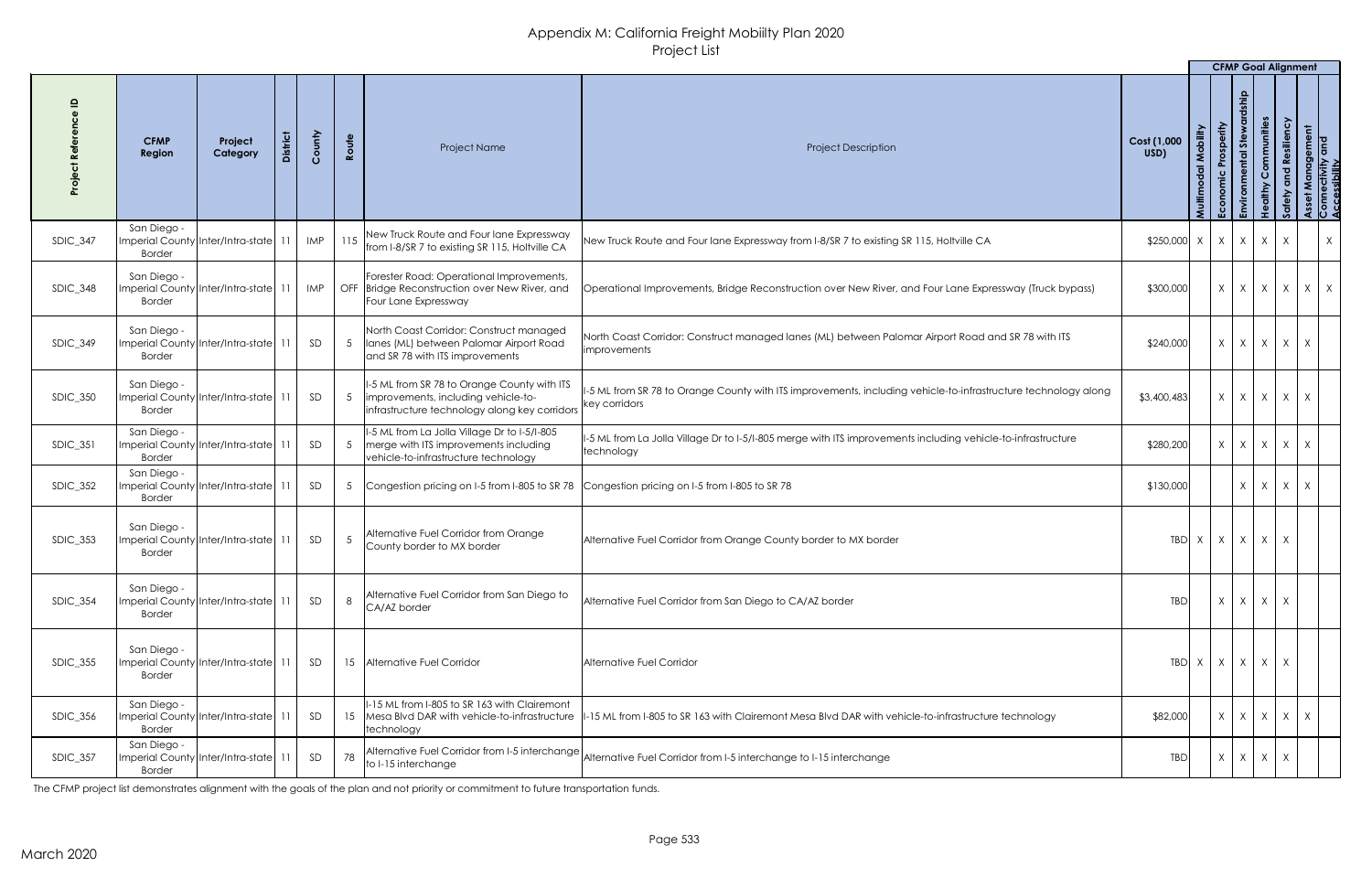|                 |                                                                          |                     |                 |            |                 |                                                                                                                                      |                                                                                                                                 |                                                |                                      | <b>CFMP Goal Alignment</b> |              |                                                         |               |                                         |         |
|-----------------|--------------------------------------------------------------------------|---------------------|-----------------|------------|-----------------|--------------------------------------------------------------------------------------------------------------------------------------|---------------------------------------------------------------------------------------------------------------------------------|------------------------------------------------|--------------------------------------|----------------------------|--------------|---------------------------------------------------------|---------------|-----------------------------------------|---------|
|                 | <b>CFMP</b><br>Region                                                    | Project<br>Category | <b>District</b> | County     | Route           | Project Name                                                                                                                         | <b>Project Description</b>                                                                                                      | Cost (1,000<br>USD)                            | Mobility<br>$\overline{a}$<br>Multim | Prosperity<br>Economic     | Stew<br>ntal | Communities<br>althy<br>$\frac{\mathbf{0}}{\mathbf{I}}$ | nd Resiliency | Management<br>ectivity and<br>ssibility |         |
| <b>SDIC_347</b> | San Diego -<br>Imperial County   Inter/Intra-state   11<br><b>Border</b> |                     |                 | <b>IMP</b> |                 | 115 New Truck Route and Four lane Expressway<br>from I-8/SR 7 to existing SR 115, Holtville CA                                       | New Truck Route and Four lane Expressway from I-8/SR 7 to existing SR 115, Holtville CA                                         | $$250,000 \times   \times   \times   \times  $ |                                      |                            |              |                                                         | X             |                                         | $\sf X$ |
| SDIC_348        | San Diego -<br>Imperial County Inter/Intra-state 11<br><b>Border</b>     |                     |                 | IMP        |                 | Forester Road: Operational Improvements,<br>OFF Bridge Reconstruction over New River, and<br>Four Lane Expressway                    | Operational Improvements, Bridge Reconstruction over New River, and Four Lane Expressway (Truck bypass)                         | \$300,000                                      |                                      | $X \mid X \mid X$          |              |                                                         | $\mathsf{X}$  | $X \mid X$                              |         |
| $SDIC_349$      | San Diego -<br>Imperial County Inter/Intra-state 11<br><b>Border</b>     |                     |                 | SD         |                 | North Coast Corridor: Construct managed<br>Ianes (ML) between Palomar Airport Road<br>and SR 78 with ITS improvements                | North Coast Corridor: Construct managed lanes (ML) between Palomar Airport Road and SR 78 with ITS<br><i>improvements</i>       | \$240,000                                      |                                      | $X$ $X$ $X$                |              |                                                         | X             | $\mathsf{X}$                            |         |
| <b>SDIC_350</b> | San Diego -<br>Imperial County Inter/Intra-state 11<br><b>Border</b>     |                     |                 | SD         | $\overline{5}$  | II-5 ML from SR 78 to Orange County with ITS<br>Improvements, including vehicle-to-<br>infrastructure technology along key corridors | 1-5 ML from SR 78 to Orange County with ITS improvements, including vehicle-to-infrastructure technology along<br>key corridors | \$3,400,483                                    |                                      | $X$ $X$ $X$                |              |                                                         | X             | $\mathsf{X}$                            |         |
| <b>SDIC_351</b> | San Diego -<br>Imperial County Inter/Intra-state 11<br><b>Border</b>     |                     |                 | SD         | $5\overline{)}$ | 1-5 ML from La Jolla Village Dr to 1-5/1-805<br>merge with ITS improvements including<br>vehicle-to-infrastructure technology        | 1-5 ML from La Jolla Village Dr to I-5/I-805 merge with ITS improvements including vehicle-to-infrastructure<br>technology      | \$280,200                                      |                                      | $X$ $X$ $X$ $X$ $X$        |              |                                                         |               |                                         |         |
| $SDIC_352$      | San Diego -<br>Imperial County Inter/Intra-state 11<br><b>Border</b>     |                     |                 | SD         |                 |                                                                                                                                      | Congestion pricing on I-5 from I-805 to SR 78 Congestion pricing on I-5 from I-805 to SR 78                                     | \$130,000                                      |                                      |                            | $X$ $X$      |                                                         | X             | X                                       |         |
| <b>SDIC_353</b> | San Diego -<br>Imperial County Inter/Intra-state 11<br><b>Border</b>     |                     |                 | SD         |                 | Alternative Fuel Corridor from Orange<br>County border to MX border                                                                  | Alternative Fuel Corridor from Orange County border to MX border                                                                |                                                | TBD X                                | $x \mid x \mid x$          |              |                                                         | $\mathsf{X}$  |                                         |         |
| <b>SDIC_354</b> | San Diego -<br>Imperial County Inter/Intra-state 11<br><b>Border</b>     |                     |                 | SD         | 8               | Alternative Fuel Corridor from San Diego to<br>CA/AZ border                                                                          | Alternative Fuel Corridor from San Diego to CA/AZ border                                                                        | <b>TBD</b>                                     |                                      | $X \mid X \mid X$          |              |                                                         | $\mathsf{X}$  |                                         |         |
| <b>SDIC_355</b> | San Diego -<br>Imperial County Inter/Intra-state 11<br><b>Border</b>     |                     |                 | SD         |                 | 15 Alternative Fuel Corridor                                                                                                         | Alternative Fuel Corridor                                                                                                       |                                                | TBD X                                | $x \mid x \mid x$          |              |                                                         | $\mathsf{X}$  |                                         |         |
| SDIC_356        | San Diego -<br>Imperial County Inter/Intra-state 11<br><b>Border</b>     |                     |                 | SD         |                 | II-15 ML from I-805 to SR 163 with Clairemont<br>15 Mesa Blvd DAR with vehicle-to-infrastructure<br>technology                       | -15 ML from I-805 to SR 163 with Clairemont Mesa Blvd DAR with vehicle-to-infrastructure technology                             | \$82,000                                       |                                      | $X$ $X$ $X$ $X$            |              |                                                         |               | $\mathsf{X}$                            |         |
| <b>SDIC_357</b> | San Diego -<br>Imperial County Inter/Intra-state 11<br><b>Border</b>     |                     |                 | SD         | 78              | to I-15 interchange                                                                                                                  | Alternative Fuel Corridor from I-5 interchange Alternative Fuel Corridor from I-5 interchange to I-15 interchange               | <b>TBD</b>                                     |                                      | $X \mid X \mid X$          |              |                                                         | X             |                                         |         |